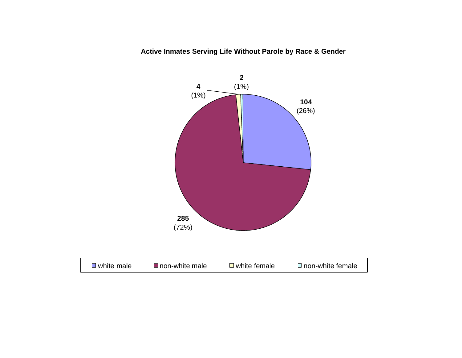**Active Inmates Serving Life Without Parole by Race & Gender**

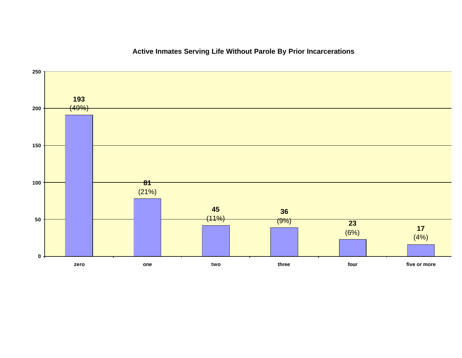

# **Active Inmates Serving Life Without Parole By Prior Incarcerations**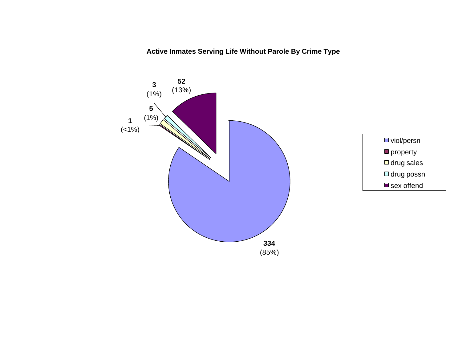**Active Inmates Serving Life Without Parole By Crime Type**



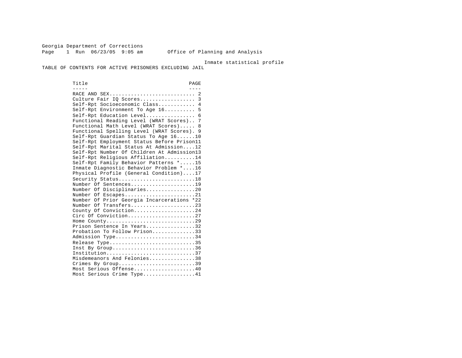Georgia Department of Corrections Page 1 Run 06/23/05 9:05 am Office of Planning and Analysis

Inmate statistical profile

TABLE OF CONTENTS FOR ACTIVE PRISONERS EXCLUDING JAIL

Title PAGE ----- ---- RACE AND SEX............................ 2 Culture Fair IQ Scores...................... 3 Self-Rpt Socioeconomic Class............ 4 Self-Rpt Environment To Age 16.......... 5 Self-Rpt Education Level................ 6 Functional Reading Level (WRAT Scores).. 7 Functional Math Level (WRAT Scores)..... 8 Functional Spelling Level (WRAT Scores). 9 Self-Rpt Guardian Status To Age 16......10 Self-Rpt Employment Status Before Prison11 Self-Rpt Marital Status At Admission....12 Self-Rpt Number Of Children At Admission13 Self-Rpt Religious Affiliation..........14 Self-Rpt Family Behavior Patterns \*.....15 Inmate Diagnostic Behavior Problem \*....16 Physical Profile (General Condition)....17 Security Status..............................18 Number Of Sentences.....................19 Number Of Disciplinaries................20 Number Of Escapes.........................21 Number Of Prior Georgia Incarcerations \*22 Number Of Transfers.....................23 County Of Conviction....................24 Circ Of Conviction........................27 Home County.............................29 Prison Sentence In Years................32 Probation To Follow Prison..............33 Admission Type.............................34 Release Type...............................35 Inst By  $Group \ldots, \ldots, \ldots, \ldots, \ldots, \ldots, 36$  Institution.............................37 Misdemeanors And Felonies...............38 Crimes By Group............................39 Most Serious Offense....................40 Most Serious Crime Type.................41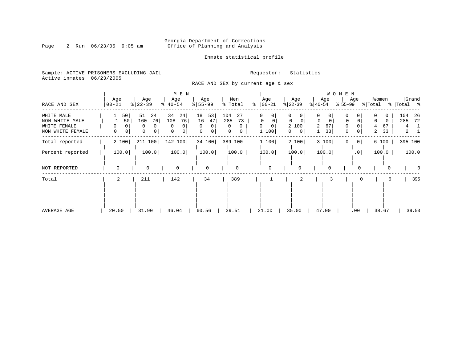# Georgia Department of Corrections<br>Page 2 Run 06/23/05 9:05 am 6ffice of Planning and Analysis Office of Planning and Analysis

Inmate statistical profile

Sample: ACTIVE PRISONERS EXCLUDING JAIL **Requestor:** Statistics Active inmates 06/23/2005

RACE AND SEX by current age & sex

|                                                                  |                          |                                                   | M E N                                       |                                                                  |                                       |                                  |                                                                      |                                                                    | W O M E N             |                                            |                                               |
|------------------------------------------------------------------|--------------------------|---------------------------------------------------|---------------------------------------------|------------------------------------------------------------------|---------------------------------------|----------------------------------|----------------------------------------------------------------------|--------------------------------------------------------------------|-----------------------|--------------------------------------------|-----------------------------------------------|
| RACE AND SEX                                                     | Age<br>  00-21           | Age<br>$ 22-39$                                   | Age<br>$ 40-54 $                            | Age<br>$8 55-99$                                                 | Men<br>% Total                        | Age<br>$ 00-21$<br>$\approx$     | Age<br>$ 22-39 $                                                     | Age<br>$ 40-54 $                                                   | Age<br>% 55-99        | Women<br>% Total                           | Grand<br>%   Total %                          |
| WHITE MALE<br>NON WHITE MALE<br>WHITE FEMALE<br>NON WHITE FEMALE | 50 <br>50<br>0<br>0<br>0 | 51<br>24<br>76<br>160<br>0<br>0<br>$\overline{0}$ | 34<br>24<br>108<br>76<br>$\Omega$<br>0<br>0 | 18<br>53<br>16<br>47<br>$\Omega$<br>$\Omega$<br>$\mathbf 0$<br>0 | 104<br>27<br>285<br>73<br>0<br>0<br>0 | 0<br>0<br>$\Omega$<br>0<br>1 100 | 0<br>0<br>$\Omega$<br>$\Omega$<br>2 100<br>$\overline{0}$<br>$\circ$ | 0<br>0<br>$\mathbf 0$<br>$\mathbf 0$<br>67<br>$\overline{2}$<br>33 | 0<br>0<br>0<br>0<br>0 | $\Omega$<br>$\Omega$<br>67<br>4<br>33<br>2 | 104<br>26<br>285<br>72<br>4<br>$\overline{a}$ |
| Total reported                                                   | 2 100                    | 211 100                                           | 142 100                                     | 34 100                                                           | 389 100                               | 1 100                            | 2 100                                                                | 3 100                                                              | 0 <br>0               | 6 100                                      | 395 100                                       |
| Percent reported                                                 | 100.0                    | 100.0                                             | 100.0                                       | 100.0                                                            | 100.0                                 | 100.0                            | 100.0                                                                | 100.0                                                              | .0 <sub>1</sub>       | 100.0                                      | 100.0                                         |
| NOT REPORTED                                                     | $\Omega$                 | $\Omega$                                          | $\mathbf 0$                                 | 0                                                                | $\mathbf 0$                           | $\Omega$                         | 0                                                                    | 0                                                                  |                       | O                                          |                                               |
| Total                                                            | 2                        | 211                                               | 142                                         | 34                                                               | 389                                   |                                  | 2                                                                    |                                                                    |                       | 6                                          | 395                                           |
| AVERAGE AGE                                                      | 20.50                    | 31.90                                             | 46.04                                       | 60.56                                                            | 39.51                                 | 21.00                            | 35.00                                                                | 47.00                                                              | .00                   | 38.67                                      | 39.50                                         |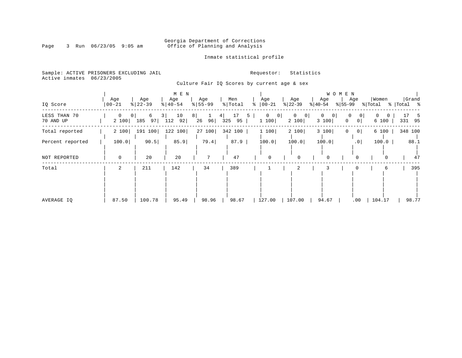# Georgia Department of Corrections<br>Page 3 Run 06/23/05 9:05 am 6ffice of Planning and Analysis Office of Planning and Analysis

Inmate statistical profile

Sample: ACTIVE PRISONERS EXCLUDING JAIL **Requestor:** Statistics Active inmates 06/23/2005

Culture Fair IQ Scores by current age & sex

| IQ Score                  | Age<br>$ 00 - 21$ | Age<br>$ 22-39$                  | M E N<br>Age<br>$\frac{1}{6}$   40-54 | Age<br>$8 55-99$      | Men<br>$\frac{1}{2}$ Total | Age<br>$ 00-21$<br>ႜ                | Age<br>$ 22-39 $                       | Age<br>$ 40-54 $                    | W O M E N<br>Age<br>$ 55-99 $        | Women<br>% Total       | Grand<br>%   Total % |
|---------------------------|-------------------|----------------------------------|---------------------------------------|-----------------------|----------------------------|-------------------------------------|----------------------------------------|-------------------------------------|--------------------------------------|------------------------|----------------------|
| LESS THAN 70<br>70 AND UP | 0<br>2 100        | 6<br>0 <sup>1</sup><br>185<br>97 | 10<br>3  <br>92 <br>112               | $8 \mid$<br>96 <br>26 | 17<br>4 <br>95<br>325      | $\overline{0}$<br> 0 <br>5<br>1 100 | $\mathbf 0$<br>$\overline{0}$<br>2 100 | $\Omega$<br>$\overline{0}$<br>3 100 | 0<br>0<br>$\Omega$<br>0 <sup>1</sup> | 0<br>$\Omega$<br>6 100 | 17<br>5<br>331 95    |
| Total reported            | 2 100             | 191 100                          | 122 100                               | 27 100                | 342 100                    | 1 100                               | 2 100                                  | 3 100                               | 0 <sup>1</sup>                       | 6 100                  | 348 100              |
| Percent reported          | 100.0             | 90.5                             | 85.9                                  | 79.4                  | 87.9                       | 100.0                               | 100.0                                  | 100.0                               | .0 <sub>1</sub>                      | 100.0                  | 88.1                 |
| NOT REPORTED              | 0                 | 20                               | 20                                    | $7\phantom{.0}$       | 47                         | $\mathbf 0$                         | $\mathbf 0$                            | $\mathbf 0$                         | $\Omega$                             | $\Omega$               | 47                   |
| Total                     | $\overline{a}$    | 211                              | 142                                   | 34                    | 389                        |                                     | 2                                      | 3                                   |                                      | 6                      | 395                  |
| AVERAGE IO                | 87.50             | 100.78                           | 95.49                                 | 98.96                 | 98.67                      | 127.00                              | 107.00                                 | 94.67                               | .00                                  | 104.17                 | 98.77                |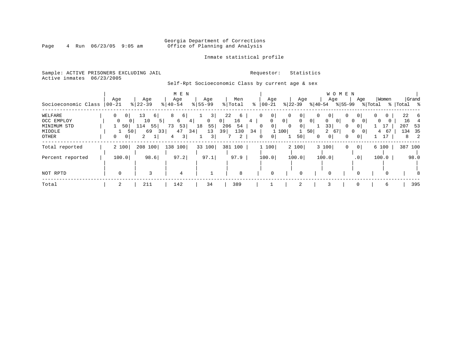# Georgia Department of Corrections<br>Page 4 Run 06/23/05 9:05 am 6ffice of Planning and Analysis Office of Planning and Analysis

### Inmate statistical profile

Sample: ACTIVE PRISONERS EXCLUDING JAIL **Requestor:** Statistics Active inmates 06/23/2005

# Self-Rpt Socioeconomic Class by current age & sex

| Socioeconomic Class                                     | Age<br>$ 00 - 21 $                                    | Age<br>$8 22-39$                                                       | M E N<br>Age<br>$\frac{1}{6}$   40-54                   | Age<br>$8155 - 99$                                    | Men<br>% Total                                    | Age<br>ွေ<br>$ 00-21 $                                                  | Age<br>$ 22-39 $                                                                                                           | W O M E N<br>Age<br>$ 40-54$<br>% 55-99                                                                                             | Grand<br>Women<br>Age<br>% Total<br>%   Total %                                                                                                                       |
|---------------------------------------------------------|-------------------------------------------------------|------------------------------------------------------------------------|---------------------------------------------------------|-------------------------------------------------------|---------------------------------------------------|-------------------------------------------------------------------------|----------------------------------------------------------------------------------------------------------------------------|-------------------------------------------------------------------------------------------------------------------------------------|-----------------------------------------------------------------------------------------------------------------------------------------------------------------------|
| WELFARE<br>OCC EMPLOY<br>MINIMUM STD<br>MIDDLE<br>OTHER | 0<br>0 <sup>1</sup><br>0<br>50<br>0<br>0 <sup>1</sup> | 13<br>6  <br>10<br>5 <sub>1</sub><br>55 <br>114<br>69<br>50<br>33<br>2 | 8<br>6  <br>6<br>4<br>53<br>73<br>47<br>34  <br>3 <br>4 | 3<br>$\circ$<br>0 <sup>1</sup><br>55<br>18<br>13<br>3 | 22<br>6<br>16<br>4<br>206<br>54<br>130<br>39<br>2 | 0 <sup>1</sup><br>0<br>$\circ$<br>0<br>34<br>100<br>0 <sup>1</sup><br>0 | 0<br>0 <sup>1</sup><br>0 <sup>1</sup><br>$\mathbf{0}$<br>0 <sup>1</sup><br>0 <sup>1</sup><br>0<br>$\mathbf{1}$<br>50<br>50 | 0<br>0 <sub>1</sub><br>0<br>$\mathbf{0}$<br>0<br>0 <sup>1</sup><br>33<br>0<br>$\overline{a}$<br>67<br>0<br>0 <sup>1</sup><br>0<br>0 | 22 6<br>0 <sup>1</sup><br>0<br>16<br>$\mathbf 0$<br>$\overline{0}$<br>207<br>53<br>0 <sup>1</sup><br>134 35<br>67<br>4<br>$\overline{2}$<br>17<br>$\overline{0}$<br>8 |
| Total reported<br>Percent reported                      | 2 100<br>100.0                                        | 208 100<br>98.6                                                        | 138 100<br>97.2                                         | 33 100<br>97.1                                        | 381 100<br>97.9                                   | 1 100<br>100.0                                                          | 2 100<br>100.0                                                                                                             | 3 100<br>0<br>100.0                                                                                                                 | 0 <br>6 100<br>387 100<br>100.0<br>.0 <sup>1</sup><br>98.0                                                                                                            |
| NOT RPTD                                                | $\Omega$                                              | 3                                                                      | 4                                                       |                                                       | 8                                                 | $\Omega$                                                                |                                                                                                                            |                                                                                                                                     | $\Omega$<br>8                                                                                                                                                         |
| Total                                                   | 2                                                     | 211                                                                    | 142                                                     | 34                                                    | 389                                               |                                                                         | 2                                                                                                                          | 3                                                                                                                                   | 395<br>0<br>6                                                                                                                                                         |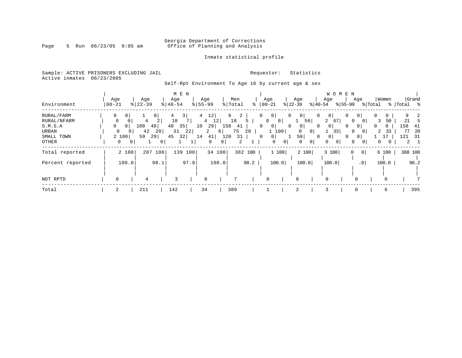# Georgia Department of Corrections<br>Page 5 Run 06/23/05 9:05 am 60ffice of Planning and Analysis Office of Planning and Analysis

### Inmate statistical profile

Sample: ACTIVE PRISONERS EXCLUDING JAIL **Requestor:** Statistics Active inmates 06/23/2005

Self-Rpt Environment To Age 16 by current age & sex

|                  |           |                |              |                     |                |                       | M E N |                        |                      |       |                |         |          |                |                |                |                |                |    | W O M E N |                 |          |          |             |              |
|------------------|-----------|----------------|--------------|---------------------|----------------|-----------------------|-------|------------------------|----------------------|-------|----------------|---------|----------|----------------|----------------|----------------|----------------|----------------|----|-----------|-----------------|----------|----------|-------------|--------------|
|                  | Age       |                |              | Age                 |                | Age                   |       |                        | Age                  |       | Men            |         |          | Age            |                | Age            |                | Age            |    |           | Age             |          | Women    |             | Grand        |
| Environment      | $00 - 21$ |                |              | $\frac{8}{22} - 39$ |                | $\frac{1}{6}$   40-54 |       | $\frac{8}{55}$ 55 - 99 |                      |       | % Total        | ႜ       |          | $ 00 - 21$     |                | $ 22-39 $      |                | $ 40-54 $      |    | $ 55-99 $ |                 | % Total  |          | %   Total % |              |
| RURAL/FARM       | 0         | 0 <sup>1</sup> |              |                     | 0 <sup>1</sup> |                       | 3     | $\overline{4}$         | 12                   |       | 9              | 2       | $\Omega$ | 0 <sup>1</sup> | $\mathbf{0}$   | $\overline{0}$ | 0              | $\overline{0}$ |    | 0         | 0 I             | 0        | 0        |             | $\mathbf{z}$ |
| RURAL/NFARM      | 0         | 0              |              | 4                   | 2              | 10                    |       |                        | 12<br>$\overline{4}$ |       | 18             | 5       |          | 0<br> 0        |                | $\mathbf{1}$   | 50             | $\overline{2}$ | 67 | 0         | $\Omega$        | 3        | 50       | 21          |              |
| S.M.S.A          | 0         | 0 <sup>1</sup> | 100          | 48                  |                | 48                    | 35    | 10                     | 29                   | 158   | 41             |         | $\Omega$ | $\overline{0}$ | $\mathbf{0}$   | 0              | $\Omega$       | 0 <sup>1</sup> |    | 0         | 0 <sup>1</sup>  | $\Omega$ | $\Omega$ | 158         | 41           |
| URBAN            | 0         | 0 I            |              | 42                  | 20             | 31                    | 22    |                        | $\overline{a}$       | 6     | 75             | 20      |          | 1 100          |                | $\mathbf{0}$   | 0 <sup>1</sup> |                | 33 | 0         |                 | 2        | 33       | 77          | -20          |
| SMALL TOWN       |           | 2 100          |              | 59<br>29            |                | 45                    | 32    | 14                     | 41                   | 120   | 31             |         | $\Omega$ | 0 <sup>1</sup> |                | 50             | $\Omega$       | 0 <sup>1</sup> |    | 0         | $\mathbf{0}$    |          |          | 121         | 31           |
| OTHER            |           | $\mathbf{0}$   | $\mathbf{0}$ |                     | 0              |                       |       |                        | 0                    | 0     |                | 2       |          | $\mathbf 0$    | $\overline{0}$ | 0              | $\overline{0}$ | $\Omega$       | 0  | 0         | 0               | 0        |          |             | $2 \quad 1$  |
| Total reported   |           | 2 100          |              | 207 100             |                | 139                   | 100   |                        | 34 100               |       |                | 382 100 |          | 1100           |                | 2 100          |                | 3 100          |    | $\Omega$  | 0               |          | 6 100    |             | 388 100      |
|                  |           |                |              |                     |                |                       |       |                        |                      |       |                |         |          |                |                |                |                |                |    |           |                 |          |          |             |              |
| Percent reported |           | 100.0          |              |                     | 98.1           |                       | 97.9  |                        |                      | 100.0 |                | 98.2    |          | 100.0          |                | 100.0          |                | 100.0          |    |           | .0 <sub>1</sub> |          | 100.0    |             | 98.2         |
|                  |           |                |              |                     |                |                       |       |                        |                      |       |                |         |          |                |                |                |                |                |    |           |                 |          |          |             |              |
| NOT RPTD         | 0         |                |              | 4                   |                | 3                     |       |                        | $\Omega$             |       | $\overline{ }$ |         |          | 0              |                | 0              |                | $\Omega$       |    |           |                 |          | $\Omega$ |             |              |
| Total            | 2         |                |              | 211                 |                | 142                   |       | 34                     |                      |       | 389            |         |          |                |                | 2              |                | 3              |    |           | 0               |          | 6        |             | 395          |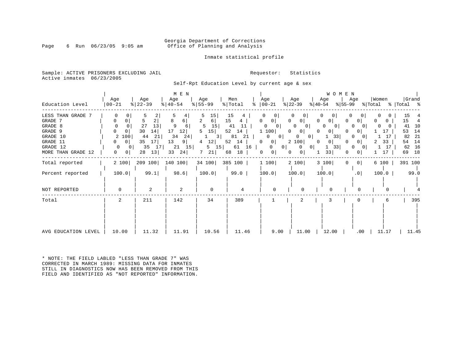### Georgia Department of Corrections<br>Page 6 Run 06/23/05 9:05 am 6 Office of Planning and Analysis Office of Planning and Analysis

### Inmate statistical profile

Sample: ACTIVE PRISONERS EXCLUDING JAIL **Requestor:** Statistics Active inmates 06/23/2005

Self-Rpt Education Level by current age & sex

|                                                                                        | Age                                                                                  | Age                                                                              | M E N<br>Age                                                                            | Age                                                              | Men                                                                                       | Age                                                                                                                       | Age                                                                                                                                                                             | <b>WOMEN</b><br>Age                                                                                                                               | Age                                                                                                                                             | Women                                                   | Grand                                                                      |
|----------------------------------------------------------------------------------------|--------------------------------------------------------------------------------------|----------------------------------------------------------------------------------|-----------------------------------------------------------------------------------------|------------------------------------------------------------------|-------------------------------------------------------------------------------------------|---------------------------------------------------------------------------------------------------------------------------|---------------------------------------------------------------------------------------------------------------------------------------------------------------------------------|---------------------------------------------------------------------------------------------------------------------------------------------------|-------------------------------------------------------------------------------------------------------------------------------------------------|---------------------------------------------------------|----------------------------------------------------------------------------|
| Education Level                                                                        | $ 00 - 21$                                                                           | $ 22-39 $                                                                        | $ 40-54 $                                                                               | $8 55-99$                                                        | % Total                                                                                   | $\frac{1}{6}$   00 - 21                                                                                                   | $ 22-39 $                                                                                                                                                                       | $ 40-54 $<br>%∣55-99                                                                                                                              |                                                                                                                                                 |                                                         | % Total % Total %                                                          |
| LESS THAN GRADE 7<br>GRADE 7<br>GRADE 8<br>GRADE 9<br>GRADE 10<br>GRADE 11<br>GRADE 12 | 0<br>0<br>0<br>0<br>$\overline{0}$<br>2 100<br>$\overline{0}$<br>$\overline{0}$<br>0 | $\overline{2}$<br>5<br>27<br>13<br>30<br>14<br>44<br>21<br>35<br>17<br>17 <br>35 | 5<br>8<br>6<br>9<br>6<br>17<br>12 <br>34<br>24<br>13<br>9 <sup>1</sup><br>$21 \quad 15$ | 15<br>2<br>6 <br>15<br>15<br>5<br>3 <br>12 <br>4<br>$5 \quad 15$ | 15<br>15<br>$4\overline{ }$<br>11<br>41<br>$52 \quad 14$<br>81<br>21<br>52<br>14<br>61 16 | 0 <sup>1</sup><br>0<br>$\mathbf{0}$<br>0<br>1 100<br>0<br>0 <sup>1</sup><br>$\mathbf{0}$<br>0<br>0<br>0 <sup>1</sup><br>0 | 0 <sup>1</sup><br>$\Omega$<br>$\Omega$<br>0 <sup>1</sup><br> 0 <br>0<br>0 <sup>1</sup><br>$\Omega$<br>0 <sup>1</sup><br>$\circ$<br>2 100<br>$\mathbf{0}$<br> 0 <br>$\mathbf{0}$ | $\Omega$<br>0 <sup>1</sup><br>$\Omega$<br>$\Omega$<br>0 I<br>0 <sup>1</sup><br>$\Omega$<br>33<br>0 <sup>1</sup><br>$\Omega$<br>33<br>$\mathbf{1}$ | $\Omega$<br>0 <sup>1</sup><br><sup>0</sup><br>$\Omega$<br>0 <sup>1</sup><br>$\Omega$<br>$\overline{0}$<br>0 <sup>1</sup><br>0<br>$\overline{0}$ | 0<br>$\overline{0}$<br>0<br>17<br>17<br>33<br>2<br>1 17 | 15<br>15<br>4<br>41<br>10<br>53<br>14<br>82<br>-21<br>14<br>54<br>16<br>62 |
| MORE THAN GRADE 12                                                                     | 0<br>0 <sup>1</sup>                                                                  | 28<br>13                                                                         | 33<br>24                                                                                | 7<br>21                                                          | 18<br>68                                                                                  | $\circ$<br>0                                                                                                              | 0 <sup>1</sup><br>$\circ$                                                                                                                                                       | 33                                                                                                                                                | 0 <sup>1</sup>                                                                                                                                  | 17                                                      | 18<br>69                                                                   |
| Total reported                                                                         | 2 100                                                                                | 209 100                                                                          | 140 100                                                                                 | 34 100 385 100                                                   |                                                                                           | 1 100                                                                                                                     | 2 100                                                                                                                                                                           | 3 100<br>$\mathbf{0}$                                                                                                                             | 0 <sup>1</sup>                                                                                                                                  | 6 100                                                   | 391 100                                                                    |
| Percent reported                                                                       | 100.0                                                                                | 99.1                                                                             | 98.6                                                                                    | 100.0                                                            | 99.0                                                                                      | 100.0                                                                                                                     | 100.0                                                                                                                                                                           | 100.0                                                                                                                                             | .0                                                                                                                                              | 100.0                                                   | 99.0                                                                       |
| NOT REPORTED                                                                           | $\Omega$                                                                             | 2                                                                                | 2                                                                                       | 0                                                                |                                                                                           |                                                                                                                           | <sup>0</sup>                                                                                                                                                                    | ∩                                                                                                                                                 |                                                                                                                                                 |                                                         |                                                                            |
| Total                                                                                  | 2                                                                                    | 211                                                                              | 142                                                                                     | 34                                                               | 389                                                                                       |                                                                                                                           | 2                                                                                                                                                                               | 3                                                                                                                                                 |                                                                                                                                                 |                                                         | 395                                                                        |
| AVG EDUCATION LEVEL                                                                    | 10.00                                                                                | 11.32                                                                            | 11.91                                                                                   | 10.56                                                            | 11.46                                                                                     | 9.00                                                                                                                      | 11.00                                                                                                                                                                           | 12.00                                                                                                                                             | $.00 \,$                                                                                                                                        | 11.17                                                   | 11.45                                                                      |

\* NOTE: THE FIELD LABLED "LESS THAN GRADE 7" WAS CORRECTED IN MARCH 1989: MISSING DATA FOR INMATES STILL IN DIAGNOSTICS NOW HAS BEEN REMOVED FROM THIS FIELD AND IDENTIFIED AS "NOT REPORTED" INFORMATION.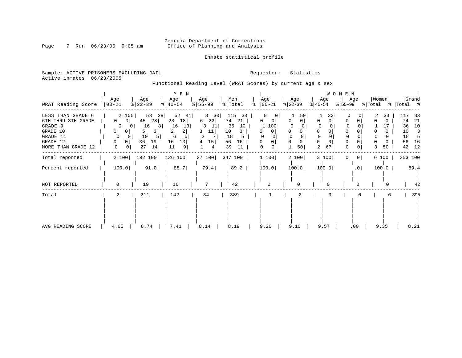# Georgia Department of Corrections<br>Page 7 Run 06/23/05 9:05 am 6ffice of Planning and Analysis Office of Planning and Analysis

Inmate statistical profile

Sample: ACTIVE PRISONERS EXCLUDING JAIL **Requestor:** Statistics Active inmates 06/23/2005

Functional Reading Level (WRAT Scores) by current age & sex

|                                                                                                              |                                                                                                                                   |                                                                         | M E N                                                              |                                                       |                                                                                  |    |                    |                                          |                                | WOMEN                   |                  |                                                                                                        |
|--------------------------------------------------------------------------------------------------------------|-----------------------------------------------------------------------------------------------------------------------------------|-------------------------------------------------------------------------|--------------------------------------------------------------------|-------------------------------------------------------|----------------------------------------------------------------------------------|----|--------------------|------------------------------------------|--------------------------------|-------------------------|------------------|--------------------------------------------------------------------------------------------------------|
| WRAT Reading Score                                                                                           | Age<br>$ 00-21$                                                                                                                   | Age<br>$ 22-39 $                                                        | Age<br>$ 40-54 $                                                   | Age<br>$ 55 - 99 $                                    | Men<br>% Total                                                                   | °≈ | Age<br>$ 00-21 $   | Age<br>$ 22-39 $                         | Age<br>$ 40-54 $               | Age<br>%∣55-99          | Women<br>% Total | Grand<br>%   Total %                                                                                   |
| LESS THAN GRADE 6<br>6TH THRU 8TH GRADE<br>GRADE 9<br>GRADE 10<br>GRADE 11<br>GRADE 12<br>MORE THAN GRADE 12 | 2 100<br>$\mathbf{0}$<br>0 <sup>1</sup><br>$\Omega$<br>0 <sub>1</sub><br>0<br>0<br>$\Omega$<br>$\Omega$<br>$\mathbf{0}$<br>0<br>0 | 53<br>28<br>45<br>23<br>16<br>8<br>3<br>5<br>10<br>36<br>19<br>27<br>14 | 52<br>41 <br>23<br>18<br>16<br>13<br>2<br>6<br>16<br>13<br>11<br>9 | 8 30<br>22<br>6<br>3<br>11<br>11<br>3<br>2<br>15<br>4 | 115<br>33<br>74<br>21<br>35<br>10<br>10<br>3<br>18<br>5.<br>56<br>16<br>39<br>11 |    | 0<br>100<br>0<br>0 | 50<br>0<br>$\Omega$<br>$\mathbf 0$<br>50 | 33<br>$\Omega$<br>0<br>2<br>67 | $\Omega$<br>0<br>0<br>0 | 33<br>0<br>50    | 117<br>33<br>74<br>-21<br>10<br>36<br>10<br>$\overline{\mathbf{3}}$<br>18<br>5<br>56<br>16<br>42<br>12 |
| Total reported                                                                                               | 2 100                                                                                                                             | 192 100                                                                 | 126 100                                                            |                                                       | 27 100 347 100                                                                   |    | 1 100              | 2 100                                    | 3 100                          | 0 <sup>1</sup><br>0     | 6 100            | 353 100                                                                                                |
| Percent reported                                                                                             | 100.0                                                                                                                             | 91.0                                                                    | 88.7                                                               | 79.4                                                  | 89.2                                                                             |    | 100.0              | 100.0                                    | 100.0                          | .0                      | 100.0            | 89.4                                                                                                   |
| NOT REPORTED                                                                                                 |                                                                                                                                   | 19                                                                      | 16                                                                 |                                                       | 42                                                                               |    |                    | $\Omega$                                 |                                |                         |                  | 42                                                                                                     |
| Total                                                                                                        | 2                                                                                                                                 | 211                                                                     | 142                                                                | 34                                                    | 389                                                                              |    |                    |                                          |                                |                         | b                | 395                                                                                                    |
| AVG READING SCORE                                                                                            | 4.65                                                                                                                              | 8.74                                                                    | 7.41                                                               | 8.14                                                  | 8.19                                                                             |    | 9.20               | 9.10                                     | 9.57                           | .00                     | 9.35             | 8.21                                                                                                   |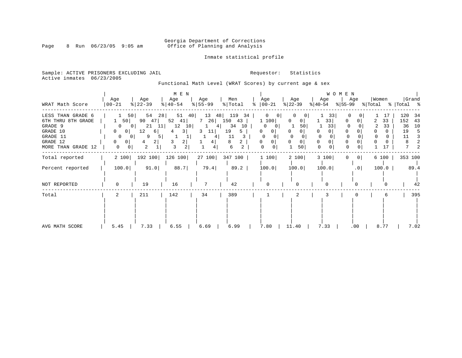# Georgia Department of Corrections<br>Page 8 Run 06/23/05 9:05 am 60ffice of Planning and Analysis Office of Planning and Analysis

Inmate statistical profile

Sample: ACTIVE PRISONERS EXCLUDING JAIL **Requestor:** Statistics Active inmates 06/23/2005

Functional Math Level (WRAT Scores) by current age & sex

|                                                                                                                  | Age                                                                                | Age                                                                                                      | M E N<br>Age                                                                  | Age                                                       | Men                                                                 | Age                                                                                        | Age                                   | Age                                                              | WOMEN<br>Age       | Women             | Grand                                                     |
|------------------------------------------------------------------------------------------------------------------|------------------------------------------------------------------------------------|----------------------------------------------------------------------------------------------------------|-------------------------------------------------------------------------------|-----------------------------------------------------------|---------------------------------------------------------------------|--------------------------------------------------------------------------------------------|---------------------------------------|------------------------------------------------------------------|--------------------|-------------------|-----------------------------------------------------------|
| WRAT Math Score                                                                                                  | $ 00-21$                                                                           | $ 22-39 $                                                                                                | $8   40 - 54$                                                                 | $8 55-99$                                                 | % Total                                                             | $\frac{1}{6}$   00-21                                                                      | $ 22-39 $                             | ୫∣40-54                                                          | %∣55-99            | % Total % Total % |                                                           |
| LESS THAN GRADE 6<br>6TH THRU 8TH GRADE<br>GRADE 9<br>GRADE 10<br>GRADE 11<br>GRADE 12<br>MORE THAN GRADE<br>-12 | 50  <br>0<br>$\Omega$<br>0 <sup>1</sup><br>$\mathbf{0}$<br>0<br>01<br>$\mathbf{0}$ | 54<br>28<br>50<br>90<br>47<br>21<br>11<br>0 I<br>12<br>6<br>9<br>5<br>0 <sup>1</sup><br>2<br>4<br>2<br>0 | 51<br>40<br>52<br>41<br>12<br>10<br>3<br>4<br>3<br>2  <br>3<br>$\overline{2}$ | 13<br>48<br>7 26<br>4 <sub>1</sub><br>11<br>3<br>4 I<br>4 | 119<br>34<br>150<br>43<br>10<br>34<br>19<br>5.<br>11<br>8<br>6<br>2 | 0<br>0<br>1 100<br>$\Omega$<br>0<br>0 I<br>$^{(1)}$<br>$\Omega$<br>$\Omega$<br>0<br>0<br>0 | 0<br>$\Omega$<br>50<br>$\Omega$<br>50 | 33<br>33 <br>33<br>0<br>$\Omega$<br>$\Omega$<br>0<br>$\mathbf 0$ | 0<br>$\Omega$<br>0 | 33<br>33<br>17    | 120<br>-34<br>152<br>43<br>36<br>10<br>19<br>5<br>11<br>2 |
| Total reported                                                                                                   | 2 100                                                                              | 192 100                                                                                                  | 126 100                                                                       | 27 100                                                    | 347 100                                                             | 1 100                                                                                      | 2 100                                 | 3 100                                                            | 0 <br>$\Omega$     | 6 100             | 353 100                                                   |
| Percent reported                                                                                                 | 100.0                                                                              | 91.0                                                                                                     | 88.7                                                                          | 79.4                                                      | 89.2                                                                | 100.0                                                                                      | 100.0                                 | 100.0                                                            | .0                 | 100.0             | 89.4                                                      |
| NOT REPORTED                                                                                                     | $\Omega$                                                                           | 19                                                                                                       | 16                                                                            | 7                                                         | 42                                                                  | <sup>0</sup>                                                                               |                                       |                                                                  |                    |                   | 42                                                        |
| Total                                                                                                            | 2                                                                                  | 211                                                                                                      | 142                                                                           | 34                                                        | 389                                                                 |                                                                                            | 2                                     | 3                                                                |                    | 6                 | 395                                                       |
| AVG MATH SCORE                                                                                                   | 5.45                                                                               | 7.33                                                                                                     | 6.55                                                                          | 6.69                                                      | 6.99                                                                | 7.80                                                                                       | 11.40                                 | 7.33                                                             | $.00 \,$           | 8.77              | 7.02                                                      |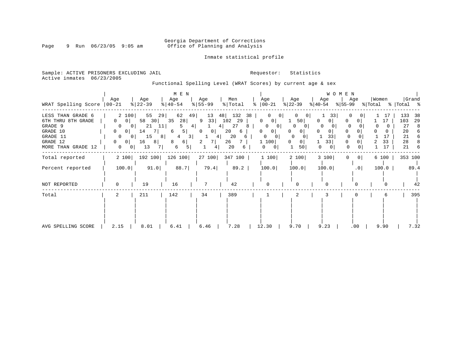# Georgia Department of Corrections<br>Page 9 Run 06/23/05 9:05 am 6ffice of Planning and Analysis Office of Planning and Analysis

Inmate statistical profile

Sample: ACTIVE PRISONERS EXCLUDING JAIL **Requestor:** Statistics Active inmates 06/23/2005

Functional Spelling Level (WRAT Scores) by current age & sex

| WRAT Spelling Score                                                                                              | Age<br>$ 00 - 21$                                                                                                                                                          | Age<br>$ 22-39 $                                                                        | M E N<br>Age<br>$ 40-54 $                                                        | Age<br>$8 55-99$                                             | Men<br>% Total                                                           | Age<br>$8   00 - 21$                                                                                                 | Age<br>$ 22-39 $                                                                       | WOMEN<br>Age<br>$ 40-54 $                 | Age<br>% 55−99          | Women<br>% Total | Grand<br>%   Total %                                                      |
|------------------------------------------------------------------------------------------------------------------|----------------------------------------------------------------------------------------------------------------------------------------------------------------------------|-----------------------------------------------------------------------------------------|----------------------------------------------------------------------------------|--------------------------------------------------------------|--------------------------------------------------------------------------|----------------------------------------------------------------------------------------------------------------------|----------------------------------------------------------------------------------------|-------------------------------------------|-------------------------|------------------|---------------------------------------------------------------------------|
| LESS THAN GRADE 6<br>6TH THRU 8TH GRADE<br>GRADE 9<br>GRADE 10<br>GRADE 11<br>GRADE 12<br>MORE THAN GRADE<br>-12 | 2 100<br>0<br>0 <sup>1</sup><br>0<br>0 <sup>1</sup><br>$\mathbf{0}$<br>0 <sup>1</sup><br>$\mathbf{0}$<br>0<br>$\Omega$<br>0 <sup>1</sup><br>$\mathbf{0}$<br>0 <sup>1</sup> | 55<br>29<br>58<br>30<br>21<br>11 <br>14<br>-71<br>15<br>$8 \mid$<br>16<br>81<br>13<br>7 | 62<br>49 <br>35<br>28<br>4 <br>5  <br>6<br>3 <br>6  <br>8<br>6<br>5 <sup>1</sup> | 13<br>48<br>33<br>9<br>4  <br> 0 <br>0<br>4<br>7 I<br>2<br>4 | 132<br>38<br>102<br>29<br>27<br>8<br>20<br>6<br>20<br>6<br>26<br>20<br>6 | $\Omega$<br>$\Omega$<br>0<br>$\overline{0}$<br>0<br>0<br>0 <sup>1</sup><br>0<br>0<br>$\mathbf{0}$<br>1 100<br>0<br>0 | 50 <br>O<br>$\Omega$<br>$\Omega$<br>0 <sup>1</sup><br>$\Omega$<br>50 <sub>1</sub><br>1 | 33<br>0<br>$\Omega$<br>0<br>33<br>33<br>0 | 0<br>$\Omega$<br>0<br>0 | 17<br>33<br>17   | 133<br>-38<br>103<br>29<br>27<br>8<br>20<br>6<br>21<br>6<br>28<br>21<br>6 |
| Total reported                                                                                                   | 2 100                                                                                                                                                                      | 192 100                                                                                 | 126 100                                                                          | 27100                                                        | 347 100                                                                  | 1 100                                                                                                                | 2 100                                                                                  | 3 100                                     | 0 <br>0                 | 6 100            | 353 100                                                                   |
| Percent reported                                                                                                 | 100.0                                                                                                                                                                      | 91.0                                                                                    | 88.7                                                                             | 79.4                                                         | 89.2                                                                     | 100.0                                                                                                                | 100.0                                                                                  | 100.0                                     | .0                      | 100.0            | 89.4                                                                      |
| NOT REPORTED                                                                                                     | $\Omega$                                                                                                                                                                   | 19                                                                                      | 16                                                                               | 7                                                            | 42                                                                       | $\Omega$                                                                                                             |                                                                                        | 0                                         | $\Omega$                |                  | 42                                                                        |
| Total                                                                                                            | 2                                                                                                                                                                          | 211                                                                                     | 142                                                                              | 34                                                           | 389                                                                      |                                                                                                                      | 2                                                                                      |                                           |                         | 6                | 395                                                                       |
| AVG SPELLING SCORE                                                                                               | 2.15                                                                                                                                                                       | 8.01                                                                                    | 6.41                                                                             | 6.46                                                         | 7.28                                                                     | 12.30                                                                                                                | 9.70                                                                                   | 9.23                                      | $.00 \,$                | 9.90             | 7.32                                                                      |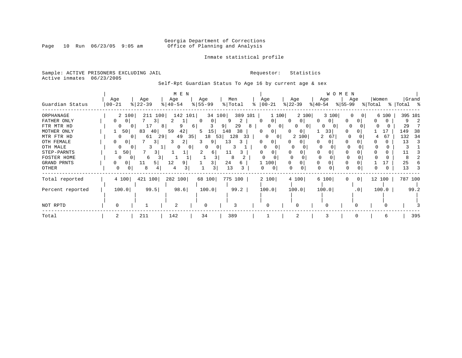# Georgia Department of Corrections<br>Page 10 Run 06/23/05 9:05 am 60ffice of Planning and Analysis Office of Planning and Analysis

Inmate statistical profile

### Sample: ACTIVE PRISONERS EXCLUDING JAIL **Requestor:** Statistics Active inmates 06/23/2005

Self-Rpt Guardian Status To Age 16 by current age & sex

|                                                                                                              |                   |                                            | M E N                                                       |                                                   |                                                                            |                                                 |                                                                                              |                                                               |                                                           | W O M E N                 |                                          |                                                    |
|--------------------------------------------------------------------------------------------------------------|-------------------|--------------------------------------------|-------------------------------------------------------------|---------------------------------------------------|----------------------------------------------------------------------------|-------------------------------------------------|----------------------------------------------------------------------------------------------|---------------------------------------------------------------|-----------------------------------------------------------|---------------------------|------------------------------------------|----------------------------------------------------|
| Guardian Status                                                                                              | Age<br>$ 00 - 21$ | Age<br>$ 22-39$                            | Age<br>$ 40-54 $                                            | Age<br>$8 55-99$                                  |                                                                            | Men<br>% Total                                  | Age<br>$ 00-21 $                                                                             | Age<br>$ 22-39 $                                              | Age<br>$ 40-54 $                                          | Age<br>$ 55-99 $          | Women<br>% Total                         | Grand<br>%   Total %                               |
| ORPHANAGE<br>FATHER ONLY<br>FTR MTR HD<br>MOTHER ONLY<br>MTR FTR HD<br>OTH FEMALE<br>OTH MALE<br>STEP-PARNTS | 0<br>0            | 2 100<br>50<br>83<br>40<br>61<br>0 I<br>50 | 211 100<br>3<br>Τ.<br>9<br>81<br>42<br>59<br>49<br>29<br>3. | 142 101<br><sup>0</sup><br>6<br>5<br>35<br>2<br>0 | 34 100<br>q<br>0<br>9<br>15<br>148<br>18<br>53<br>9<br>13<br>0<br>11<br>61 | 389 101<br>2<br>29<br>8<br>38<br>33<br>128<br>3 | 1 100<br>0 <sup>1</sup><br>$\Omega$<br>0<br>0 <sub>1</sub><br>$\Omega$<br>$\Omega$<br>0<br>0 | 2 100<br>$\Omega$<br>O<br>0<br>$\Omega$<br>0<br>100<br>2<br>0 | 3 100<br>0 <sup>1</sup><br>0<br>$\Omega$<br>33<br>2<br>67 | 0<br>$\Omega$<br>$\Omega$ | 6 100<br>0 <sup>1</sup><br>17<br>67<br>4 | 395 101<br>29<br>149<br>38<br>34<br>132<br>13<br>3 |
| FOSTER HOME<br>GRAND PRNTS<br>OTHER                                                                          | <sup>0</sup><br>0 | 6<br>0<br>11<br>8<br>0                     | 12<br>5 I<br>4                                              |                                                   | 3<br>24<br>13<br>3                                                         | 8<br>6<br>3                                     | 1 100<br>$\Omega$                                                                            | 0<br>O                                                        | $\Omega$                                                  |                           | 0                                        | 25<br>13                                           |
| Total reported                                                                                               | 4 100             | 421 100                                    | 282 100                                                     | 68 100                                            |                                                                            | 775 100                                         | 2 100                                                                                        | 4 100                                                         | 6 100                                                     | $\overline{0}$<br>0       | 12 100                                   | 787 100                                            |
| Percent reported                                                                                             | 100.0             | 99.5                                       | 98.6                                                        |                                                   | 100.0                                                                      | 99.2                                            | 100.0                                                                                        | 100.0                                                         | 100.0                                                     | .0 <sub>1</sub>           | 100.0                                    | 99.2                                               |
| NOT RPTD                                                                                                     | $\Omega$          |                                            | 2                                                           | $\Omega$                                          |                                                                            | 3                                               | O                                                                                            |                                                               |                                                           |                           |                                          |                                                    |
| Total                                                                                                        |                   | 211                                        | 142                                                         | 34                                                |                                                                            | 389                                             |                                                                                              | $\overline{2}$                                                |                                                           | $\Omega$                  | 6                                        | 395                                                |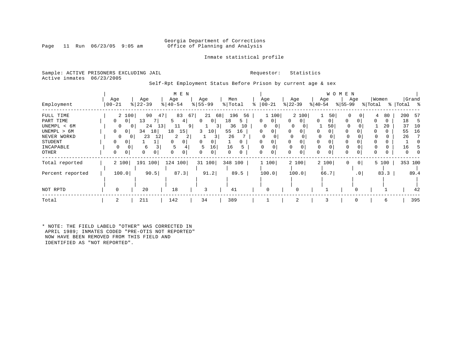### Georgia Department of Corrections<br>Page 11 Run 06/23/05 9:05 am 6ffice of Planning and Analysis Office of Planning and Analysis

Inmate statistical profile

Sample: ACTIVE PRISONERS EXCLUDING JAIL **Requestor:** Statistics Active inmates 06/23/2005

Self-Rpt Employment Status Before Prison by current age & sex

|                  |           |                            | M E N                       |                     |           |               |                   |                   | W O M E N       |                         |                |
|------------------|-----------|----------------------------|-----------------------------|---------------------|-----------|---------------|-------------------|-------------------|-----------------|-------------------------|----------------|
|                  | Age       | Age                        | Age                         | Age                 | Men       | Age           | Age               | Age               | Age             | Women                   | Grand          |
| Employment       | $00 - 21$ | $ 22-39$                   | $ 40-54 $                   | $8 55-99$           | % Total   | $8   00 - 21$ | $ 22-39 $         | $ 40-54 $         | $ 55-99$        | % Total                 | %   Total<br>ႜ |
| FULL TIME        |           | 2 100<br>90                | 83<br>47                    | 67<br>21<br>68      | 196<br>56 | 1100          | 2 100             | 50 <sub>1</sub>   | 0               | 80<br>4                 | 200<br>57      |
| PART TIME        | 0         | 13<br>0 <sup>1</sup>       | 4                           | 0 <sup>1</sup><br>0 | 18<br>5   | 0<br>0        | $\mathbf{0}$<br>0 | 0<br>$\mathbf{0}$ | 0               | 0                       | 18<br>5        |
| UNEMPL < 6M      | $\Omega$  | 24<br>$\overline{0}$       | 13 <br>11<br>9 <sup>1</sup> | 3 <sup>1</sup>      | 36<br>10  | 0<br>0        |                   | 50                |                 | 20                      | 37<br>10       |
| UNEMPL > 6M      | 0         | 34<br>18<br>0 <sup>1</sup> | 18<br>15                    | 3<br>10             | 55<br>16  | 0<br>0        | 0<br>$\Omega$     | 0                 | O               |                         | 16<br>55       |
| NEVER WORKD      | $\Omega$  | 23<br>12<br>01             | 2<br>2                      | 3                   | 26        | $\Omega$      | 0<br>0            | $\Omega$          |                 |                         | 26             |
| STUDENT          | 0         |                            | $\Omega$                    | 0<br>0              | $\Omega$  | 0<br>0        | 0                 | 0                 | 0               | 0                       |                |
| INCAPABLE        |           | 6<br>0                     | 5                           | 16<br>5             | 16        | $\Omega$      |                   | $\Omega$          |                 |                         | 16             |
| OTHER            |           | 0<br>0                     |                             | 0<br>0              | 0         | 0<br>0        | 0                 | 0                 | $\mathbf 0$     |                         | 0              |
| Total reported   | 2 100     | 100<br>191                 | 124 100                     | 31 100              | 348 100   | 1 100         | 2 100             | 2 100             | 0               | 5 100<br>0 <sup>1</sup> | 353 100        |
| Percent reported | 100.0     | 90.5                       | 87.3                        | 91.2                | 89.5      | 100.0         | 100.0             | 66.7              | .0 <sup>1</sup> | 83.3                    | 89.4           |
|                  |           |                            |                             |                     |           |               |                   |                   |                 |                         |                |
| NOT RPTD         | $\Omega$  | 20                         | 18                          | 3                   | 41        | 0             |                   |                   |                 |                         | 42             |
| Total            |           | 211                        | 142                         | 34                  | 389       |               | $\overline{2}$    |                   |                 | 6                       | 395            |

\* NOTE: THE FIELD LABELD "OTHER" WAS CORRECTED IN APRIL 1989; INMATES CODED "PRE-OTIS NOT REPORTED" NOW HAVE BEEN REMOVED FROM THIS FIELD AND IDENTIFIED AS "NOT REPORTED".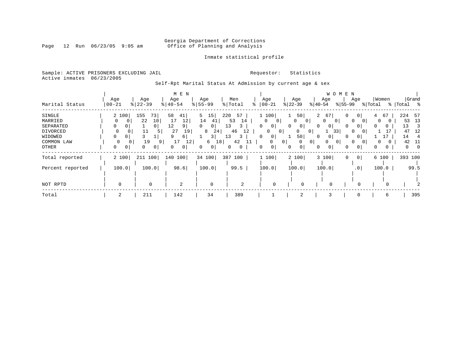# Georgia Department of Corrections<br>Page 12 Run 06/23/05 9:05 am 6ffice of Planning and Analysis Office of Planning and Analysis

### Inmate statistical profile

Sample: ACTIVE PRISONERS EXCLUDING JAIL **Requestor:** Statistics Active inmates 06/23/2005

Self-Rpt Marital Status At Admission by current age & sex

|                  |                |                        | M E N                |                      |              |                     |                     |                            | W O M E N                  |                   |             |
|------------------|----------------|------------------------|----------------------|----------------------|--------------|---------------------|---------------------|----------------------------|----------------------------|-------------------|-------------|
|                  | Age            | Age                    | Age                  | Age                  | Men          | Age                 | Age                 | Age                        | Age                        | Women             | Grand       |
| Marital Status   | $00 - 21$      | $ 22-39$               | $8140 - 54$          | $8 55-99$            | % Total<br>° | $ 00-21$            | $ 22-39 $           | $ 40-54 $                  | $ 55-99 $                  | % Total           | %   Total % |
| SINGLE           | 2 100          | 155<br>73 <sub>1</sub> | 58<br>41             | 5<br>15 <sub>1</sub> | 220<br>57    | 1 100               | 50                  | $\overline{a}$<br>67       | 0<br>0 <sup>1</sup>        | 67<br>4           | 224<br>57   |
| MARRIED          |                | 10<br>22               | 12<br>17             | 14<br>-41            | 53<br>14     | 0<br>0              | $\Omega$<br>$\circ$ | $\Omega$<br>0              | $\Omega$                   | $\Omega$          | 13<br>53    |
| SEPARATED        | 0<br>0         | $\overline{0}$         | 12<br>9 <sup>1</sup> | 0<br>$\Omega$        | 13<br>3      | 01                  | 0<br>0              | 0<br>0                     | 0<br>$\Omega$              | <sup>0</sup><br>0 | 13<br>3     |
| DIVORCED         | 0<br>0         | 11<br>5                | 27<br>19             | 8<br>24              | 46<br>12     | 0<br>$\circ$        | 0<br>$\overline{0}$ | 33                         | $\Omega$<br>$\overline{0}$ |                   | 47<br>12    |
| WIDOWED          | 0<br>0         |                        | 6                    | 3                    | 13<br>3      | 0 <sup>1</sup><br>O | 50                  |                            |                            |                   | 14          |
| COMMON LAW       | $\Omega$<br>01 | 19<br>9                | 17<br>12             | 6<br>18              | 42           | $\Omega$            | $\overline{0}$<br>0 | $\overline{0}$<br>$\Omega$ | $\Omega$<br>$\Omega$       | 0                 | 42<br>-11   |
| OTHER            | 0<br>0         | 0<br>0                 | 0 <sup>1</sup>       | $\circ$<br>0         | 0            | 0 <sup>1</sup>      | $\overline{0}$<br>0 | 0<br>$\mathbf 0$           | $\circ$<br>0               | 0<br>0            | 0<br>-0     |
| Total reported   | 2 100          | 211 100                | 140 100              | 34 100               | 387 100      | 1100                | 2 100               | 3 100                      | 0 <sup>1</sup><br>0        | 6 100             | 393 100     |
| Percent reported | 100.0          | 100.0                  | 98.6                 | 100.0                | 99.5         | 100.0               | 100.0               | 100.0                      | .0 <sub>1</sub>            | 100.0             | 99.5        |
|                  |                |                        |                      |                      |              |                     |                     |                            |                            |                   |             |
| NOT RPTD         | $\Omega$       | $\mathbf 0$            | $\overline{2}$       | $\mathbf 0$          | 2            | $\Omega$            | $\Omega$            |                            | $\Omega$                   |                   |             |
| Total            | 2              | 211                    | 142                  | 34                   | 389          |                     | 2                   |                            |                            | 6                 | 395         |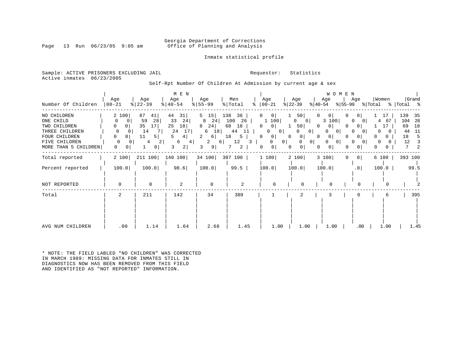### Georgia Department of Corrections<br>Page 13 Run 06/23/05 9:05 am Office of Planning and Analysis Office of Planning and Analysis

Inmate statistical profile

Sample: ACTIVE PRISONERS EXCLUDING JAIL **Requestor:** Statistics Active inmates 06/23/2005

Self-Rpt Number Of Children At Admission by current age & sex

| Number Of Children                                                                                                   | Age<br>$00 - 21$                                                                                          | Age<br>$\frac{2}{6}$   22 - 39                                                                                | M E N<br>Age<br>$ 40-54 $                                                      | Age<br>$8 55-99$                                                                                       | Men<br>% Total<br>$\approx$                                               | Age<br>$ 00-21$                                                                                                                        | Age<br>$ 22-39 $                                                                                                                                                         | W O M E N<br>Age<br>% 55-99<br>$ 40-54 $                                                           | Age<br>% Total                                                                                                                             | Women                                                          | Grand<br>%   Total %                                                   |
|----------------------------------------------------------------------------------------------------------------------|-----------------------------------------------------------------------------------------------------------|---------------------------------------------------------------------------------------------------------------|--------------------------------------------------------------------------------|--------------------------------------------------------------------------------------------------------|---------------------------------------------------------------------------|----------------------------------------------------------------------------------------------------------------------------------------|--------------------------------------------------------------------------------------------------------------------------------------------------------------------------|----------------------------------------------------------------------------------------------------|--------------------------------------------------------------------------------------------------------------------------------------------|----------------------------------------------------------------|------------------------------------------------------------------------|
| NO CHILDREN<br>ONE CHILD<br>TWO CHILDREN<br>THREE CHILDREN<br>FOUR CHILDREN<br>FIVE CHILDREN<br>MORE THAN 5 CHILDREN | 2 100<br>0<br>0<br>0<br>0 <sup>1</sup><br>0<br>$\Omega$<br>0<br>0<br>$\Omega$<br>$\overline{0}$<br>0<br>0 | 87<br>41 <br>28<br>59<br>35<br>17 <sup>1</sup><br>14<br>7<br>11<br>5<br>4<br>$\overline{2}$<br>$\overline{0}$ | 44<br>31<br>33<br>24<br>25<br>18<br>24<br>17<br>5<br>4  <br>6<br>4 <br>2 <br>3 | $5 \quad 15$<br>24<br>8<br>8<br>24<br>18<br>6<br>2<br>$6 \mid$<br>2<br>$6 \mid$<br>9 <sup>1</sup><br>3 | 138<br>36<br>100<br>26<br>68<br>18<br>44<br>11<br>18<br>ל<br>12<br>3<br>2 | $\mathbf{0}$<br>0<br>1 100<br>0<br>0 <sup>1</sup><br>0<br>$\vert 0 \vert$<br>0 <sup>1</sup><br>0<br>0<br>0 <sup>1</sup><br>0<br>0<br>0 | 50<br>0<br>$\mathbf{0}$<br>$\overline{\phantom{0}}$ 0<br>50<br>$\Omega$<br>0 <sup>1</sup><br>0<br>$\overline{0}$<br>0<br>0<br>0 <sup>1</sup><br>0<br>$\overline{0}$<br>0 | 0 <br>0<br>3 100<br>$\Omega$<br>0<br>0 <sup>1</sup><br>0 <sup>1</sup><br>$\circ$<br>0 <sup>1</sup> | $\overline{0}$<br>$\Omega$<br>$\overline{0}$<br>0 <sup>1</sup><br>$\Omega$<br>$\Omega$<br>0 <sup>1</sup><br>0<br>$\circ$<br>0 <sup>1</sup> | 17<br>67<br>4<br>17<br>0<br>0<br>$\overline{0}$<br>0<br>0<br>0 | 139<br>35<br>104 26<br>18<br>69<br>11<br>44<br>18<br>5<br>12<br>3<br>2 |
| Total reported                                                                                                       | 2 100                                                                                                     | 211 100                                                                                                       | 140 100                                                                        | 34 100                                                                                                 | 387 100                                                                   | 1 100                                                                                                                                  | 2 100                                                                                                                                                                    | 3 100<br>0                                                                                         | 0 <sup>1</sup>                                                                                                                             | 6 100                                                          | 393 100                                                                |
| Percent reported                                                                                                     | 100.0                                                                                                     | 100.0                                                                                                         | 98.6                                                                           | 100.0                                                                                                  | 99.5                                                                      | 100.0                                                                                                                                  | 100.0                                                                                                                                                                    | 100.0                                                                                              | .0                                                                                                                                         | 100.0                                                          | 99.5                                                                   |
| NOT REPORTED                                                                                                         | $\Omega$                                                                                                  | $\mathbf 0$                                                                                                   | $\overline{2}$                                                                 | $\mathbf 0$                                                                                            | 2                                                                         | $\Omega$                                                                                                                               | U                                                                                                                                                                        | $\Omega$                                                                                           | ∩                                                                                                                                          |                                                                |                                                                        |
| Total                                                                                                                | 2                                                                                                         | 211                                                                                                           | 142                                                                            | 34                                                                                                     | 389                                                                       |                                                                                                                                        | 2                                                                                                                                                                        | 3                                                                                                  |                                                                                                                                            | 6                                                              | 395                                                                    |
| AVG NUM CHILDREN                                                                                                     | .00                                                                                                       | 1.14                                                                                                          | 1.64                                                                           | 2.68                                                                                                   | 1.45                                                                      | 1.00                                                                                                                                   | 1.00                                                                                                                                                                     | 1.00                                                                                               | .00                                                                                                                                        | 1.00                                                           | 1.45                                                                   |

\* NOTE: THE FIELD LABLED "NO CHILDREN" WAS CORRECTED IN MARCH 1989: MISSING DATA FOR INMATES STILL IN DIAGNOSTICS NOW HAS BEEN REMOVED FROM THIS FIELD AND IDENTIFIED AS "NOT REPORTED" INFORMATION.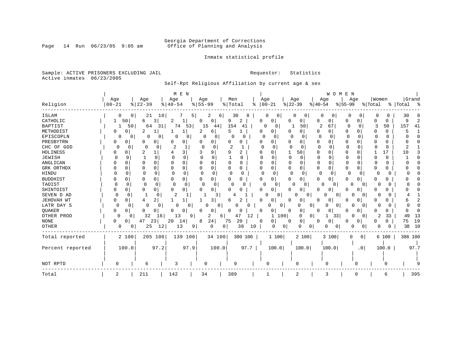# Georgia Department of Corrections<br>Page 14 Run 06/23/05 9:05 am 6ffice of Planning and Analysis Office of Planning and Analysis

Inmate statistical profile

Sample: ACTIVE PRISONERS EXCLUDING JAIL **Requestor:** Statistics Active inmates 06/23/2005

Self-Rpt Religious Affiliation by current age & sex

|                  |                      |               | M E N                |                          |                |                   |                        | WOMEN                |                            |              |             |
|------------------|----------------------|---------------|----------------------|--------------------------|----------------|-------------------|------------------------|----------------------|----------------------------|--------------|-------------|
|                  | Age                  | Age           | Age                  | Age                      | Men            | Age               | Age                    | Age                  | Age                        | Women        | Grand       |
| Religion         | $00 - 21$            | $8   22 - 39$ | $8   40 - 54$        | $8 55-99$                | %   Total<br>ႜ | $ 00 - 21$        | $ 22-39$               | $ 40-54$             | $ 55-99$                   | % Total      | %   Total % |
| <b>ISLAM</b>     | $\mathbf{0}$         | 10<br>21      | 5 <sup>1</sup>       | 2<br>6                   | 30<br>8        | 0                 | 0                      | 0                    |                            | 0            | 30          |
| CATHOLIC         | 50                   | 3<br>6        | 2                    | 0<br>0                   | 9<br>2         | 0<br>0            | 0                      | 0<br>0               | 0<br>0                     | 0            | 9           |
| <b>BAPTIST</b>   | 50                   | 64<br>31      | 74<br>53             | 15<br>44                 | 154<br>41      | 0<br>0            | 50                     | 2<br>67              | 0<br>$\Omega$              | 50<br>3      | 157<br>41   |
| METHODIST        | 0<br>0               | 2<br>1        | 1                    | 6                        | 5              | 0<br>0            | 0<br>0                 | 0<br>0               | 0<br><sup>n</sup>          | 0<br>C       |             |
| EPISCOPLN        | 0<br>0               | 0<br>0        | 0<br>0               | $\Omega$<br>0            | $\Omega$<br>n  | 0<br>0            | O                      | 0<br><sup>0</sup>    | O                          | <sup>0</sup> |             |
| PRESBYTRN        | 0                    | 0<br>0        | $\Omega$<br>0        | 0                        | O<br>O         | O<br>O            | O<br>0                 | 0<br>O               | $\Omega$<br>O              | 0            |             |
| CHC OF GOD       | 0<br>O               | 0             | 2                    | 0<br>$\Omega$            |                | O<br>O            | $\Omega$<br>O          | $\Omega$             | U<br>O                     | $\Omega$     |             |
| <b>HOLINESS</b>  |                      | 2             | 3                    | 9                        | 9<br>2         | $\Omega$<br>U     | 50<br>1                | 0<br>$\Omega$        | $\Omega$<br>O              | 17           | 10          |
| JEWISH           |                      | 0             | $\Omega$             | O<br>O                   | O              | 0<br>U            | O<br>$\Omega$          | $\Omega$             | $\Omega$                   | 0<br>O       |             |
| ANGLICAN         | 0                    | O<br>0        | 0<br>0               |                          |                | Ω<br>O            |                        | 0                    | 0                          | 0            |             |
| GRK ORTHDX       | 0                    | 0<br>0        | 0<br>0               | $\Omega$<br>U            | 0<br>0         | $\Omega$<br>0     | $\Omega$<br>0          | 0<br>0               | $\Omega$                   | 0            |             |
| HINDU            |                      | 0<br>0        | 0                    | $\Omega$<br><sup>0</sup> | U              | O<br><sup>0</sup> | $\Omega$<br>C          | $\Omega$<br>$\Omega$ | 0                          |              |             |
| <b>BUDDHIST</b>  |                      | 0<br>0        | 0<br>0               | 0                        | 0<br>0         | 0<br>O            | 0<br>O                 | 0<br>O               | 0<br>0                     | 0<br>O       |             |
| TAOIST           | <sup>0</sup>         | $\Omega$      | $\Omega$<br>$\Omega$ | $\Omega$<br>$\Omega$     | O              | $\Omega$          | <sup>0</sup><br>0      | O<br>0               | <sup>0</sup>               | O            |             |
| SHINTOIST        | n                    | 0<br>0        | $\Omega$<br>0        | 0<br>U                   | U              | 0<br><sup>0</sup> | 0                      | U<br>O               | O                          | O<br>O       |             |
| SEVEN D AD       | $\Omega$<br>$\Omega$ | 1             | 2                    | 3                        |                | $\Omega$          | <sup>0</sup><br>0      | 0                    | 0                          | O            |             |
| JEHOVAH WT       |                      | 2<br>4        |                      | 3                        | 6              | 0<br>0            | 0                      | 0<br>0               | n<br>0                     |              |             |
| LATR DAY S       | 0                    | 0             | 0<br>0               | 0<br>$\Omega$            |                |                   | 0<br>0<br>$\Omega$     | 0                    | U                          |              |             |
| QUAKER           | O<br>0               | O<br>0        | 0<br>0               | O<br>0                   | 0<br>0         | 0<br>0            | 0                      | 0<br>U               | 0<br>n                     | 0            |             |
| OTHER PROD       | 0<br>0               | 32<br>16      | 13<br>9              | 2<br>$6 \mid$            | 47<br>12       | 1                 | 100<br>0<br>0          | 33<br>1              | 0                          | 33<br>2      | 49<br>13    |
| $\rm{NONE}$      | 0<br>0               | 23<br>47      | 20<br>14             | 24<br>8                  | 20<br>75       | 0<br>0            | 0<br>0                 | 0<br>0               | 0                          | 0<br>0       | 19<br>75    |
| OTHER            | 0<br>0               | 25<br>12      | 13<br>9 <sup>1</sup> | 0                        | 38<br>10<br>0  | $\Omega$          | 0<br><sup>0</sup><br>0 | 0                    | 0<br>O                     | U            | 38<br>10    |
| Total reported   | 2 100                | 205 100       | 139 100              | 34 100                   | 380 100        | 1100              | 2 100                  | 3 100                | 0 <sup>1</sup><br>$\Omega$ | 6 100        | 386 100     |
| Percent reported | 100.0                | 97.2          | 97.9                 | 100.0                    | 97.7           | 100.0             | 100.0                  | 100.0                | .0                         | 100.0        | 97.7        |
|                  |                      |               |                      |                          |                |                   |                        |                      |                            |              |             |
|                  |                      |               |                      |                          |                |                   |                        |                      |                            |              |             |
| NOT RPTD         | O                    | 6             | 3                    | O                        | 9              | U                 | O                      |                      | O                          |              |             |
| Total            |                      | 211           | 142                  | 34                       | 389            |                   | 2                      | 3                    | 0                          | 6            | 395         |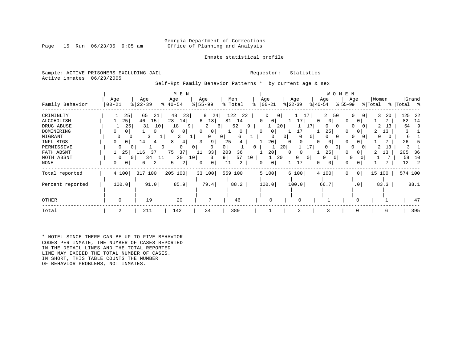### Georgia Department of Corrections<br>Page 15 Run 06/23/05 9:05 am Office of Planning and Analysis Office of Planning and Analysis

### Inmate statistical profile

Sample: ACTIVE PRISONERS EXCLUDING JAIL **Requestor:** Statistics Active inmates 06/23/2005

Self-Rpt Family Behavior Patterns \* by current age & sex

|                                                                                                                               |                                                                      |                                                                                                               | M E N                                                                                                                                       |                                                                                                                        |                                                                                                   |                                                                                            |                                                                                                               | W O M E N                                                                                                                                                                    |                                                                              |                                                                       |
|-------------------------------------------------------------------------------------------------------------------------------|----------------------------------------------------------------------|---------------------------------------------------------------------------------------------------------------|---------------------------------------------------------------------------------------------------------------------------------------------|------------------------------------------------------------------------------------------------------------------------|---------------------------------------------------------------------------------------------------|--------------------------------------------------------------------------------------------|---------------------------------------------------------------------------------------------------------------|------------------------------------------------------------------------------------------------------------------------------------------------------------------------------|------------------------------------------------------------------------------|-----------------------------------------------------------------------|
| Family Behavior                                                                                                               | Age<br>  00-21                                                       | Age<br>$8   22 - 39$                                                                                          | Age<br>$ 40-54 $                                                                                                                            | Age<br>$8 55-99$                                                                                                       | Men<br>% Total                                                                                    | Age<br>$ 00-21 $                                                                           | Age<br>$ 22-39 $                                                                                              | Age<br>Age<br>$ 40-54 $<br>$8155 - 99$                                                                                                                                       | Women<br>% Total                                                             | Grand<br>%   Total %                                                  |
| CRIMINLTY<br>ALCOHOLISM<br>DRUG ABUSE<br>DOMINERING<br>MIGRANT<br>INFL BTGS<br>PERMISSIVE<br>FATH ABSNT<br>MOTH ABSNT<br>NONE | 25<br>25 <br>25<br>0<br>$\Omega$<br>0<br>0<br>0<br>25<br>0<br>0<br>0 | 65<br>21<br>46<br>15<br>31<br>10<br>0<br>3<br>T,<br>14<br>41<br>$^{\circ}$<br>116<br>37<br>34<br>11<br>2<br>6 | 48<br>23<br>28<br>14 <br>18<br>9<br>$\Omega$<br>0<br>3<br>┸<br>8<br>4<br>0<br>0 <sup>1</sup><br>75<br>37<br>20<br>10 <sup>1</sup><br>2<br>5 | 8<br>24<br>6<br>18<br>2<br>6<br>$\circ$<br>$\Omega$<br>0<br>$\overline{0}$<br>9<br>$\Omega$<br>33<br>11<br>3<br>0<br>0 | 122<br>22<br>81<br>14<br>52<br>$\Omega$<br>6<br>25<br>0<br>203<br>36<br>57<br>9 <br>10<br>11<br>2 | 0<br>0<br>$\Omega$<br>0<br>20<br>0<br><sup>0</sup><br>20<br>20 <br>0<br>20<br>20<br>0<br>0 | 17<br>17 <br>17<br>0 <sup>1</sup><br>0 <sup>1</sup><br>$\Omega$<br>0<br>17  <br>0<br>$\Omega$<br>0<br>0<br>17 | 2<br>50<br>$\Omega$<br>$\Omega$<br>0<br>$\Omega$<br>$\Omega$<br>$\Omega$<br>25<br>$\Omega$<br>$\Omega$<br>$\Omega$<br>0<br>U<br>0<br>$\Omega$<br>25<br>0<br>0<br>0<br>0<br>0 | 3<br>20<br>$\overline{0}$<br>13<br>2<br>$\Omega$<br>13<br>0<br>13<br>2<br>13 | 125<br>22<br>82<br>14<br>54<br>б<br>26<br>205<br>36<br>58<br>10<br>12 |
| Total reported<br>Percent reported                                                                                            | 4 100<br>100.0                                                       | 317 100<br>91.0                                                                                               | 205 100<br>85.9                                                                                                                             | 33 100<br>79.4                                                                                                         | 559 100<br>88.2                                                                                   | 5 100<br>100.0                                                                             | 6 100<br>100.0                                                                                                | 4 100<br> 0 <br>$\Omega$<br>66.7<br>.0 <sub>1</sub>                                                                                                                          | 15 100<br>83.3                                                               | 574 100<br>88.1                                                       |
| OTHER                                                                                                                         | $\Omega$                                                             | 19                                                                                                            | 20                                                                                                                                          |                                                                                                                        | 46                                                                                                |                                                                                            | $\cap$                                                                                                        |                                                                                                                                                                              |                                                                              |                                                                       |
| Total                                                                                                                         | 2                                                                    | 211                                                                                                           | 142                                                                                                                                         | 34                                                                                                                     | 389                                                                                               |                                                                                            | 2                                                                                                             | 3<br>0                                                                                                                                                                       | 6                                                                            | 395                                                                   |

\* NOTE: SINCE THERE CAN BE UP TO FIVE BEHAVIOR CODES PER INMATE, THE NUMBER OF CASES REPORTED IN THE DETAIL LINES AND THE TOTAL REPORTED LINE MAY EXCEED THE TOTAL NUMBER OF CASES. IN SHORT, THIS TABLE COUNTS THE NUMBER OF BEHAVIOR PROBLEMS, NOT INMATES.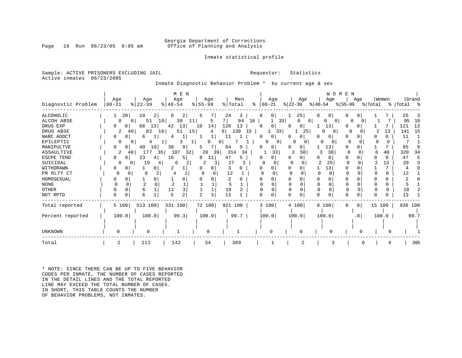### Georgia Department of Corrections<br>Page 16 Run 06/23/05 9:05 am Office of Planning and Analysis Office of Planning and Analysis

### Inmate statistical profile

Sample: ACTIVE PRISONERS EXCLUDING JAIL **Requestor:** Statistics Active inmates 06/23/2005

Inmate Diagnostic Behavior Problem \* by current age & sex

|                    |           |                      | M E N         |             |                  |                            |               | WOMEN         |                     |         |             |
|--------------------|-----------|----------------------|---------------|-------------|------------------|----------------------------|---------------|---------------|---------------------|---------|-------------|
|                    | Age       | Age                  | Age           | Age         | Men              | Age                        | Age           | Age           | Age                 | Women   | Grand       |
| Diagnostic Problem | $00 - 21$ | $ 22-39 $            | $8   40 - 54$ | $ 55 - 99 $ | % Total          | $ 00-21 $<br>$\frac{8}{6}$ | $ 22-39 $     | $ 40-54 $     | % 55−99             | % Total | %   Total % |
| <b>ALCOHOLIC</b>   | 20        | 10<br>$\overline{2}$ | 2 <br>8       | 5           | 24<br>3          | 0 <sub>1</sub><br>0        | 25            |               |                     |         | 25          |
| ALCOH ABSE         | $\Omega$  | 51<br>10<br>$\Omega$ | 38<br>11      | 5           | 7 I<br>94<br>10  | 33                         | 0<br>$\Omega$ | O<br>$\Omega$ | O                   |         | 95<br>10    |
| DRUG EXP           | 0         | 13<br>68             | 13 <br>42     | 10<br>14    | 120<br>13        |                            | 0             | 13            |                     |         | 13<br>121   |
| DRUG ABSE          | 2         | 82<br>40<br>16       | 15<br>51      | 4           | 139<br>6  <br>15 | 331                        | 25            | $\Omega$<br>0 |                     | 13      | 15<br>141   |
| NARC ADDCT         | 0         | 6                    |               |             |                  | 0                          | $\Omega$      |               | 0                   |         | 11          |
| EPILEPTIC          |           |                      |               |             | 0                | $\Omega$                   |               |               |                     | 0       |             |
| MANIPULTVE         |           | 49<br>10             | 30<br>9       |             | 84<br>9          |                            | 0             | 13            |                     |         | 85          |
| ASSAULTIVE         | 2         | 177<br>35<br>40      | 107<br>32     | 28<br>39    | 314<br>34        | 33                         | 50            | 38            |                     | 40      | 320<br>34   |
| <b>ESCPE TEND</b>  |           | 23<br>4              | 16<br>5.      | 8<br>11     | 47<br>5          |                            | 0             | 0             |                     |         | 47          |
| SUICIDAL           |           | 19                   | 6             |             | 27               |                            |               | 25            |                     | 13      | 29          |
| WITHDRAWN          |           |                      |               | O           |                  |                            |               | 13            |                     |         |             |
| PR RLTY CT         | Ω         | 8                    |               |             | 12               |                            |               |               |                     | 0       | 12          |
| HOMOSEXUAL         |           |                      |               |             | 2                |                            |               |               |                     |         |             |
| <b>NONE</b>        |           |                      |               |             | 5                |                            |               |               |                     |         |             |
| <b>OTHER</b>       |           |                      |               |             | 18               |                            |               | $\Omega$      |                     | 0       | 18          |
| NOT RPTD           | $\Omega$  | б                    | 2             | 3           | 13               |                            | U             |               |                     |         | 13          |
| Total reported     | 5 100     | 513 100              | 331 100       | 72 100      | 921 100          | 3 100                      | 4 100         | 8 100         | 0 <sup>1</sup><br>0 | 15 100  | 936 100     |
| Percent reported   | 100.0     | 100.0                | 99.3          | 100.0       | 99.7             | 100.0                      | 100.0         | 100.0         | .0 <sub>1</sub>     | 100.0   | 99.7        |
|                    |           |                      |               |             |                  |                            |               |               |                     |         |             |
| UNKNOWN            |           |                      |               | $\cap$      |                  |                            |               |               |                     |         |             |
| Total              | 2         | 211                  | 142           | 34          | 389              |                            |               |               |                     | 6       | 395         |

\* NOTE: SINCE THERE CAN BE UP TO FIVE BEHAVIOR CODES PER INMATE, THE NUMBER OF CASES REPORTED IN THE DETAIL LINES AND THE TOTAL REPORTED LINE MAY EXCEED THE TOTAL NUMBER OF CASES. IN SHORT, THIS TABLE COUNTS THE NUMBER OF BEHAVIOR PROBLEMS, NOT INMATES.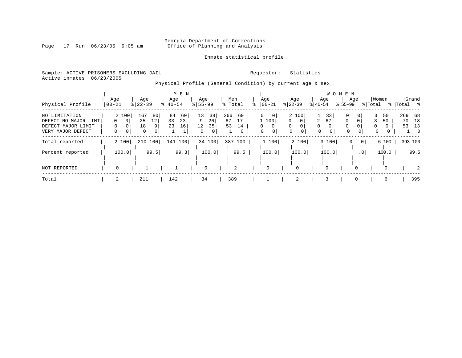# Georgia Department of Corrections<br>Page 17 Run 06/23/05 9:05 am 6ffice of Planning and Analysis Office of Planning and Analysis

## Inmate statistical profile

Sample: ACTIVE PRISONERS EXCLUDING JAIL **Requestor:** Statistics Active inmates 06/23/2005

Physical Profile (General Condition) by current age & sex

|                      |          |                  | M E N       |             |                |                         |                      |                     | W O M E N            |               |                  |
|----------------------|----------|------------------|-------------|-------------|----------------|-------------------------|----------------------|---------------------|----------------------|---------------|------------------|
|                      | Age      | Age              | Age         | Age         | Men            | Age                     | Age                  | Age                 | Age                  | Women         | Grand            |
| Physical Profile     | 00-21    | $8   22 - 39$    | $8140 - 54$ | $8155 - 99$ | % Total        | $ 00-21 $               | $ 22-39 $            | $ 40-54 $           | $8155 - 99$          | % Total       | %   Total<br>- % |
| NO LIMITATION        | 2 100    | 167<br>80        | 84<br>60    | 13<br>38    | 266<br>69      | $\Omega$<br>$\Omega$    | 2 100                | 33                  | 0<br>0               | 50<br>3       | 269 68           |
| DEFECT NO MAJOR LIMT | - 0 I    | 25<br>12         | 33<br>23    | 9<br>26     | 67<br>17       | 1 100                   | $\Omega$<br>$\Omega$ | 2<br>67             | $\Omega$<br>$\Omega$ | 50            | 70<br>18         |
| DEFECT MAJOR LIMIT   |          | 18<br>9          | 23<br>16    | 35<br>12    | 53<br>14       | $\mathbf{0}$<br>0       | $\Omega$<br>$\Omega$ | $\Omega$            | $\Omega$<br>0        | $\Omega$<br>0 | 53<br>13         |
| VERY MAJOR DEFECT    | 0        | $\mathbf 0$<br>0 |             | $\Omega$    | 0              | $\Omega$<br>$\mathbf 0$ | $\Omega$<br>0        | $\Omega$<br>$\circ$ | $\Omega$<br>0        | $\mathbf 0$   | $\Omega$         |
| Total reported       | 2 100    | 210 100          | 141<br>100  | 34 100      | 387<br>100     | 1 100                   | 2 100                | 3 100               | 0                    | 6 100         | 393 100          |
| Percent reported     | 100.0    | 99.5             | 99.3        | 100.0       | 99.5           | 100.0                   | 100.0                | 100.0               | .0 <sub>1</sub>      | 100.0         | 99.5             |
|                      |          |                  |             |             |                |                         |                      |                     |                      |               |                  |
| NOT REPORTED         | $\Omega$ |                  | ᆂ           | $\mathbf 0$ | $\overline{2}$ | 0                       | 0                    | 0                   | $\Omega$             | $\Omega$      |                  |
| Total                | 2        | 211              | 142         | 34          | 389            |                         | 2                    | 3                   | $\Omega$             | 6             | 395              |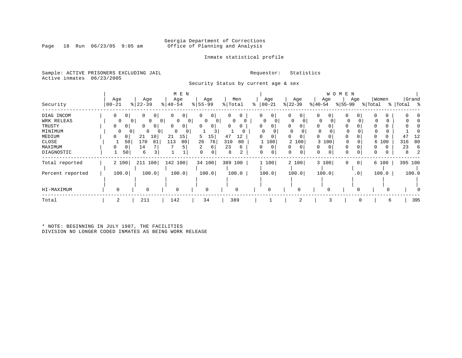### Georgia Department of Corrections<br>Page 18 Run 06/23/05 9:05 am 6ffice of Planning and Analysis Office of Planning and Analysis

### Inmate statistical profile

Sample: ACTIVE PRISONERS EXCLUDING JAIL **Requestor:** Statistics Active inmates 06/23/2005

Security Status by current age & sex

|                  |                                |                          | M E N                    |                     |           |               |               |                     | W O M E N           |              |            |
|------------------|--------------------------------|--------------------------|--------------------------|---------------------|-----------|---------------|---------------|---------------------|---------------------|--------------|------------|
|                  | Age                            | Age                      | Age                      | Age                 | Men       | Age           | Age           | Age                 | Age                 | Women        | Grand      |
| Security         | $ 00 - 21$                     | $ 22-39 $                | $ 40-54 $                | $8 55-99$           | % Total   | $ 00-21$<br>⊱ | $ 22-39 $     | $ 40-54 $           | $ 55-99 $           | % Total<br>ະ | Total<br>ႜ |
| DIAG INCOM       | $\mathbf{0}$<br>0 <sup>1</sup> | 0<br>0 <sub>1</sub>      | 0 <sup>1</sup><br>0      | 0<br>0              | 0<br>0    | $\circ$<br>0  | 0<br>0        | 0<br>0 <sup>1</sup> | 0<br>0              |              |            |
| WRK RELEAS       | 0                              | 0<br>$\overline{0}$<br>0 | $\circ$<br>$\circ$       | 0<br>0 <sup>1</sup> | $\Omega$  | 0             | 0             | 0                   | 0                   | 0            |            |
| TRUSTY           | $\Omega$<br>0                  | 0 <sub>1</sub><br>0      | $\Omega$<br>$\mathbf{0}$ | $\Omega$<br>01      | 0         |               | 0<br>$\Omega$ | $\Omega$            |                     |              |            |
| MINIMUM          | 0                              | $\mathbf{0}$<br>0<br>0   | 0                        |                     |           |               | 0             | 0                   | 0                   |              |            |
| MEDIUM           | 0                              | 10<br>21                 | 15<br>21                 | 5<br>15             | 47<br>12  | 0             | $\Omega$<br>0 | 0<br>$\Omega$       | $\Omega$            |              | 12<br>41   |
| CLOSE            |                                | 50<br>170<br>81          | 113<br>80                | 26<br>76            | 310<br>80 | 100           | 2 100         | 100<br>3            | 0                   | 6 100        | 316<br>80  |
| MAXIMUM          | 0<br>0                         | 14                       |                          | 6                   | 23<br>6   | 0             | $\Omega$<br>0 | 0<br>$\Omega$       |                     |              | 23<br>6    |
| DIAGNOSTIC       | 50                             | 6<br>3                   |                          | $\mathbf 0$<br>0    | 8<br>2    | 0<br>0        | 0             | 0<br>0              | $\Omega$<br>0       | 0<br>0       | 8          |
| Total reported   | 2 100                          | 211 100                  | 142 100                  | 34 100              | 389 100   | 1 100         | 2 100         | 3 100               | 0 <sup>1</sup><br>0 | 6 100        | 395 100    |
| Percent reported | 100.0                          | 100.0                    | 100.0                    | 100.0               | 100.0     | 100.0         | 100.0         | 100.0               | .0 <sub>1</sub>     | 100.0        | 100.0      |
|                  |                                |                          |                          |                     |           |               |               |                     |                     |              |            |
| HI-MAXIMUM       |                                | 0                        | 0                        | $\mathbf 0$         | 0         | 0             |               |                     |                     |              |            |
| Total            | 2                              | 211                      | 142                      | 34                  | 389       |               | 2             | 3                   | $\Omega$            | 6            | 395        |
|                  |                                |                          |                          |                     |           |               |               |                     |                     |              |            |

\* NOTE: BEGINNING IN JULY 1987, THE FACILITIES DIVISION NO LONGER CODED INMATES AS BEING WORK RELEASE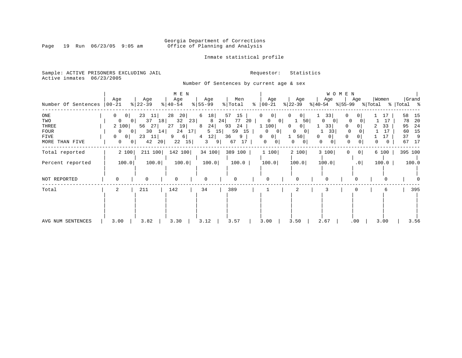# Georgia Department of Corrections<br>Page 19 Run 06/23/05 9:05 am 60ffice of Planning and Analysis Office of Planning and Analysis

### Inmate statistical profile

Sample: ACTIVE PRISONERS EXCLUDING JAIL **Requestor:** Statistics Active inmates 06/23/2005

Number Of Sentences by current age & sex

| Number Of Sentences                                   | Age<br>  00-21                                                                                                                                              | Age<br>$ 22-39 $                                                        | M E N<br>Age<br>$8   40 - 54$                                          | Age<br>$8 55-99$                                           | Men<br>% Total                                                            | Age<br>$\approx$ 00-21                                                                                          | Age<br>$ 22-39 $                                                                         | W O M E N<br>Age<br>$ 40-54 $                               | Age<br>$ 55-99 \t{ Total}$                                          | Women               | Grand<br>%   Total %                                                   |
|-------------------------------------------------------|-------------------------------------------------------------------------------------------------------------------------------------------------------------|-------------------------------------------------------------------------|------------------------------------------------------------------------|------------------------------------------------------------|---------------------------------------------------------------------------|-----------------------------------------------------------------------------------------------------------------|------------------------------------------------------------------------------------------|-------------------------------------------------------------|---------------------------------------------------------------------|---------------------|------------------------------------------------------------------------|
| ONE<br>TWO<br>THREE<br>FOUR<br>FIVE<br>MORE THAN FIVE | $\mathbf{0}$<br>0 <sup>1</sup><br>$\overline{0}$<br>0 <sup>1</sup><br>2 100<br>$\overline{0}$<br>0 <sup>1</sup><br>0<br>0<br>$\mathbf{0}$<br>0 <sup>1</sup> | 23<br>11 <br>37<br>18<br>56<br>27<br>30<br>14<br> 11 <br>23<br>42<br>20 | 28<br>20 <br>32<br>23<br>19 <br>27<br>17 <br>24<br>6 <br>9<br>15<br>22 | 6<br>18<br>8<br>24<br>8<br>15 <br>5<br>12 <br>4<br>9 <br>3 | 57<br>15<br>77<br>24<br>20<br>93<br>24<br>59<br>15<br>36<br>9<br>67<br>17 | $\mathbf{0}$<br>0<br>0<br>0 <sup>1</sup><br>1 100<br>$\Omega$<br>01<br>0<br>0 <sup>1</sup><br>0<br>$\mathbf{0}$ | 0<br>0 <sup>1</sup><br>50<br>0<br>0 <sub>1</sub><br>0<br>0<br>50 <br>$\overline{0}$<br>0 | 33<br>$\Omega$<br>$\overline{0}$<br>33<br>33<br>0<br>0<br>0 | $\mathbf{0}$<br>0<br>0<br>$\Omega$<br>$\Omega$<br>$\circ$<br>0<br>0 | 17<br>33<br>17<br>0 | 58<br>15<br>-20<br>78<br>24<br>95<br>15<br>60<br>37<br>- 9<br>67<br>17 |
| Total reported                                        | 2 100                                                                                                                                                       | 211 100                                                                 | 142 100                                                                | 34 100                                                     | 389 100                                                                   | 1 100                                                                                                           | 2 100                                                                                    | 3 100                                                       | 0 <br>0                                                             | 6 100               | 395 100                                                                |
| Percent reported                                      | 100.0                                                                                                                                                       | 100.0                                                                   | 100.0                                                                  | 100.0                                                      | 100.0                                                                     | 100.0                                                                                                           | 100.0                                                                                    | 100.0                                                       | .0                                                                  | 100.0               | 100.0                                                                  |
| NOT REPORTED                                          |                                                                                                                                                             | $\Omega$                                                                |                                                                        | $\Omega$                                                   | U                                                                         | $\Omega$                                                                                                        |                                                                                          |                                                             |                                                                     |                     |                                                                        |
| Total                                                 | 2                                                                                                                                                           | 211                                                                     | 142                                                                    | 34                                                         | 389                                                                       |                                                                                                                 |                                                                                          |                                                             |                                                                     | 6                   | 395                                                                    |
| AVG NUM SENTENCES                                     | 3.00                                                                                                                                                        | 3.82                                                                    | 3.30                                                                   | 3.12                                                       | 3.57                                                                      | 3.00                                                                                                            | 3.50                                                                                     | 2.67                                                        | .00                                                                 | 3.00                | 3.56                                                                   |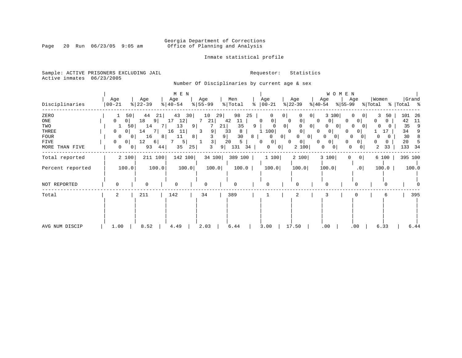# Georgia Department of Corrections<br>Page 20 Run 06/23/05 9:05 am 6ffice of Planning and Analysis Office of Planning and Analysis

### Inmate statistical profile

Sample: ACTIVE PRISONERS EXCLUDING JAIL **Requestor:** Statistics Active inmates 06/23/2005

Number Of Disciplinaries by current age & sex

|                  |                   |                  | M E N                        |                         |                           |                   |                               | WOMEN                   |                         |                    |
|------------------|-------------------|------------------|------------------------------|-------------------------|---------------------------|-------------------|-------------------------------|-------------------------|-------------------------|--------------------|
| Disciplinaries   | Age<br>$ 00 - 21$ | Age<br>$ 22-39 $ | Age<br>$\frac{1}{6}$   40-54 | Age<br>$8 55-99$        | Men<br>% Total<br>៖       | Age<br>$ 00-21$   | Age<br>$ 22-39 $<br>$ 40-54 $ | Age<br>Age<br>$ 55-99 $ | Women<br>% Total        | Grand<br>% Total % |
| ZERO             | 50                | 44<br>21         | 43<br>30                     | 10<br>29                | 98<br>25                  | 0                 | 0 <sup>1</sup>                | 3 100                   | 3<br>50<br>$\Omega$     | 101<br>26          |
| ONE              | 0<br>0            | 18<br>9          | 17<br>12                     | 21                      | 42<br>11                  | 0<br>0            | 0<br>0<br>0                   | 0<br>0                  | <sup>0</sup><br>0       | 42<br>11           |
| TWO              | 50                | 14               | 13<br>9                      | 21                      | 35<br>9                   | 0 <sup>1</sup>    | 0 <sub>1</sub>                | 0<br>O                  | $\Omega$                | 35<br>9            |
| THREE            | $\mathbf{0}$<br>0 | -7 I<br>14       | 16<br>11                     | 9 <sup>1</sup><br>3     | 33<br>8                   | 100               | 0<br>$\Omega$                 | $\overline{0}$<br>0     | 17                      | 34                 |
| <b>FOUR</b>      | 0<br>$\mathbf{0}$ | 16<br>8          | 11<br>8                      |                         | 30<br>9 <sup>1</sup><br>8 | $\circ$<br>0      | 0                             | 0<br>$\overline{0}$     | 0                       | 30<br>8            |
| FIVE             | $\mathbf{0}$<br>0 | 12<br>6          | 5                            | $\overline{\mathbf{3}}$ | 20<br>5                   | $\mathbf{0}$<br>0 | 0<br>0<br>0                   | 0<br>0                  | 0<br>0                  | 20                 |
| MORE THAN FIVE   | 0<br>0            | 93<br>44         | 35<br>25                     | 3<br>9                  | 131<br>34                 | 0<br> 0           | 2 100                         | 0<br>0<br>$\cup$        | 2<br>33<br>0            | 133<br>-34         |
| Total reported   | 2 100             | 211 100          | 142 100                      | 34 100                  | 389 100                   | 1 100             | 2 100                         | 3 100<br>$\Omega$       | $\overline{0}$<br>6 100 | 395 100            |
| Percent reported | 100.0             | 100.0            | 100.0                        | 100.0                   | 100.0                     | 100.0             | 100.0                         | 100.0                   | .0<br>100.0             | 100.0              |
| NOT REPORTED     | $\Omega$          | $\Omega$         | $\Omega$                     |                         | O                         | $\Omega$          |                               |                         |                         |                    |
| Total            | 2                 | 211              | 142                          | 34                      | 389                       |                   | 2                             |                         | 6                       | 395                |
|                  |                   |                  |                              |                         |                           |                   |                               |                         |                         |                    |
| AVG NUM DISCIP   | 1.00              | 8.52             | 4.49                         | 2.03                    | 6.44                      | 3.00              | 17.50                         | .00<br>.00              | 6.33                    | 6.44               |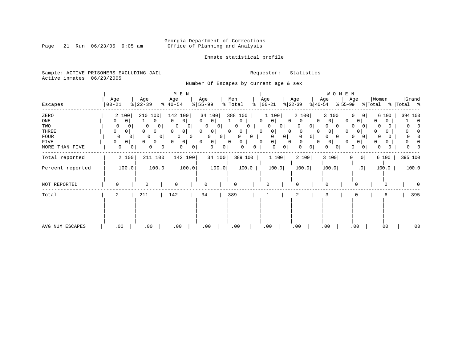# Georgia Department of Corrections<br>Page 21 Run 06/23/05 9:05 am 6ffice of Planning and Analysis Office of Planning and Analysis

### Inmate statistical profile

Sample: ACTIVE PRISONERS EXCLUDING JAIL **Requestor:** Statistics Active inmates 06/23/2005

Number Of Escapes by current age & sex

|                  | Age                 | Age                 | $M$ E $N$<br>Age                       | Age                    |                     | Men                 |          | Age                        | Age                 | W O M E N<br>Age    | Age                        | Women        | Grand          |
|------------------|---------------------|---------------------|----------------------------------------|------------------------|---------------------|---------------------|----------|----------------------------|---------------------|---------------------|----------------------------|--------------|----------------|
| Escapes          | $00 - 21$           | $ 22-39 $           | $\frac{1}{6}$   40-54                  | $\frac{8}{55}$ 55 - 99 |                     | $\frac{1}{2}$ Total | ွေ       | $ 00-21$                   | $ 22-39 $           | $ 40-54 $           | $ 55-99 $                  | % Total      | %   Total %    |
| ZERO             | 2 100               | 210 100             | 142 100                                |                        | 34 100              | 388 100             |          | 1 100                      | 2 100               | 3 100               | $\Omega$<br>0 <sup>1</sup> | 6 100        | 394 100        |
| ONE              | 0 <sup>1</sup><br>0 |                     | $\Omega$<br>$\Omega$<br>0 <sup>1</sup> | $\Omega$               | 0                   | 0                   | 0        | 0 <sup>1</sup>             | $\Omega$<br>0 I     | 0<br>$\Omega$       | $\overline{0}$<br>n        | U<br>0       | $\overline{0}$ |
| TWO              | 0                   | 0<br>0              | 0<br>0                                 | 0<br>$\overline{0}$    | 0 <sup>1</sup>      | 0                   | Ü        | 0<br>$\overline{0}$        | O<br>0 <sup>1</sup> | $\circ$             | $\Omega$<br>$\overline{0}$ | 0            | $\Omega$       |
| THREE            | 0<br>0 <sup>1</sup> | $\circ$<br>0        | 0<br>0 <sup>1</sup>                    | $\Omega$               | 0                   | 0<br>0              | 0        | $\mathbf{0}$               | 0<br>0              | 0<br>$\Omega$       | 0                          | 0            |                |
| <b>FOUR</b>      | 0                   | 0<br>0 <sup>1</sup> | 0<br>$\overline{0}$                    | 0 <sup>1</sup>         | 0<br>0 <sup>1</sup> | 0                   | 0        | $\overline{0}$<br>$\Omega$ | 0                   | $\circ$             | $\Omega$<br>$\overline{0}$ | <sup>0</sup> |                |
| <b>FIVE</b>      | 0 <sup>1</sup><br>0 | 0 <br>$\Omega$      | 0 <br>0                                | $\Omega$               | 0                   | 0<br>$\Omega$       | $\Omega$ | 0                          | $\circ$<br>0        | 0 <sup>1</sup><br>0 | $\overline{0}$             | 0<br>O.      |                |
| MORE THAN FIVE   | $\mathbf 0$         | 0<br>0              | 0<br>$\mathbf{0}$                      | 0                      | 0<br>$\mathbf{0}$   | 0                   | 0        | 0 <br>0                    | 0<br>0              | 0 <sup>1</sup>      | 0<br>0                     | 0            |                |
| Total reported   | 2 100               | 211 100             | 142 100                                |                        | 34 100              | 389 100             |          | 1 100                      | 2 100               | 3 100               | 0 <sup>1</sup><br>0        | 6 100        | 395 100        |
| Percent reported | 100.0               |                     | 100.0                                  | 100.0                  | 100.0               | 100.0               |          | 100.0                      | 100.0               | 100.0               | .0 <sub>1</sub>            | 100.0        | 100.0          |
| NOT REPORTED     | $\Omega$            | $\mathbf 0$         | $\Omega$                               | <sup>0</sup>           |                     | 0                   |          | 0                          | $\Omega$            |                     | 0                          | 0            |                |
| Total            | 2                   | 211                 | 142                                    | 34                     |                     | 389                 |          |                            | 2                   |                     |                            | 6            | 395            |
|                  |                     |                     |                                        |                        |                     |                     |          |                            |                     |                     |                            |              |                |
| AVG NUM ESCAPES  | .00                 | .00                 | .00                                    |                        | .00                 | .00                 |          | .00.                       | .00                 | .00                 | .00                        | .00          | .00            |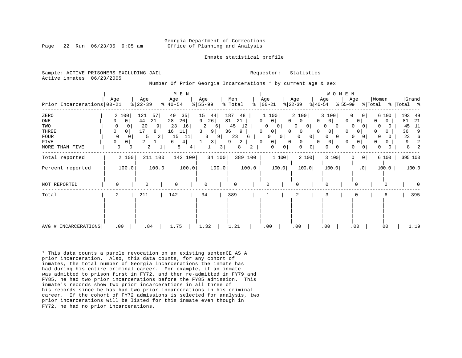#### Georgia Department of Corrections Page 22 Run 06/23/05 9:05 am Office of Planning and Analysis

Inmate statistical profile

|  | Sample: ACTIVE PRISONERS EXCLUDING JAIL |  | Requestor: Statistics |  |
|--|-----------------------------------------|--|-----------------------|--|
|  | Active inmates 06/23/2005               |  |                       |  |

#### Number Of Prior Georgia Incarcerations \* by current age & sex

| Prior Incarcerations   00-21                                                | Age                                                                                 | Age<br>$ 22-39 $                                           | M E N<br>Age<br>$\frac{1}{6}$   40-54                                          | Age<br>$8 55-99$                                                        | Men<br>% Total<br>$\approx$                                                 | Age<br>$ 00-21$                                                                                                                                   | Age<br>$ 22-39 $<br>$ 40-54 $                                                                             | W O M E N<br>Age<br>Age<br>$ 55-99 $                                                                                                                                                     | Women<br>% Total                                   | Grand<br>% Total %                                                          |
|-----------------------------------------------------------------------------|-------------------------------------------------------------------------------------|------------------------------------------------------------|--------------------------------------------------------------------------------|-------------------------------------------------------------------------|-----------------------------------------------------------------------------|---------------------------------------------------------------------------------------------------------------------------------------------------|-----------------------------------------------------------------------------------------------------------|------------------------------------------------------------------------------------------------------------------------------------------------------------------------------------------|----------------------------------------------------|-----------------------------------------------------------------------------|
| ZERO<br>ONE<br>TWO<br><b>THREE</b><br><b>FOUR</b><br>FIVE<br>MORE THAN FIVE | 100<br>2<br>0<br>0<br>0<br>0<br>0<br>0<br>0<br>0<br>$\Omega$<br>0<br>$\overline{0}$ | 121<br>57<br>21<br>44<br>20<br>17<br>8<br>5<br>2<br>2<br>2 | 49<br>35<br>20 <br>28<br>23<br>16<br>16<br>11<br>15<br>11<br>4 <br>6<br>5<br>4 | 15<br>44<br>26<br>9<br>2<br>6<br>3<br>9<br>3<br>9<br>$\frac{3}{ }$<br>3 | 187<br>48<br>21<br>81<br>45<br>12<br>36<br>9<br>23<br>6<br>9<br>2<br>8<br>2 | 1 100<br>0 <sup>1</sup><br>0<br>0<br>$\mathbf{0}$<br>0<br>0 <sup>1</sup><br>$\Omega$<br>0<br>$\overline{0}$<br>0<br>0<br>0<br>0 <sup>1</sup><br>0 | 2 100<br>$\Omega$<br>$\Omega$<br>0<br>0<br>0<br>0<br>$\Omega$<br>0<br>0<br>0<br>$\Omega$<br>$\Omega$<br>0 | 3 100<br>0<br> 0 <br>$\circ$<br>0<br><sup>o</sup><br>0<br><sup>0</sup><br>$\mathbf{0}$<br>$\Omega$<br>0<br>0<br>0 <sup>1</sup><br>O<br>0<br>0<br>0<br>$\Omega$<br>$\mathbf{0}$<br>U<br>0 | 6 100<br>0<br>0<br>0<br>0<br>0<br>0<br>N<br>0<br>0 | 193<br>49<br>21<br>81<br>11<br>45<br>9<br>36<br>23<br>6<br>2<br>9<br>2<br>8 |
| Total reported                                                              | 2 100                                                                               | 211 100                                                    | 142 100                                                                        | 34 100                                                                  | 389 100                                                                     | 1100                                                                                                                                              | 2 100                                                                                                     | 3 100<br> 0 <br>0                                                                                                                                                                        | 6 100                                              | 395 100                                                                     |
| Percent reported                                                            | 100.0                                                                               | 100.0                                                      | 100.0                                                                          | 100.0                                                                   | 100.0                                                                       | 100.0                                                                                                                                             | 100.0                                                                                                     | .0 <sub>1</sub><br>100.0                                                                                                                                                                 | 100.0                                              | 100.0                                                                       |
| NOT REPORTED                                                                | $\Omega$                                                                            | $\Omega$                                                   | $\Omega$                                                                       | 0                                                                       | 0                                                                           | ∩                                                                                                                                                 |                                                                                                           | U<br>$\cap$                                                                                                                                                                              |                                                    |                                                                             |
| Total                                                                       | 2                                                                                   | 211                                                        | 142                                                                            | 34                                                                      | 389                                                                         |                                                                                                                                                   | 2                                                                                                         | 0                                                                                                                                                                                        | 6                                                  | 395                                                                         |
| AVG # INCARCERATIONS                                                        | .00                                                                                 | .84                                                        | 1.75                                                                           | 1.32                                                                    | 1.21                                                                        | .00                                                                                                                                               | .00                                                                                                       | .00<br>.00                                                                                                                                                                               | .00                                                | 1.19                                                                        |

\* This data counts a parole revocation on an existing sentenCE AS A prior incarceration. Also, this data counts, for any cohort of inmates, the total number of Georgia incarcerations the inmate has had during his entire criminal career. For example, if an inmate was admitted to prison first in FY72, and then re-admitted in FY79 and FY85, he had two prior incarcerations before the FY85 admission. This inmate's records show two prior incarcerations in all three of his records since he has had two prior incarcerations in his criminal career. If the cohort of FY72 admissions is selected for analysis, two prior incarcerations will be listed for this inmate even though in FY72, he had no prior incarcerations.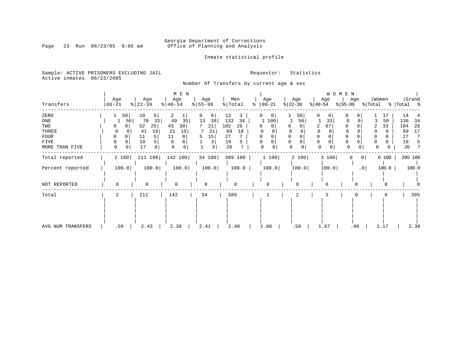# Georgia Department of Corrections<br>Page 23 Run 06/23/05 9:05 am 6ffice of Planning and Analysis Office of Planning and Analysis

## Inmate statistical profile

Sample: ACTIVE PRISONERS EXCLUDING JAIL **Requestor:** Statistics Active inmates 06/23/2005

Number Of Transfers by current age & sex

|                   |                            |                      | $M$ E $N$                    |                  |                     |                            |                               | W O M E N                   |                         |                      |
|-------------------|----------------------------|----------------------|------------------------------|------------------|---------------------|----------------------------|-------------------------------|-----------------------------|-------------------------|----------------------|
| Transfers         | Age<br>$ 00-21$            | Age<br>$ 22-39 $     | Age<br>$\frac{1}{6}$   40-54 | Age<br>$8 55-99$ | Men<br>% Total      | Age<br>ႜ<br>$ 00-21 $      | Age<br>$ 22-39 $              | Age<br>% 55−99<br>$ 40-54 $ | Women<br>Age<br>% Total | Grand<br>%   Total % |
| ZERO              | 50                         | 10<br>5 <sup>1</sup> | 2                            | 0<br>0           | 13<br>3             | $\mathbf{0}$               | 50                            | 0<br>0                      | 0                       | 14<br>17             |
| ONE               | 50                         | 70<br>33             | 49<br>35                     | 13<br>38         | 133<br>34           | 100                        | 50                            | 33                          | $\Omega$                | 50<br>136<br>34      |
| TWO               | 0                          | 52<br>25             | 43<br>30                     | 21               | 102<br>26           | $\Omega$<br>0              |                               | 67<br>2                     | 0<br>2                  | 33<br>104<br>26      |
| THREE             |                            | 19<br>41             | 21<br>15                     | 21               | 18<br>69            |                            |                               |                             |                         | 17<br>69             |
| <b>FOUR</b>       | 0<br>0                     | 5<br>11              | 11<br>8                      | 15<br>5.         | 27                  | $\Omega$                   |                               | $\Omega$<br>O               | $\Omega$                | 27                   |
| <b>FIVE</b>       | 0<br>0                     | 5<br>10              | 8                            | 3                | 19<br>5             | 0<br>0                     | $\Omega$                      | 0<br>0                      | 0                       | 19                   |
| MORE THAN FIVE    | $\mathbf 0$<br>$\mathbf 0$ | 8<br>17              | 8<br>6                       | 3                | 26<br>$\mathcal{L}$ | $\mathbf 0$<br>$\mathbf 0$ | $\mathbf 0$<br>$\overline{0}$ | $\mathbf 0$                 | 0<br>0<br>0             | 26<br>7<br>0         |
| Total reported    | 2 100                      | 211 100              | 142 100                      | 34 100           | 389 100             | 1 100                      | 2 100                         | 3 100                       | 0 <br>$\Omega$          | 395 100<br>6 100     |
| Percent reported  | 100.0                      | 100.0                | 100.0                        | 100.0            | 100.0               | 100.0                      | 100.0                         | 100.0                       | .0                      | 100.0<br>100.0       |
| NOT REPORTED      | $\Omega$                   | 0                    | 0                            |                  | $\Omega$            | $\Omega$                   | $\Omega$                      | 0                           | $\Omega$                |                      |
|                   |                            |                      |                              |                  |                     |                            |                               |                             |                         |                      |
| Total             | 2                          | 211                  | 142                          | 34               | 389                 |                            | 2                             |                             |                         | 395<br>6             |
|                   |                            |                      |                              |                  |                     |                            |                               |                             |                         |                      |
| AVG NUM TRANSFERS | .50                        | 2.43                 | 2.38                         | 2.41             | 2.40                | 1.00                       | .50                           | 1.67                        | .00                     | 2.38<br>1.17         |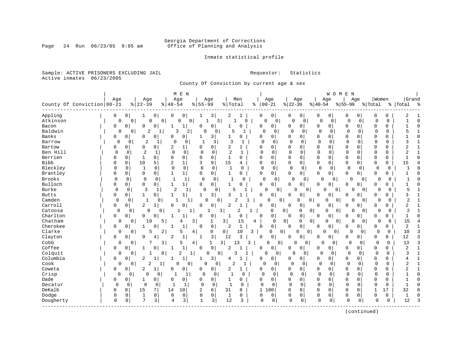# Georgia Department of Corrections<br>Page 24 Run 06/23/05 9:05 am 6ffice of Planning and Analysis Office of Planning and Analysis

Inmate statistical profile

Sample: ACTIVE PRISONERS EXCLUDING JAIL **Requestor:** Statistics Active inmates 06/23/2005

County Of Conviction by current age & sex

|              |                            |             | M E N          |                                |                  |                     |                |                               |                |                   |               |                               |                |                | W O M E     | N              |             |                |              |             |                |              |
|--------------|----------------------------|-------------|----------------|--------------------------------|------------------|---------------------|----------------|-------------------------------|----------------|-------------------|---------------|-------------------------------|----------------|----------------|-------------|----------------|-------------|----------------|--------------|-------------|----------------|--------------|
|              |                            | Age         |                | Age                            |                  | Age                 |                | Age                           |                | Men               |               | Age                           |                | Age            | Age         |                | Age         |                | Women        |             | Grand          |              |
|              | County Of Conviction 00-21 |             |                | $ 22-39$                       | $8   40 - 54$    |                     | $8155 - 99$    |                               | % Total        |                   | $ 00-21$<br>ႜ |                               | $ 22-39$       |                | $ 40-54$    |                | $8155 - 99$ |                | % Total      |             | %   Total      | း -          |
| Appling      |                            | $\mathbf 0$ | $\overline{0}$ | 0<br>1                         | 0                | 0                   | 1              | 3                             | 2              | 1                 | 0             | $\mathbf 0$                   | 0              | $\overline{0}$ | 0           | $\overline{0}$ | 0           | 0              | 0            | 0           | 2              |              |
| Atkinson     |                            | 0           | $\mathbf 0$    | 0                              | $\overline{0}$   | 0<br>0              |                | $\frac{3}{ }$<br>$\mathbf{1}$ | 1              | O                 | $\mathbf 0$   | $\mathbf 0$                   | 0              | $\mathbf 0$    | 0           | $\mathbf 0$    | $\mathbf 0$ | $\mathsf{O}$   | $\mathbf 0$  | $\mathbf 0$ |                | $\Omega$     |
| Bacon        |                            | 0           | $\mathbf 0$    | 0<br>$\Omega$                  | $\mathbf{1}$     | 1                   | 0              | $\mathbf 0$                   | $\mathbf{1}$   | 0                 | 0             | 0 <sup>1</sup>                | 0              | 0              | 0           | $\overline{0}$ | 0           | 0              | $\mathbf 0$  | 0           |                | $\Omega$     |
| Baldwin      |                            | 0           | 0              | $\overline{2}$                 |                  | 3<br>2              | $\Omega$       | $\mathbf 0$                   | 5              |                   | $\Omega$      | 0                             | $\Omega$       | 0              | $\mathbf 0$ | 0              | $\Omega$    | 0              | $\mathbf 0$  | 0           |                |              |
| Banks        |                            | 0           | 0              | $\Omega$<br>$\Omega$           | $\Omega$         | 0                   | 1              | 3                             | 1              | $\mathbf 0$       | $\mathbf 0$   | 0                             | 0              | 0              | 0           | 0              | $\Omega$    | U              | $\mathbf 0$  | $\Omega$    |                | $\Omega$     |
| Barrow       |                            | $\Omega$    | $\Omega$       | $\overline{2}$                 |                  | 0<br>$\Omega$       | $\mathbf{1}$   | 3                             | 3              |                   | 0             | $\Omega$                      | $\Omega$       | $\Omega$       | $\mathbf 0$ | $\Omega$       | $\Omega$    | $\Omega$       | $\Omega$     | 0           | ς              |              |
| Bartow       |                            | 0           | 0              | 0<br>0                         | 2                | 1                   | O              | 0                             | 2              | 1                 | <sup>0</sup>  | $\Omega$                      | 0              | 0              | $\Omega$    | 0              | 0           | $\Omega$       | $\mathbf 0$  | $\mathbf 0$ | 2              |              |
| Ben Hill     |                            | 0           | 0              | 1                              | $\Omega$         | $\mathbf 0$         | $\mathbf 0$    | $\mathbf 0$                   | $\overline{2}$ | 1                 | <sup>0</sup>  | 0                             | $\Omega$       | $\mathbf 0$    | 0           | 0              | $\Omega$    | $\Omega$       | $\mathbf 0$  | 0           |                | 1            |
| Berrien      |                            | 0           | 0              | 1<br>0                         | $\mathbf 0$      | 0                   | $\Omega$       | $\mathbf 0$                   | $\mathbf{1}$   | 0                 | $\Omega$      | 0                             | $\mathbf 0$    | 0              | 0           | 0              | 0           | $\Omega$       | $\mathbf 0$  | 0           |                | $\Omega$     |
| <b>Bibb</b>  |                            | 0           | 0              | 10<br>5                        | 2                | $\mathbf{1}$        | 3              | 9                             | 15             | 4                 | 0             | 0                             | 0              | 0              | 0           | 0              | $\Omega$    | 0              | 0            | 0           | 15             |              |
| Bleckley     |                            | O           | 0              | 1<br>0                         | $\Omega$         | $\mathbf 0$         | $\Omega$       | $\Omega$                      | 1              | 0                 | $\Omega$      | 0                             | $\Omega$       | $\Omega$       | $\mathbf 0$ | 0              | 0           | 0              | $\Omega$     | $\Omega$    | 1              | n            |
| Brantley     |                            | Ω           | 0              | $\mathbf 0$<br>0               | 1                | $\mathbf{1}$        | 0              | 0                             | 1              | 0                 | 0             | 0                             | 0              | 0              | 0           | $\overline{0}$ | 0           | 0              | 0            | 0           |                | <sup>0</sup> |
| Brooks       |                            | $\Omega$    | $\mathbf 0$    | $\Omega$                       | $\Omega$<br>1    | $\mathbf{1}$        | $\mathbf 0$    | $\mathbf 0$                   | 1              | $\Omega$          | $\mathbf 0$   | 0                             | 0              | $\mathbf 0$    | $\Omega$    | 0              | 0           | 0              | 0            | 0           |                | O            |
| Bulloch      |                            | 0           | $\mathbf 0$    | $\mathbf 0$<br>$\mathbf 0$     | $\mathbf{1}$     | 1                   | $\Omega$       | $\mathbf 0$                   | $\mathbf{1}$   | 0                 | $\mathbf 0$   | 0 <sup>1</sup>                | $\mathbf 0$    | $\overline{0}$ | $\mathbf 0$ | 0              | 0           | 0              | $\mathbf 0$  | 0           |                |              |
| Burke        |                            | $\mathbf 0$ | 0              | 3                              | 1                | $\overline{2}$<br>1 | $\mathbf 0$    | 0                             | 5              | -1                | $\Omega$      | 0                             | 0              | 0              | 0           | 0              | 0           | $\overline{0}$ | $\Omega$     | 0           | 5              |              |
| <b>Butts</b> |                            | 0           | $\mathbf 0$    | 1<br>$\Omega$                  | $\mathbf{1}$     | 1                   | 1              | 3                             | ς              | 1                 | $\Omega$      | 0                             | $\Omega$       | 0              | $\Omega$    | 0              | O           | U              | $\Omega$     | $\Omega$    | ζ              |              |
| Camden       |                            | $\Omega$    | $\Omega$       | $\mathbf{1}$                   | $\Omega$         | 1                   |                | $\Omega$<br>$\Omega$          |                |                   |               | $\Omega$<br>0                 |                | 0<br>0         | $\Omega$    | 0              | 0           | $\Omega$       | $\Omega$     | 0           | $\overline{c}$ | $\mathbf{1}$ |
| Carroll      |                            | 0           | $\mathbf 0$    | 2<br>1                         | $\mathbf 0$      | 0                   | 0              | 0                             | 2              |                   | 0             | 0                             | 0              | 0              | 0           | 0              | 0           | 0              | $\mathbf 0$  | 0           | 2              |              |
| Catoosa      |                            | 0           | 0              | $\mathbf 0$                    | 0                |                     |                |                               | 3              | 2<br>$\mathbf{1}$ |               | $\Omega$                      | 0 <sub>1</sub> | 0<br>0         | 0           | 0              | 0           | $\overline{0}$ | 0            | 0           | $\overline{2}$ |              |
| Charlton     |                            | 0           | $\mathbf 0$    | $\Omega$<br>0                  | -1               | 1                   | $\Omega$       | 0                             | 1              | 0                 | $\Omega$      | 0                             | 0              | 0              | $\Omega$    | 0              | 0           | 0              | $\mathbf 0$  | 0           | $\mathbf{1}$   | $\Omega$     |
| Chatham      |                            | 0           | 0              | 10                             | 5                | 4                   | 3              | $\mathbf{1}$                  | 3              | 15                | 4             | 0                             | $\mathbf 0$    | 0<br>0         | 0           | 0              | 0           | 0              | $\Omega$     | 0           | 15             |              |
| Cherokee     |                            | 0           | $\Omega$       | 1<br>$\Omega$                  | -1               | $\mathbf{1}$        | $\Omega$       | $\mathsf 0$                   | 2              | $\mathbf{1}$      | $\Omega$      | $\mathbf 0$                   | $\Omega$       | 0              | $\Omega$    | $\mathbf 0$    | 0           | 0              | 0            | 0           | 2              | 1            |
| Clarke       |                            | 0           | $\mathbf{0}$   | 5                              | $\overline{a}$   | 5                   | $\overline{4}$ | 0                             | 0              | 10<br>3           |               | $\mathbf 0$<br>$\overline{0}$ |                | 0<br>O         | $\Omega$    | 0              | $\Omega$    | 0              | $\Omega$     | 0           | 10             | 3            |
| Clayton      |                            | 0           | 0              | 9<br>4                         | 2                | $\mathbf 1$         | 1              | 3                             | 12             | 3                 | $\Omega$      | 0                             | 0              | 0              | 0           | 0              | 0           | 0              | 0            | 0           | 12             | 3            |
| Cobb         |                            | 0           | 0              |                                | 3                | 5                   | $\overline{4}$ | 1                             | $\frac{3}{ }$  | 13<br>3           |               | 0<br>0                        | 0              | 0              | 0           | 0              | 0           | 0              | 0            | 0           | 13             | 3            |
| Coffee       |                            | 0           | $\mathbf 0$    | 1<br>0                         | $\mathbf{1}$     | $1\,$               | $\mathbf 0$    | 0                             | 2              |                   | $\mathbf 0$   | 0                             | 0              | 0              | 0           | $\overline{0}$ | $\Omega$    | 0              | $\mathbf 0$  | 0           | $\overline{2}$ | 1            |
| Colquit      |                            | 0           | 0              |                                | $\overline{0}$   | 2                   | 1              | 0<br>$\overline{0}$           |                | 3                 | $\mathbf 0$   | 0                             | $\Omega$       | 0              | $\mathbf 0$ | 0              | 0           | $\mathbf 0$    | $\mathbf 0$  | 0           | 3              | $\mathbf{1}$ |
| Columbia     |                            | 0           | $\mathbf 0$    | $\overline{c}$<br>$\mathbf{1}$ | 1                | $\mathbf{1}$        | $\mathbf{1}$   | 3                             | 4              | $\mathbf{1}$      | $\Omega$      | $\overline{0}$                | $\mathbf 0$    | 0              | $\mathbf 0$ | 0              | $\Omega$    | 0              | $\mathbf 0$  | $\Omega$    |                | $\mathbf{1}$ |
| Cook         |                            | 0           | $\Omega$       | $\overline{2}$                 | 1                | $\mathbf 0$<br>O    | O              | $\Omega$                      | $\overline{2}$ | $\mathbf{1}$      | $\Omega$      | $\Omega$                      | ∩              | $\Omega$       | $\Omega$    | $\Omega$       | $\Omega$    | $\Omega$       | $\Omega$     | $\Omega$    | $\overline{c}$ | $\mathbf{1}$ |
| Coweta       |                            | 0           | $\mathbf 0$    | 2<br>1                         | 0                | 0                   | 0              | 0 <sup>1</sup>                | 2              | 1                 | $\Omega$      | $\overline{0}$                | 0              | 0              | $\mathbf 0$ | $\mathbf 0$    | $\Omega$    | $\Omega$       | $\mathbf 0$  | $\Omega$    | 2              | 1            |
| Crisp        |                            | $\mathbf 0$ | 0              | $\mathbf 0$                    | 0                | 1                   | 0              | $\mathbf 0$                   | $\mathbf{1}$   | $\Omega$          | $\Omega$      | $\Omega$                      | $\Omega$       | $\Omega$       | $\mathbf 0$ | $\mathbf 0$    | $\Omega$    | $\Omega$       | 0            | 0           |                | $\Omega$     |
| Dade         |                            | 0           | $\mathbf 0$    | 1<br>0                         | $\Omega$         | 0                   | 0              | $\mathbf 0$                   | 1              | $\Omega$          | $\Omega$      | $\mathbf 0$                   | $\mathbf 0$    | 0              | $\mathbf 0$ | 0              | 0           | $\Omega$       | $\mathbf 0$  | $\Omega$    |                | $\Omega$     |
| Decatur      |                            | $\Omega$    | 0              | 0                              | $\mathbf 0$<br>1 | 1                   | $\Omega$       | 0                             | 1              | 0                 | $\Omega$      | $\Omega$                      | 0              | $\mathbf 0$    | $\mathbf 0$ | 0              | $\Omega$    | $\Omega$       | $\Omega$     | 0           |                | $\Omega$     |
| DeKalb       |                            | O           | $\mathbf 0$    | 15<br>7                        | 14               | 10                  | $\overline{c}$ | 6                             | 31             | 8                 | $\mathbf{1}$  | 00                            | $\mathbf 0$    | 0              | $\mathbf 0$ | $\mathbf 0$    | 0           | O              | $\mathbf{1}$ | 17          | 32             | 8            |
| Dodge        |                            | 0           | $\mathbf 0$    | 0<br>$\mathbf{1}$              | $\Omega$         | 0                   | $\mathbf 0$    | $\mathbf 0$                   | 1              | 0                 | 0             | 0                             | 0              | 0              | 0           | $\mathbf 0$    | $\mathbf 0$ | 0              | $\Omega$     | 0           |                | $\Omega$     |
| Dougherty    |                            | 0           | 0              | 7<br>3                         | 4                | 3                   | 1              | 3                             | 12             | 3                 | $\mathbf 0$   | $\mathbf 0$                   | 0              | $\mathbf 0$    | $\mathbf 0$ | 0              | $\mathbf 0$ | 0              | 0            | 0           | 12             | 3            |
|              |                            |             |                |                                |                  |                     |                |                               |                |                   |               |                               |                |                |             |                |             |                |              |             |                |              |

(continued)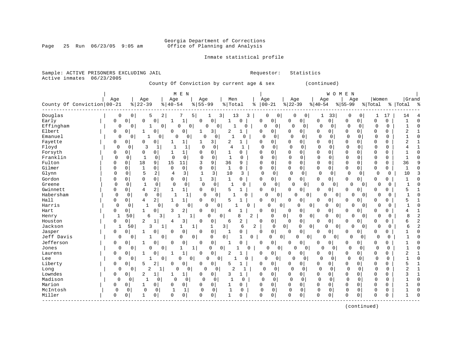# Georgia Department of Corrections<br>Page 25 Run 06/23/05 9:05 am 6ffice of Planning and Analysis Office of Planning and Analysis

# Inmate statistical profile

| Active inmates               | 06/23/2005 |             |                            |                      |                | County Of Conviction by current age & sex |          |                  |                |                |              |             |                      |                 |                  |                 | (continued)          |                                 |                               |                  |             |                    |                |
|------------------------------|------------|-------------|----------------------------|----------------------|----------------|-------------------------------------------|----------|------------------|----------------|----------------|--------------|-------------|----------------------|-----------------|------------------|-----------------|----------------------|---------------------------------|-------------------------------|------------------|-------------|--------------------|----------------|
| County Of Conviction   00-21 |            | Age         |                            | Age<br>$8   22 - 39$ |                | M E N<br>Age<br>$8   40 - 54$             |          | Age<br>$8 55-99$ |                | Men<br>% Total |              | ႜ           | Age<br>$ 00 - 21$    | Age<br>$ 22-39$ |                  | Aqe<br>$ 40-54$ |                      | <b>WOMEN</b><br>Age<br>$ 55-99$ |                               | Women<br>% Total |             | Grand<br>%   Total | ം ക            |
| Douglas<br>Early             |            | 0<br>0      | $\mathbf 0$<br>$\mathbf 0$ | 5<br>$\mathbf 0$     | 2<br>0         | 7<br>$\mathbf{1}$<br>-1                   | 5        | 1<br>$\Omega$    | 3 <br>$\circ$  | 13<br>1        | 3<br>O       | $\Omega$    | 0<br>0<br>0          | 0<br>$\Omega$   | 0<br>0           | 1<br>0          | 33<br>0 <sup>1</sup> | 0<br>$\mathbf 0$                | $\mathbf 0$<br>$\overline{0}$ | 1<br>0           | 17<br>0     | 14<br>$\mathbf{1}$ | $\bigcap$      |
| Effingham                    |            | $\Omega$    | $\Omega$                   | 1                    | $\Omega$       | $\cap$                                    | 0        | $\Omega$         | $\Omega$       | 1              | U            |             | $\cap$<br>0          | $\Omega$        | $\Omega$         | $\Omega$        | 0                    | 0                               | $\Omega$                      | $\Omega$         | $\Omega$    | $\mathbf{1}$       | $\Omega$       |
| Elbert                       |            | 0           | 0                          |                      | 0              | 0<br>0                                    |          |                  | 3              | 2              | 1            | 0           | 0                    | 0               | 0                | 0               | $\overline{0}$       | 0                               | 0                             | 0                | 0           | 2                  |                |
| Emanuel                      |            | 0           | $\Omega$                   | 1                    | $\Omega$       | $\Omega$                                  | $\Omega$ | $\Omega$         | 0              | $\mathbf{1}$   | 0            |             | $\mathbf{0}$<br>0    | $\cap$          | 0                | $\Omega$        | 0                    | $\Omega$                        | 0                             | $\Omega$         | $\Omega$    | $\mathbf{1}$       | $\Omega$       |
| Fayette                      |            | 0           | 0                          | 0                    | $\Omega$       | 1<br>1                                    |          | 1                | 3              | 2              | 1            | 0           | 0                    | 0               | 0                | 0               | 0                    | $\mathbf{0}$                    | $\overline{0}$                | 0                | 0           | 2                  | -1             |
| Floyd                        |            | $\Omega$    | <sup>0</sup>               | 3                    | $\mathbf{1}$   | $\mathbf{1}$<br>$\mathbf{1}$              |          | $\Omega$         | $\mathbf 0$    | $\overline{4}$ | $\mathbf{1}$ | $\Omega$    | $\Omega$             | $\Omega$        | $\Omega$         | $\Omega$        | $\mathbf 0$          | $\Omega$                        | $\Omega$                      | $\Omega$         | $\Omega$    | 4                  | $\mathbf{1}$   |
| Forsyth                      |            | 0           | 0                          | 0                    | $\Omega$       | 1<br>1                                    |          | $\Omega$         | $\circ$        | 1              | $\Omega$     | 0           | 0                    | 0               | 0                | $\Omega$        | 0                    | $\Omega$                        | $\Omega$                      | $\Omega$         | $\Omega$    | 1                  | $\bigcap$      |
| Franklin                     |            | $\Omega$    | 0                          | $\mathbf{1}$         | 0              | $\mathbf 0$<br>0                          |          | $\mathbf 0$      | 0              | $\mathbf{1}$   | 0            | $\Omega$    | 0                    | 0               | $\mathbf 0$      | $\Omega$        | 0                    | $\Omega$                        | 0                             | $\mathbf 0$      | $\mathbf 0$ | 1                  | $\sqrt{ }$     |
| Fulton                       |            | $\Omega$    | 0                          | 18                   | 9              | 15<br>11                                  |          | 3                | 9              | 36             | 9            | $\Omega$    | 0                    | $\Omega$        | $\mathbf 0$      | 0               | $\mathbf 0$          | $\mathbf 0$                     | 0                             | $\mathbf 0$      | $\Omega$    | 36                 | q              |
| Gilmer                       |            | $\Omega$    | $\mathbf 0$                | $\mathbf{1}$         | 0              | $\Omega$<br>0                             |          | $\mathbf 0$      | 0 <sup>1</sup> | $\mathbf{1}$   | 0            | $\mathbf 0$ | 0                    | $\mathbf 0$     | $\mathbf 0$      | 0               | 0                    | $\mathbf 0$                     | $\mathbf 0$                   | 0                | $\mathbf 0$ | $\mathbf{1}$       | C              |
| Glynn                        |            | $\Omega$    | $\mathbf 0$                | 5                    | $\overline{a}$ | 3<br>$\overline{4}$                       |          | $\mathbf{1}$     | 3              | 10             | 3            | $\mathbf 0$ | $\mathbf 0$          | $\Omega$        | 0                | $\mathbf 0$     | $\mathbf 0$          | $\mathbf 0$                     | $\mathbf 0$                   | $\Omega$         | 0           | 10                 |                |
| Gordon                       |            | $\Omega$    | $\Omega$                   | $\Omega$             | 0              | 0<br>0                                    |          | $\mathbf{1}$     | 3              | $\mathbf 1$    | 0            | 0           | 0                    | $\Omega$        | $\mathbf 0$      | 0               | 0 <sup>1</sup>       | $\mathbf 0$                     | 0 <sup>1</sup>                | 0                | $\Omega$    | $\mathbf{1}$       | ſ              |
| Greene                       |            | 0           | 0                          | 1                    | $\mathbf 0$    | 0<br>0                                    |          | $\Omega$         | 0              | 1              | $\Omega$     |             | $\Omega$<br>0        | $\Omega$        | 0                | $\cap$          | $\overline{0}$       | $\Omega$                        | $\Omega$                      | 0                | $\Omega$    | 1                  | O              |
| Gwinnett                     |            | 0           | 0                          | 4                    | 2              | $1\vert$<br>1                             |          | $\mathbf 0$      | $\circ$        | 5              | 1            | 0           | 0                    | $\Omega$        | 0                | 0               | 0                    | 0                               | 0                             | 0                | U           | 5                  | $\mathbf{1}$   |
| Habersham                    |            | $\mathbf 0$ | 0                          | $\mathbf 0$          | 0              |                                           | 1        | 0                | 0              |                | O            |             | 0 <sup>1</sup><br>∩  | $\Omega$        | 0                |                 | U<br>0               | 0                               | 0                             | 0                | 0           | $\mathbf{1}$       | $\Omega$       |
| Hall                         |            | 0           | 0                          | 4                    | $\overline{a}$ | $\mathbf{1}$<br>$\mathbf{1}$              |          | 0                | 0              | 5              | -1           | 0           | 0                    | $\Omega$        | 0                | 0               | 0                    | $\Omega$                        | 0 <sup>1</sup>                | $\Omega$         | 0           | 5                  | $\overline{1}$ |
| Harris                       |            | 0           | 0                          |                      | 0              | $\Omega$                                  | 0        | 0                | 0              |                | O            |             | $\Omega$<br>0        |                 | $\Omega$<br>0    |                 | O<br>0               | $\cap$                          | 0                             | 0                | 0           |                    | $\Omega$       |
| Hart                         |            | 0           | 0                          | 1                    | $\Omega$       | 2<br>3                                    |          | $\Omega$         | $\Omega$       | 4              | 1            | $\Omega$    | 0                    | $\Omega$        | 0                | 0               | 0                    | $\Omega$                        | $\Omega$                      | $\Omega$         | 0           | 4                  | $\mathbf{1}$   |
| Henry                        |            | 1           | 50                         | 6                    | 3              | 1                                         | 1        | 0                | 0              |                | 8<br>2       |             | 0                    | $\overline{0}$  | $\mathbf 0$<br>0 |                 | 0<br>0               | 0                               | 0 <sup>1</sup>                | 0                | 0           | 8                  | 2              |
| Houston                      |            | 0           | 0                          | 2                    | 1              | 3<br>4                                    |          | $\Omega$         | 0              | 6              | 2            | $\Omega$    | 0                    | $\Omega$        | $\mathsf 0$      | 0               | 0                    | $\Omega$                        | 0                             | 0                | 0           | 6                  | 2              |
| Jackson                      |            | 1           | 50                         | 3                    | 1              | 1                                         | 1        |                  | 3<br>1         |                | 6            | 2           | $\mathbf 0$          | $\overline{0}$  | 0<br>0           |                 | $\Omega$<br>0        | $\Omega$                        | 0                             | 0                | 0           | 6                  | $\overline{2}$ |
| Jasper                       |            | 0           | $\Omega$                   | $\mathbf{1}$         |                | 0<br>$\Omega$                             |          | $\Omega$         | $\mathbf 0$    | -1             | 0            | Ω           | $\mathsf{O}$         | $\Omega$        | $\mathbf 0$      | 0               | 0                    | 0                               | $\overline{0}$                | 0                | 0           | 1                  | C              |
| Jeff Davis                   |            | 0           | 0                          | 1                    | 0              | 0                                         | 0        |                  | 0<br>0         |                | 0<br>1       |             | 0                    | $\mathbf{0}$    | 0<br>0           | $\Omega$        | 0                    | 0                               | $\mathbf 0$                   | $\Omega$         | 0           | $\mathbf{1}$       | ſ              |
| Jefferson                    |            | 0           | $\mathbf 0$                | $\mathbf{1}$         | $\Omega$       | 0<br>$\Omega$                             |          | $\Omega$         | 0              | $\mathbf{1}$   | $\Omega$     | $\Omega$    | 0                    | $\Omega$        | $\mathbf 0$      | 0               | 0                    | $\mathbf 0$                     | 0 <sup>1</sup>                | $\Omega$         | $\Omega$    |                    | $\sqrt{ }$     |
| Jones                        |            | 0           | 0                          | 0                    | 0              | 1                                         | 1        | $\Omega$         | 0              |                | $\Omega$     |             | $\Omega$<br>$\Omega$ | 0               | 0                | U               | 0                    | $\Omega$                        | 0                             | 0                | 0           |                    | $\Omega$       |
| Laurens                      |            | 0           | $\Omega$                   | 1                    | O              | $\mathbf{1}$<br>1                         |          | $\mathbf 0$      | $\overline{0}$ | $\overline{2}$ | 1            | 0           | 0                    | <sup>0</sup>    | 0                | 0               | 0                    | 0                               | 0                             | 0                | $\mathbf 0$ | 2                  | $\mathbf{1}$   |
| Lee                          |            | 0           | 0                          | 1                    | 0              | 0                                         | 0        | 0                | 0 <sup>1</sup> |                | O            |             | 0<br>0               | $\Omega$        | 0                | $\Omega$        | 0                    | 0                               | 0                             | 0                | 0           | $\mathbf{1}$       | $\Omega$       |
| Liberty                      |            | 0           | 0                          | 5                    | 2              | 0<br>$\Omega$                             |          | $\Omega$         | $\mathbf 0$    | 5              | 1            | $\Omega$    | 0                    | $\Omega$        | 0                | 0               | 0                    | $\Omega$                        | $\overline{0}$                | $\Omega$         | $\Omega$    | 5                  | $\overline{1}$ |
| Long                         |            | 0           | 0                          | $\overline{c}$       | 1              | $\Omega$                                  | 0        | O                | 0              | $\overline{2}$ | 1            |             | $\Omega$<br>0        | O               | 0                | $\mathbf 0$     | 0                    | $\mathbf 0$                     | 0                             | 0                | $\mathbf 0$ | $\overline{2}$     | -1             |
| Lowndes                      |            | 0           | $\Omega$                   | 2                    | 1              | 1<br>1                                    |          | 0                | $\Omega$       | 3              | 1            | 0           | 0                    | 0               | $\Omega$         | 0               | 0                    | $\Omega$                        | $\Omega$                      | $\Omega$         | $\Omega$    | 3                  | $\mathbf{1}$   |
| Madison                      |            | 0           | 0                          | $\mathbf{1}$         | 0              | $\Omega$                                  | 0        | $\mathbf 0$      | 0              | $\mathbf{1}$   | 0            | 0           | $\mathbf 0$          | $\Omega$        | 0                | $\mathbf 0$     | 0                    | 0                               | $\mathbf 0$                   | $\mathbf 0$      | $\mathbf 0$ | 1                  | $\Omega$       |
| Marion                       |            | 0           | 0                          | 1                    | 0              | 0<br>0                                    |          | 0                | 0 <sup>1</sup> | 1              | 0            | $\Omega$    | 0                    | 0               | $\mathbf 0$      | 0               | 0                    | $\mathbf 0$                     | $\overline{0}$                | 0                | 0           | 1                  | C              |
| McIntosh                     |            | 0           | $\mathbf 0$                | $\mathbf 0$          | 0              | $\mathbf{1}$<br>$\mathbf{1}$              |          | $\mathbf 0$      | $\mathbf 0$    | $\mathbf{1}$   | 0            | $\mathbf 0$ | 0                    | $\mathbf 0$     | 0                | $\mathbf 0$     | 0                    | 0                               | 0                             | $\Omega$         | $\mathbf 0$ |                    | $\sqrt{ }$     |
| Miller                       |            | 0           | 0                          | $\mathbf{1}$         | 0              | $\Omega$<br>0                             |          | $\Omega$         | $\overline{0}$ | $\mathbf{1}$   | O            | O           | 0                    | $\Omega$        | $\mathbf 0$      | $\Omega$        | $\Omega$             | $\Omega$                        | 0                             | $\Omega$         | O           | 1                  |                |

(continued)

Sample: ACTIVE PRISONERS EXCLUDING JAIL **Requestor:** Statistics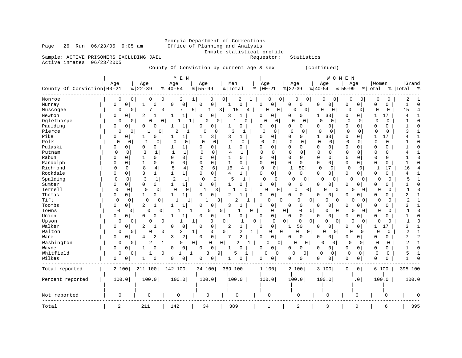# Georgia Department of Corrections<br>Page 26 Run 06/23/05 9:05 am Office of Planning and Analysis Office of Planning and Analysis

Inmate statistical profile<br>Requestor: Statistics

Sample: ACTIVE PRISONERS EXCLUDING JAIL Active inmates 06/23/2005

County Of Conviction by current age & sex (continued)

| County Of Conviction   00-21                                                                                                                                                                                                                                                                                                   | Age                                                                                                                                   |                                                                                                                                                                                                                                                                                                     | Age<br>$8   22 - 39$                                                                                                                                                                                                                                                                                             | M E N<br>Age<br>$8   40 - 54$                                                                                                                                                                                                                                                                                                            | Age<br>$8 55-99$                                                                                                                                                                                                                                                                                                                                                                                                                                                                                                                                                                                                                                        | Men<br>% Total                                                                                                                                                                                                                                                                                                                                                                                                       | Age<br>$8   00 - 21$                                                                                                                                                                                                                                                                                                                                                                                                   | Age<br>$ 22-39$                                                                                                                                                                                                                                                                                                                                                                                                                                                                                                                                                                                                           | Age<br>$ 40-54$                                                                                                                                                                                                                                                                                                                                                                                                                                                  | W O M E N<br>Age<br>$8 55-99$                                                                                                                                                                                                                                                                                                                                                                                                                                                                                                                            | Women<br>% Total                                                                                                                                                                                                                                                                                                                                                                                                                                                                                                                                | Grand<br>%   Total<br>್ಗಿ                                                                                                                                                             |
|--------------------------------------------------------------------------------------------------------------------------------------------------------------------------------------------------------------------------------------------------------------------------------------------------------------------------------|---------------------------------------------------------------------------------------------------------------------------------------|-----------------------------------------------------------------------------------------------------------------------------------------------------------------------------------------------------------------------------------------------------------------------------------------------------|------------------------------------------------------------------------------------------------------------------------------------------------------------------------------------------------------------------------------------------------------------------------------------------------------------------|------------------------------------------------------------------------------------------------------------------------------------------------------------------------------------------------------------------------------------------------------------------------------------------------------------------------------------------|---------------------------------------------------------------------------------------------------------------------------------------------------------------------------------------------------------------------------------------------------------------------------------------------------------------------------------------------------------------------------------------------------------------------------------------------------------------------------------------------------------------------------------------------------------------------------------------------------------------------------------------------------------|----------------------------------------------------------------------------------------------------------------------------------------------------------------------------------------------------------------------------------------------------------------------------------------------------------------------------------------------------------------------------------------------------------------------|------------------------------------------------------------------------------------------------------------------------------------------------------------------------------------------------------------------------------------------------------------------------------------------------------------------------------------------------------------------------------------------------------------------------|---------------------------------------------------------------------------------------------------------------------------------------------------------------------------------------------------------------------------------------------------------------------------------------------------------------------------------------------------------------------------------------------------------------------------------------------------------------------------------------------------------------------------------------------------------------------------------------------------------------------------|------------------------------------------------------------------------------------------------------------------------------------------------------------------------------------------------------------------------------------------------------------------------------------------------------------------------------------------------------------------------------------------------------------------------------------------------------------------|----------------------------------------------------------------------------------------------------------------------------------------------------------------------------------------------------------------------------------------------------------------------------------------------------------------------------------------------------------------------------------------------------------------------------------------------------------------------------------------------------------------------------------------------------------|-------------------------------------------------------------------------------------------------------------------------------------------------------------------------------------------------------------------------------------------------------------------------------------------------------------------------------------------------------------------------------------------------------------------------------------------------------------------------------------------------------------------------------------------------|---------------------------------------------------------------------------------------------------------------------------------------------------------------------------------------|
| Monroe<br>Murray<br>Muscogee<br>Newton<br>Oglethorpe<br>Paulding<br>Pierce<br>Pike<br>Polk<br>Pulaski<br>Putnam<br>Rabun<br>Randolph<br>Richmond<br>Rockdale<br>Spalding<br>Sumter<br>Terrell<br>Thomas<br>Tift<br>Toombs<br>Towns<br>Union<br>Upson<br>Walker<br>Walton<br>Ware<br>Washington<br>Wayne<br>Whitfield<br>Wilkes | 0<br>0<br>0<br>0<br>0<br>$\mathbf 0$<br>$\Omega$<br>0<br>0<br>0<br>$\mathbf 0$<br>0<br>$\mathbf 0$<br>0<br>0<br>0<br>0<br>0<br>0<br>0 | 0<br>0<br>$\mathbf 0$<br>0<br>0<br>0<br>0<br>0<br>0<br>0<br>0<br>0<br>$\Omega$<br>$\Omega$<br>0<br>0<br>$\Omega$<br>0<br>$\Omega$<br>0<br>0<br>$\Omega$<br>0<br>0<br>0<br>0<br>0<br>$\overline{0}$<br>0<br>0<br>0<br>0<br>0<br>0<br>0<br>$\Omega$<br>$\mathbf 0$<br>0<br>0<br>0<br>$\mathbf 0$<br>0 | 0<br>0<br>7<br>2<br>0<br>$\Omega$<br>0<br>1<br>0<br>1<br>0<br>0<br>0<br>3<br>1<br>$\Omega$<br>1<br>1<br>0<br>8<br>4<br>3<br>$\mathbf{1}$<br>3<br>$\mathbf 1$<br>0<br>$\Omega$<br>$\mathbf 0$<br>$\mathbf 0$<br>0<br>1<br>0<br>2<br>$\Omega$<br>$\Omega$<br>$\Omega$<br>0<br>2<br>0<br>2<br>4<br>2<br>0<br>1<br>0 | 0<br>2<br>0<br>0<br>3<br>7<br>1<br>0<br>1<br>-1<br>$\overline{c}$<br>0<br>1<br>$\Omega$<br>1<br>$\mathbf{1}$<br>0<br>0<br>$\Omega$<br>0<br>5<br>$\mathbf{1}$<br>2<br>1 <br>1<br>$\Omega$<br>$\mathbf{1}$<br>1<br>$\Omega$<br>1<br>1<br>0<br>1<br>1<br>0<br>0<br>O<br>0<br>2<br>2<br>3<br>1<br>0<br>0<br>0<br>$\mathbf{0}$<br>1<br>0<br>Ω | 1<br>0<br>$\mathbf 0$<br><sup>0</sup><br>5<br>1<br>0<br>$\Omega$<br>1<br>0<br>$\Omega$<br>0 <sup>1</sup><br>$\Omega$<br>0<br>3 <br>1<br>0<br>$\Omega$<br>0<br>$\Omega$<br>0<br>$\mathbf{1}$<br>$\mathbf 0$<br>0<br>$\Omega$<br>$\mathbf 0$<br>$\Omega$<br>0<br>$\overline{2}$<br>4<br>6<br>0<br>0 <sup>1</sup><br>1 <br>$\mathbf{1}$<br>$\Omega$<br>$\mathbf 0$<br>$\Omega$<br>$\overline{0}$<br>0<br>3<br>-1<br>$\Omega$<br>0<br>1<br>1<br>0<br>$\Omega$<br>0<br>1<br>$\mathbf 0$<br>$\mathbf 0$<br>$\mathbf{1}$<br>0<br>$\mathbf 0$<br>$\Omega$<br>$\mathbf 1$<br>0<br>$\mathsf{O}$<br>0<br>0<br>O<br>0<br>0<br>3<br>$\mathbf{1}$<br>$\mathbf 0$<br>0 | 0<br>2<br>$\Omega$<br>1<br>$\overline{3}$<br>15<br>3<br>$\overline{0}$<br>O<br>1<br>O<br>3<br>3<br>1<br>1<br>$\Omega$<br>$\mathbf{1}$<br>0<br>4<br>1<br>$\mathbf{1}$<br>$\Omega$<br>1<br>0<br>15<br>4<br>4<br>$\mathbf{1}$<br>5<br>1<br>$\mathbf{1}$<br>O<br>U<br>2<br>3<br>2<br>3<br>$\mathbf{1}$<br>0<br>$\mathbf{1}$<br>$\cap$<br>0<br>2<br>1<br>0<br>2<br>$\overline{2}$<br>7<br>2<br>0<br>1<br>9<br>5<br>0<br>1 | 0<br>0<br>0<br>0<br>4<br>0<br>0<br>$\Omega$<br>0<br>$\Omega$<br>$\Omega$<br>0<br>0<br>0<br>$\Omega$<br>0<br>0<br>0<br>$\mathbf 0$<br>$\Omega$<br>0<br>$\Omega$<br>0<br>0<br>$\mathbf 0$<br>$\mathbf 0$<br>0<br>0<br>$\mathbf 0$<br>0<br>0<br>0<br>O<br>0<br>0<br>$\Omega$<br>0<br>0<br>0<br>O<br>0<br>$\Omega$<br>0<br>0<br>$\mathsf{O}$<br>Ω<br>$\mathbf{1}$<br>0<br>0<br>0<br>$\Omega$<br>1<br>0<br>0<br>0<br>0<br>0 | 0<br>0<br>0<br>0<br>0<br>0<br>$\Omega$<br>0<br>0<br>0<br>$\Omega$<br>0<br>0<br>$\Omega$<br>0<br>$\Omega$<br>0<br>$\mathbf 0$<br>0<br>$\Omega$<br>$\Omega$<br>0<br>0<br>0<br>$\mathbf 0$<br>$\Omega$<br>$\mathbf 0$<br>0<br>0<br>50<br>1<br>$\mathbf 0$<br>$\mathbf 0$<br>$\Omega$<br>0<br>$\Omega$<br>0<br>0 <sup>1</sup><br>0<br>0<br>0<br>$\Omega$<br>0<br>0<br>0<br><sup>0</sup><br>$\overline{0}$<br>$\mathbf 0$<br>$\mathbf 0$<br>$\Omega$<br>$\overline{0}$<br>0<br>50<br>Τ.<br>0<br>$\overline{0}$<br>0<br>0<br>0<br>0<br>0<br>$\mathbf 0$<br>0<br>0<br>$\overline{0}$<br>$\Omega$<br>0<br>$\mathbf 0$<br>$\Omega$ | $\Omega$<br>0<br>0<br>0<br>0<br>0<br>33<br>1<br>0<br>0<br>0<br>0<br>$\Omega$<br>0<br>$\mathbf 1$<br>33<br>$\mathbf 0$<br>0<br>0<br>0<br>0<br>0<br>0<br>0<br>0<br>0<br>$\mathbf 0$<br>$\mathbf 0$<br>0<br>0 <sup>1</sup><br>$\Omega$<br>0<br>0<br>0<br>0<br>0<br>0<br>0<br>0<br>0<br>0<br>0<br>0<br>0<br>$\Omega$<br>0<br>0<br>0<br>0<br>$\Omega$<br>0<br>0<br>0<br>$\Omega$<br>0<br>0<br>0<br>$\Omega$<br>0<br>0<br>0<br>$\mathbf 0$<br>0<br>0<br>$\overline{0}$ | 0<br>0<br>$\Omega$<br>0<br>0<br>0<br>0<br>0<br>0<br>$\Omega$<br>$\mathbf 0$<br>0<br>$\mathbf 0$<br>0<br>0<br>$\mathbf 0$<br>$\Omega$<br>0<br>$\Omega$<br>0<br>$\mathbf 0$<br>0<br>$\mathbf 0$<br>0<br>0<br>0<br>$\mathbf 0$<br>$\Omega$<br>$\mathsf 0$<br>0 <sup>1</sup><br>$\mathbf 0$<br>0<br>0<br>0<br>0 <sup>1</sup><br>0<br>0<br>O<br>$\cap$<br>$\Omega$<br>0<br>0<br>$\Omega$<br>0<br>0<br>$\Omega$<br>0<br>O<br>0 <sup>1</sup><br>O<br>0<br>$\Omega$<br>0 <sup>1</sup><br>$\Omega$<br>0<br>0<br>0<br>0<br>0<br>0<br>$\mathbf 0$<br>$\overline{0}$ | 0<br>$\Omega$<br>0<br>0<br>$\mathbf 0$<br>0<br>17<br>1<br>0<br>0<br>$\mathbf 0$<br>0<br>$\mathbf 0$<br>$\Omega$<br>17<br>$\mathbf{1}$<br>$\Omega$<br>$\Omega$<br>$\Omega$<br>0<br>$\mathbf 0$<br>$\Omega$<br>$\Omega$<br>$\mathbf 0$<br>$\mathbf 0$<br>0<br>$\mathbf{1}$<br>17<br>$\mathbf 0$<br>$\Omega$<br>0<br>$\Omega$<br>0<br>U<br>0<br>$\Omega$<br>0<br>O<br>$\Omega$<br>$\Omega$<br>0<br>0<br>0<br>$\Omega$<br>0<br>O<br>0<br>0<br>17<br>1<br>$\Omega$<br>0<br>0<br>0<br>0<br>$\Omega$<br>0<br>0<br>$\mathbf 0$<br>0<br>0<br>$\mathbf 0$ | $\mathbf{1}$<br>ſ<br>15<br>4<br>1<br>3<br>4<br>1<br>ſ<br>4<br>16<br>4<br>5<br>-1<br>1<br>2<br>2<br>3<br>-1<br>1<br>$\mathbf{1}$<br>3<br>$\overline{2}$<br>7<br>2<br>-1<br>C<br>5<br>1 |
| Total reported                                                                                                                                                                                                                                                                                                                 |                                                                                                                                       | 2 100                                                                                                                                                                                                                                                                                               | 211 100                                                                                                                                                                                                                                                                                                          | 142 100                                                                                                                                                                                                                                                                                                                                  | 34 100                                                                                                                                                                                                                                                                                                                                                                                                                                                                                                                                                                                                                                                  | 389 100                                                                                                                                                                                                                                                                                                                                                                                                              | 1 100                                                                                                                                                                                                                                                                                                                                                                                                                  | 2 100                                                                                                                                                                                                                                                                                                                                                                                                                                                                                                                                                                                                                     | 3 100                                                                                                                                                                                                                                                                                                                                                                                                                                                            | $\circ$<br>0                                                                                                                                                                                                                                                                                                                                                                                                                                                                                                                                             | 6 100                                                                                                                                                                                                                                                                                                                                                                                                                                                                                                                                           | 395 100                                                                                                                                                                               |
| Percent reported                                                                                                                                                                                                                                                                                                               |                                                                                                                                       | 100.0                                                                                                                                                                                                                                                                                               | 100.0                                                                                                                                                                                                                                                                                                            | 100.0                                                                                                                                                                                                                                                                                                                                    | 100.0                                                                                                                                                                                                                                                                                                                                                                                                                                                                                                                                                                                                                                                   | 100.0                                                                                                                                                                                                                                                                                                                                                                                                                | 100.0                                                                                                                                                                                                                                                                                                                                                                                                                  | 100.0                                                                                                                                                                                                                                                                                                                                                                                                                                                                                                                                                                                                                     | 100.0                                                                                                                                                                                                                                                                                                                                                                                                                                                            | .0 <sub>1</sub>                                                                                                                                                                                                                                                                                                                                                                                                                                                                                                                                          | 100.0                                                                                                                                                                                                                                                                                                                                                                                                                                                                                                                                           | 100.0                                                                                                                                                                                 |
| Not reported                                                                                                                                                                                                                                                                                                                   |                                                                                                                                       | 0                                                                                                                                                                                                                                                                                                   | 0                                                                                                                                                                                                                                                                                                                | 0                                                                                                                                                                                                                                                                                                                                        | 0                                                                                                                                                                                                                                                                                                                                                                                                                                                                                                                                                                                                                                                       | 0                                                                                                                                                                                                                                                                                                                                                                                                                    | $\Omega$                                                                                                                                                                                                                                                                                                                                                                                                               | $\mathbf 0$                                                                                                                                                                                                                                                                                                                                                                                                                                                                                                                                                                                                               | 0                                                                                                                                                                                                                                                                                                                                                                                                                                                                | U                                                                                                                                                                                                                                                                                                                                                                                                                                                                                                                                                        |                                                                                                                                                                                                                                                                                                                                                                                                                                                                                                                                                 |                                                                                                                                                                                       |
| Total                                                                                                                                                                                                                                                                                                                          |                                                                                                                                       | $\overline{a}$                                                                                                                                                                                                                                                                                      | 211                                                                                                                                                                                                                                                                                                              | 142                                                                                                                                                                                                                                                                                                                                      | 34                                                                                                                                                                                                                                                                                                                                                                                                                                                                                                                                                                                                                                                      | 389                                                                                                                                                                                                                                                                                                                                                                                                                  | 1                                                                                                                                                                                                                                                                                                                                                                                                                      | $\overline{2}$                                                                                                                                                                                                                                                                                                                                                                                                                                                                                                                                                                                                            | 3                                                                                                                                                                                                                                                                                                                                                                                                                                                                | $\mathbf 0$                                                                                                                                                                                                                                                                                                                                                                                                                                                                                                                                              | 6                                                                                                                                                                                                                                                                                                                                                                                                                                                                                                                                               | 395                                                                                                                                                                                   |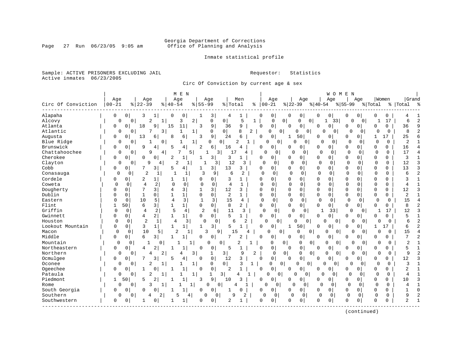# Georgia Department of Corrections<br>Page 27 Run 06/23/05 9:05 am 6ffice of Planning and Analysis Office of Planning and Analysis

Inmate statistical profile

Sample: ACTIVE PRISONERS EXCLUDING JAIL **Requestor:** Statistics Active inmates 06/23/2005

Circ Of Conviction by current age & sex

|                    |           |                     |                     | M E N                        |                |                    |                |                  |          |                         |                |                      |              | WOMEN          |              |                |             |              |                |                         |
|--------------------|-----------|---------------------|---------------------|------------------------------|----------------|--------------------|----------------|------------------|----------|-------------------------|----------------|----------------------|--------------|----------------|--------------|----------------|-------------|--------------|----------------|-------------------------|
|                    | Age       |                     | Age                 | Age                          |                | Age                |                | Men              |          | Age                     |                | Age                  |              | Age            |              | Aqe            | Women       |              | Grand          |                         |
| Circ Of Conviction | $00 - 21$ | $8   22 - 39$       |                     | $8   40 - 54$                | $8 55-99$      |                    | % Total        |                  | ి        | $00 - 21$               | $ 22-39$       |                      | $ 40-54 $    |                | $8155 - 99$  | % Total        |             |              | %   Total      | ్య                      |
| Alapaha            | 0         | 0<br>3              | ı                   | 0<br>0                       |                | 3                  | 4              | 1                | n        | 0                       | 0              | 0                    | 0            | 0              | 0            | 0              | 0           | 0            | 4              |                         |
| Alcovy             | 0         | $\Omega$            | 2<br>1              | 3                            | 2              | 0                  | 0              | 5                | 1        | 0                       | 0              | 0<br>$\mathbf{0}$    | 1            | 33             | $\mathbf 0$  | $\mathbf{0}$   |             | 17           | 6              | $\overline{\mathbf{c}}$ |
| Atlanta            | 0         | $\mathbf 0$<br>18   | 9                   | 15<br>11                     | 3              | 9                  | 36             | 9                | $\Omega$ | $\mathbf 0$             | $\Omega$       | 0                    | 0            | $\overline{0}$ | 0            | 0              | $\Omega$    | 0            | 36             | 9                       |
| Atlantic           | 0         | 0                   | 7<br>3              |                              | 1              | 0                  | $\overline{0}$ | 2<br>8           |          | 0<br>$\Omega$           |                | 0<br>0               | O            | $\circ$        |              | 0              | $\Omega$    | $\Omega$     | 8              |                         |
| Augusta            | 0         | 0<br>13             | 6                   | 8<br>б                       | 3              | 9                  | 24             | 6                | $\Omega$ | 0                       | 1              | 50                   | <sup>0</sup> | $\Omega$       | 0            | 0              | 1           | 17           | 25             |                         |
| Blue Ridge         | 0         | 0                   | 0 <sup>1</sup><br>1 |                              | 1              | 0<br>$\Omega$      |                | 2<br>1           |          | 0<br>0 <sup>1</sup>     | $\Omega$       | 0                    | O            | 0              | $\Omega$     | $\Omega$       | 0           | 0            | 2              |                         |
| Brunswick          | 0         | 0<br>9              | 4                   | 5<br>4                       | 2              | 6                  | 16             | 4                | $\Omega$ | 0                       | 0              | 0                    | 0            | $\overline{0}$ | 0            | 0              | 0           | 0            | 16             |                         |
| Chattahoochee      | 0         | $\Omega$            | 9<br>$\frac{4}{ }$  | 7                            | 5.             | $\frac{3}{ }$<br>1 | 17             | 4                |          | $\Omega$<br>0           | 0              | 0                    | 0            | 0              | 0            | $\Omega$       | 0           | $\Omega$     | 17             |                         |
| Cherokee           | 0         | 0<br>$\Omega$       | 0                   | 2<br>1                       |                | 3                  | 3              | $\mathbf{1}$     | $\Omega$ | 0                       | 0              | 0                    | 0            | 0              | 0            | $\Omega$       | 0           | 0            | 3              |                         |
| Clayton            | 0         | 0                   | 9<br>4              | $\overline{c}$               |                | 3                  | 12             | 3                |          | $\Omega$<br>$\mathbf 0$ | O              | 0                    | $\mathbf 0$  | 0              | $\mathbf 0$  | 0              | $\mathbf 0$ | 0            | 12             | 3                       |
| Cobb               | 0         | $\Omega$            | 3                   | 5<br>4                       |                | 3 <sup>1</sup>     | 13             | 3                | $\Omega$ | 0                       | 0              | 0                    | 0            | 0              | O            | 0              | 0           | 0            | 13             | 3                       |
| Conasauga          | $\Omega$  | 0                   | $\overline{2}$<br>1 | 1<br>1                       | 3              | 9                  | 6              | $\overline{2}$   | 0        | $\mathbf 0$             | $\Omega$       | 0                    | $\mathbf 0$  | 0              | $\Omega$     | 0              | $\Omega$    | 0            | 6              | $\overline{c}$          |
| Cordele            | 0         | $\Omega$<br>2       | 1                   | 1                            | 0              | 0                  | 3              | 1                | 0        | $\Omega$                | 0              | $\Omega$             | $\Omega$     | $\mathbf 0$    | 0            | 0              | $\mathbf 0$ | $\Omega$     | 3              |                         |
| Coweta             | 0         | 0                   | 2<br>$\overline{4}$ | $\Omega$<br>$\mathbf 0$      | $\Omega$       | $\mathbf 0$        | $\overline{4}$ | 1                | U        | 0                       | $\Omega$       | $\Omega$             | 0            | $\mathbf 0$    | $\cap$       | $\Omega$       | $\Omega$    | U            |                |                         |
| Dougherty          | O         | 7<br>0              | 3                   | 3<br>4                       | 1              | 3                  | 12             | 3                | $\Omega$ | 0                       | $\mathbf 0$    | 0                    | $\mathbf 0$  | 0              | 0            | $\Omega$       | $\mathbf 0$ | 0            | 12             | 3                       |
| Dublin             | N         | 0<br>1              | 0                   | $\mathbf{1}$<br>-1           | <sup>0</sup>   | 0                  | 2              | $\mathbf{1}$     | $\Omega$ | 0                       | $\Omega$       | 0                    | $\mathbf 0$  | 0              | $\Omega$     | 0              | 0           | 0            | 2              |                         |
| Eastern            | U         | 10<br>$\Omega$      | 5                   | 3<br>$\overline{4}$          | $\mathbf{1}$   | 3                  | 15             | 4                | $\Omega$ | 0                       | $\Omega$       | $\Omega$             | $\mathbf 0$  | 0              | $\Omega$     | 0              | $\Omega$    | $\Omega$     | 15             | $\overline{4}$          |
| Flint              |           | 50<br>6             | 3                   | 1<br>$\mathbf{1}$            | 0              | 0                  | 8              | 2                | 0        | 0 <sup>1</sup>          | 0              | $\overline{0}$       | 0            | 0 <sup>1</sup> | 0            | 0              | $\mathbf 0$ | 0            | 8              | $\overline{c}$          |
| Griffin            | 0         | 0                   | 2<br>4              | 5<br>4                       | $\overline{2}$ | 6                  | 11             | 3                |          | 0<br>0                  | 0              | 0                    | 1            | 33             | 0            | $\mathbf{0}$   |             | 17           | 12             |                         |
| Gwinnett           | O         | 0<br>4              | 2                   | 1<br>$\mathbf{1}$            | $\Omega$       | $\mathbf 0$        | 5              | $\mathbf{1}$     | $\Omega$ | $\overline{0}$          | U              | 0                    | 0            | $\overline{0}$ | 0            | 0              | $\Omega$    | 0            | 5              |                         |
| Houston            | $\Omega$  | 0                   | $\overline{2}$      | 4                            | 3<br>$\Omega$  | 0                  | 6              | 2                |          | $\Omega$<br>0           | 0              | 0                    | O            | 0              | 0            | $\overline{0}$ | 0           | 0            | 6              | $\overline{2}$          |
| Lookout Mountain   | 0         | 3<br>0              | $\mathbf 1$         | $\mathbf{1}$<br>$\mathbf{1}$ | 1              | 3                  | 5              |                  | $\Omega$ | 0                       | $\mathbf{1}$   | 50                   | $\Omega$     | $\Omega$       | <sup>0</sup> | 0              | 1           | 17           | 6              | $\overline{2}$          |
| Macon              | $\Omega$  | $\Omega$            | 10<br>5             | 2                            | 1              | 3<br>9             | 15             | 4                |          | $\Omega$<br>0           |                | $\Omega$<br>$\Omega$ | $\Omega$     | 0              |              | $\Omega$       | 0           | $\Omega$     | 15             |                         |
| Middle             | 0         | 6<br>$\mathbf 0$    | 3                   | 1                            | 0              | 0                  |                | 2                | $\Omega$ | 0                       | 0              | 0                    | 0            | 0              | 0            | 0              | 0           | 0            | 7              | $\overline{a}$          |
| Mountain           | 0         | 0                   | 0<br>1              |                              |                | O<br>$\Omega$      |                | 2                |          | 0                       | 0              | 0<br>0               | 0            | 0              | U            | $\Omega$       | $\Omega$    | $\Omega$     | $\overline{c}$ |                         |
| Northeastern       | 0         | 0<br>$\overline{4}$ | $\overline{a}$      | 1                            | n              | 0                  | 5              | $\mathbf{1}$     | 0        | 0                       | $\Omega$       | 0                    | $\Omega$     | 0              | 0            | 0              | $\Omega$    | 0            | 5              |                         |
| Northern           | 0         | 0                   | 2<br>4              | 4                            | 3              | 1                  | 3              | 9                | 2        | 0                       | 0              | 0<br>0               | $\Omega$     | 0              | U            | $\Omega$       | $\Omega$    | 0            | 9              |                         |
| Ocmulgee           | 0         | 7<br>$\Omega$       | 3                   | 5<br>4                       | 0              | 0                  | 12             | 3                | $\Omega$ | $\mathbf 0$             | $\Omega$       | 0                    | $\Omega$     | 0              | 0            | 0              | $\Omega$    | 0            | 12             | 3                       |
| Oconee             | 0         | $\Omega$            | 2<br>1              |                              | $\mathbf{1}$   | 0                  | $\mathbf 0$    | 3<br>$\mathbf 1$ |          | 0                       | $\overline{0}$ | 0<br><sup>0</sup>    | $\Omega$     | $\Omega$       | O            | 0              | C           | $\Omega$     | 3              |                         |
| Ogeechee           | 0         | 0                   | $\Omega$            | 1                            | $\Omega$       | $\mathbf 0$        | 2              |                  | $\Omega$ | 0                       | 0              | 0                    | 0            | $\overline{0}$ | 0            | 0              | 0           | 0            | 2              |                         |
| Pataula            | 0         | 0                   | 2                   |                              | 1              | $\mathbf{1}$       | 3              | 1                |          | 0<br>$\overline{0}$     | 0              | 0                    | <sup>0</sup> | 0              | 0            | 0              | 0           | $\Omega$     | 4              |                         |
| Piedmont           | 1         | 50<br>5             | $\overline{2}$      | $\mathbf{1}$                 | 3              | 9                  | 10             | 3                | $\Omega$ | $\overline{0}$          | U              | 0                    | 0            | $\overline{0}$ | $\Omega$     | 0              | $\Omega$    | 0            | 10             | 3                       |
| Rome               | 0         | $\Omega$            | 3                   |                              | 1              | 0<br>0             | 4              |                  |          | $\Omega$<br>$\Omega$    | $\Omega$       | $\Omega$             | $\Omega$     | $\Omega$       | $\Omega$     | $\mathbf 0$    | 0           | $\Omega$     | 4              |                         |
| South Georgia      | 0         | $\Omega$<br>0       |                     | $\mathbf{1}$                 | $\Omega$       | $\Omega$           | 1              | O                | $\Omega$ | 0                       | $\Omega$       | 0                    | 0            | 0              | $\Omega$     | 0              | $\Omega$    | $\Omega$     |                | $\Omega$                |
| Southern           | 0         | $\Omega$            | 2                   |                              | 4              | 0<br>U             | 9              | 2                |          | $\Omega$<br>$\mathbf 0$ | $\Omega$       | $\mathbf 0$          | $\mathbf 0$  | $\mathbf 0$    | $\Omega$     | 0              | $\Omega$    | $\Omega$     | 9              | $\overline{c}$          |
| Southwestern       | 0         | 0                   | 0                   | 1                            | 0              | 0                  | 2              | 1                | 0        | 0                       | O              | 0                    | $\mathbf 0$  | 0              | $\Omega$     | 0              | $\mathbf 0$ | <sup>0</sup> | $\overline{a}$ | $\mathbf{1}$            |
|                    |           |                     |                     |                              |                |                    |                |                  |          |                         |                |                      |              |                |              |                |             |              |                |                         |

(continued)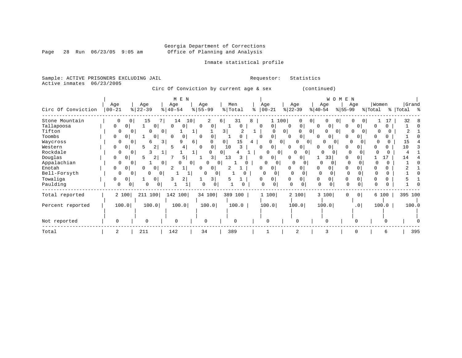# Georgia Department of Corrections<br>Office of Planning and Analysis

Page 28 Run  $06/23/05$  9:05 am

### Inmate statistical profile

Sample: ACTIVE PRISONERS EXCLUDING JAIL Requestor: Statistics Active inmates 06/23/2005

Circ Of Conviction by current age & sex (continued)

|                    |               |                          | M E N                    |                            |                         |                   |                          | W O M                                  | E N                     |         |           |
|--------------------|---------------|--------------------------|--------------------------|----------------------------|-------------------------|-------------------|--------------------------|----------------------------------------|-------------------------|---------|-----------|
|                    | Age           | Age                      | Age                      | Age                        | Men                     | Age               | Age                      | Age                                    | Age                     | Women   | Grand     |
| Circ Of Conviction | $00 - 21$     | $ 22-39$                 | $\frac{1}{6}$   40-54    | $\frac{8}{5}$   55-99      | % Total                 | $8   00 - 21$     | $ 22-39 $                | $ 40-54 $                              | $ 55-99 $               | % Total | % Total % |
| Stone Mountain     | 0             | 15<br>0                  | 7  <br>10<br>14          | $\overline{2}$             | 31<br>6                 | 8                 | 100<br>0                 | $\overline{0}$<br>$\Omega$<br>$\Omega$ | 0 <sup>1</sup>          |         | 32        |
| Tallapoosa         | 0<br>$\Omega$ | $\overline{0}$           | $\mathbf{0}$<br>$\Omega$ | 0 <sup>1</sup><br>$\Omega$ | <sup>n</sup>            | 0<br>O            | $\mathbf{0}$<br>$\Omega$ | $\Omega$<br>0                          | $\Omega$                |         |           |
| Tifton             | $\Omega$      | 0                        | 0 <sup>1</sup>           |                            | $\overline{\mathbf{3}}$ |                   | $\overline{0}$           | 0<br>$\Omega$                          | $\Omega$                |         |           |
| Toombs             | 0<br>$\Omega$ | 0                        | 0<br>$\Omega$            | $\Omega$                   |                         | 0<br>$\Omega$     | 0<br>$\Omega$            | 0<br>$\Omega$                          |                         |         |           |
| Waycross           | 0             |                          | 3                        | 6                          | 0<br>15                 | 4                 | 0<br>$\Omega$            |                                        |                         |         |           |
| Western            | 0<br>0        | $\overline{2}$<br>5      | 4                        | 0                          | 10                      | 0<br><sup>0</sup> | 0                        | O.                                     |                         |         | 10        |
| Rockdale           | $\Omega$      |                          |                          |                            | 0 l                     | U<br>$\Omega$     | $\Omega$                 | 0                                      |                         |         |           |
| Douglas            | $\Omega$<br>0 | $\overline{2}$<br>ь      | 5                        | 3                          | 13                      | 0<br>$^{(1)}$     | $\Omega$                 | 33                                     |                         | 17      | 14        |
| Appalachian        | $\Omega$      | $\Omega$                 | $\Omega$                 | O<br>0                     | $\Omega$                | ∩                 |                          |                                        |                         | 0       |           |
| Enotah             | 0<br>0        | 0                        |                          | 0                          |                         | 0                 | $\Omega$                 | O.                                     |                         |         |           |
| Bell-Forsyth       | 0             | $\Omega$                 | 0<br>1                   | 0<br>0                     |                         | 0                 |                          |                                        |                         |         |           |
| Towaliga           | 0<br>0        |                          | 2                        | 3                          |                         | 0                 | 0                        | 0                                      | 0                       |         |           |
| Paulding           | 0             | 0<br>$\overline{0}$<br>0 |                          | 0                          |                         |                   | $\Omega$                 | $\Omega$                               | $\Omega$                |         |           |
| Total reported     | 2 100         | 211 100                  | 142 100                  | 34 100                     | 389 100                 | 1 100             | 2 100                    | 3 100                                  | $\mathbf 0$<br>$\Omega$ | 6 100   | 395 100   |
| Percent reported   | 100.0         | 100.0                    | 100.0                    | 100.0                      | 100.0                   | 100.0             | 100.0                    | 100.0                                  | .0 <sub>1</sub>         | 100.0   | 100.0     |
|                    |               |                          |                          |                            |                         |                   |                          |                                        |                         |         |           |
| Not reported       |               | $\Omega$                 | 0                        | $\Omega$                   | $\Omega$                | $\Omega$          | $\Omega$                 | $\Omega$                               |                         |         |           |
| Total              |               | 211                      | 142                      | 34                         | 389                     |                   | $\overline{c}$           | 3                                      |                         |         | 395       |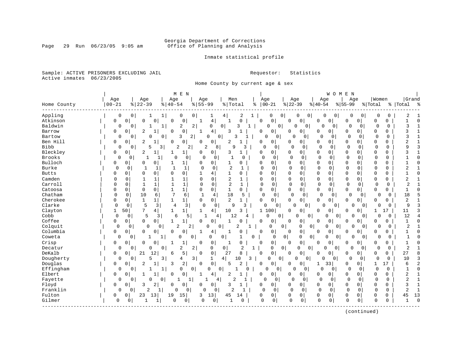# Georgia Department of Corrections<br>Page 29 Run 06/23/05 9:05 am 6ffice of Planning and Analysis Office of Planning and Analysis

Inmate statistical profile

Sample: ACTIVE PRISONERS EXCLUDING JAIL **Requestor:** Statistics Active inmates 06/23/2005

Home County by current age & sex

|               |             |                          | M E N                             |                                |                                |                   |                               |                                       |                            | WOMEN                      |                            |                                |
|---------------|-------------|--------------------------|-----------------------------------|--------------------------------|--------------------------------|-------------------|-------------------------------|---------------------------------------|----------------------------|----------------------------|----------------------------|--------------------------------|
|               | Age         | Age                      | Age                               | Age                            | Men                            |                   | Age                           | Age                                   | Age                        | Age                        | Women                      | Grand                          |
| Home County   | $00 - 21$   | $8   22 - 39$            | $8   40 - 54$                     | $8 55-99$                      | % Total                        | ႜ                 | $ 00-21$                      | $ 22-39$                              | $ 40-54$                   | $8 55-99$                  | % Total                    | %   Total<br>း -               |
| Appling       | 0           | 0<br>1                   | 1<br>0                            | 0<br>1                         | 4                              | 2<br>1            | 0<br>0                        | 0<br>0                                | 0                          | 0<br>0                     | $\mathbf 0$<br>0<br>0      | 2                              |
| Atkinson      | 0           | 0<br>0                   | 0<br>0<br>0                       | $\overline{4}$                 | 1                              | 0<br>0            | 0                             | 0<br>0                                | $\mathbf 0$<br>0           | 0<br>0                     | $\mathbf 0$<br>0           | $\Omega$                       |
| Baldwin       | 0           | $\overline{0}$<br>1      | 2<br>1                            | $\overline{a}$<br>0            | 0<br>3                         | $\mathbf{1}$      | $\mathbf 0$<br>$\overline{0}$ | 0<br>0                                | $\Omega$                   | 0<br>0                     | $\Omega$<br>0<br>0         | 3<br>$\mathbf{1}$              |
| Barrow        | 0           | $\mathbf 0$<br>2         | 0<br>$\mathbf{1}$<br>$\Omega$     | 4<br>1                         | 3<br>$\mathbf{1}$              | 0                 | 0                             | 0<br>$\Omega$                         | 0<br>0                     | 0<br>$\Omega$              | $\mathbf 0$<br>0           | ζ<br>$\mathbf{1}$              |
| Bartow        | 0           | $\Omega$<br>O            | 0<br>3                            | $\overline{2}$<br><sup>0</sup> | $\mathbf 0$<br>3               |                   | $\overline{0}$<br>C           | $\Omega$<br>$\Omega$                  | $\Omega$<br>$\Omega$       | 0<br>0                     | 0<br>$\Omega$              | 3                              |
| Ben Hill      | 0           | 2<br>O                   | 0<br>$\Omega$                     | $\mathbf 0$<br>$\Omega$        | 2                              | 0                 | $\mathbf 0$                   | 0<br>$\Omega$                         | 0<br>0                     | $\Omega$<br>0              | $\Omega$<br>$\Omega$       | $\overline{2}$<br>1            |
| Bibb          | 0           | 0<br>5                   | 3<br>2                            | 2<br>2                         | 8<br>9                         | 3                 | $\Omega$<br>0                 | 0<br>$\Omega$                         | $\mathbf 0$<br>0           | $\Omega$<br>$\mathbf 0$    | $\mathbf 0$<br>$\Omega$    | 9<br>3                         |
| Bleckley      | 0           | 2<br>0                   | 1<br>1                            | 0<br>0                         | 3                              | 1<br>0            | 0                             | $\mathbf 0$<br>0                      | 0<br>0                     | $\Omega$<br>0              | $\mathbf 0$<br>$\Omega$    | 3<br>$\mathbf{1}$              |
| <b>Brooks</b> | $\Omega$    | 0<br>1                   | $\Omega$<br>1                     | $\mathbf 0$<br>$\circ$<br>0    | $\mathbf{1}$                   | $\Omega$          | $\Omega$<br>0                 | $\Omega$<br>$\Omega$                  | $\overline{0}$<br>0        | $\Omega$<br>$\mathbf 0$    | $\mathbf 0$<br>$\Omega$    | $\Omega$                       |
| Bulloch       | 0           | 0<br>$\Omega$            | 0<br>1                            | 0<br>0                         | 1                              | $\Omega$<br>0     | 0                             | $\mathbf 0$<br>0                      | 0<br>0                     | $\Omega$<br>$\Omega$       | $\mathbf 0$<br>0           | $\Omega$                       |
| Burke         | $\mathbf 0$ | 0<br>$\mathbf{1}$        | $\mathbf{1}$<br>$\mathbf{1}$<br>1 | $\mathbf 0$<br>$\Omega$        | 2                              | 1                 | $\Omega$<br>$\Omega$          | $\Omega$<br>$\Omega$                  | $\Omega$<br>0              | $\Omega$<br>$\Omega$       | $\Omega$<br>0              | 2                              |
| <b>Butts</b>  | 0           | $\Omega$<br>$\Omega$     | $\Omega$<br>$\Omega$<br>0         | 1<br>4                         | 1                              | $\Omega$<br>0     | $\Omega$                      | $\Omega$<br>$\Omega$                  | $\Omega$<br>$\mathbf 0$    | $\Omega$<br>$\Omega$       | $\mathbf 0$<br>$\Omega$    | $\Omega$                       |
| Camden        | $\Omega$    | $\Omega$<br>1            | $\mathbf{1}$<br>1<br>$\mathbf{1}$ | 0<br>$\mathbf 0$               | $\overline{2}$                 | $\mathbf{1}$      | 0<br>0                        | 0<br>$\Omega$                         | 0<br>$\mathbf 0$           | $\mathbf 0$<br>$\Omega$    | $\mathbf 0$<br>0           | 2                              |
| Carroll       | $\Omega$    | $\mathbf{1}$<br>0        | 1<br>$\mathbf{1}$<br>$\mathbf{1}$ | $\mathbf 0$<br>$\Omega$        | $\overline{2}$                 | $\mathbf{1}$      | 0<br>$\Omega$                 | 0<br>$\Omega$                         | $\mathbf 0$<br>$\mathbf 0$ | $\Omega$<br>0              | $\mathbf 0$<br>$\mathbf 0$ | $\overline{2}$                 |
| Catoosa       | 0           | 0<br>$\mathbf 0$         | $\mathbf{1}$<br>0<br>$\mathbf{1}$ | $\mathsf{O}\xspace$<br>0       | $\mathbf 1$                    | 0<br>$\mathbf 0$  | 0                             | $\mathbf 0$<br>$\Omega$               | 0<br>0                     | 0<br>0                     | $\mathbf{0}$<br>0          | $\Omega$<br>$\mathbf{1}$       |
| Chatham       | $\Omega$    | 10<br>0                  | 7<br>6<br>6                       | $\mathbf{1}$<br>4              | 18                             | 5                 | $\mathbf 0$<br>0              | $\overline{0}$<br><sup>0</sup>        | $\mathbf 0$                | $\Omega$<br>$\mathbf 0$    | 0<br>$\Omega$<br>0         | 18<br>5                        |
| Cherokee      | 0           | $\mathbf{1}$<br>0        | $\mathbf{1}$<br>$\mathbf{1}$      | $\Omega$<br>$\mathbf{0}$       | $\overline{2}$<br>$\mathbf{1}$ | $\Omega$          | 0                             | 0<br>0                                | 0<br>$\mathbf 0$           | 0<br>0                     | $\mathbf{0}$<br>0          | $\overline{2}$                 |
| Clarke        | $\Omega$    | 5<br>0                   | 3<br>4                            | 3<br>0<br>$\mathbf 0$          | $\mathsf{Q}$                   | 3                 | $\mathbf 0$<br>0              | U<br>$\mathbf 0$                      | O                          | $\Omega$<br>O              | $\Omega$<br>$\Omega$<br>0  | 9                              |
| Clayton       | 1           | 50<br>7                  | 4<br>1<br>1                       | $\overline{4}$<br>1            | 10                             | 3                 | 1 100                         | 0<br>0                                | 0<br>0                     | 0<br>0                     | 1                          | 3<br>11                        |
| Cobb          | $\mathbf 0$ | 5<br>0                   | 6<br>3                            | 5<br>1                         | 12<br>4                        | 4                 | $\Omega$<br>$\Omega$          | 0 <sup>1</sup><br>O                   | $\Omega$                   | $\overline{0}$<br>0        | $\Omega$<br>$\Omega$<br>0  | 12                             |
| Coffee        | 0           | $\mathbf 0$<br>0         | 0<br>$\mathbf{1}$<br>$\mathbf{1}$ | $\mathbf 0$<br>0               | $\mathbf{1}$<br>O              | $\mathbf 0$       | 0                             | 0<br>0                                | $\mathbf 0$<br>0           | 0<br>$\Omega$              | 0<br>$\Omega$              | $\mathbf{1}$<br>$\Omega$       |
| Colquit       | $\Omega$    | 0<br>0                   | $\overline{2}$<br>0               | 2<br>O                         | $\overline{2}$<br>0            |                   | $\Omega$                      | 0<br>0                                | 0<br>0                     | $\overline{0}$<br>O        | $\Omega$<br>$\Omega$<br>0  | $\overline{c}$                 |
| Columbia      | 0           | <sup>0</sup><br>$\Omega$ | 0<br>$\Omega$<br>$\Omega$         | 1<br>4                         | $\mathbf{1}$                   | $\mathbf 0$<br>O  | 0                             | $\mathbf 0$<br>$\Omega$               | 0<br>0                     | $\Omega$<br><sup>0</sup>   | $\Omega$<br>0              | $\Omega$                       |
| Coweta        | $\Omega$    | 0                        | 1<br>0                            | 0<br>0                         | 0                              | $\Omega$          | $\Omega$                      | 0 <br>0                               | 0<br>0                     | $\overline{0}$<br>0        | $\Omega$<br>0<br>0         | $\cap$                         |
| Crisp         | 0           | 0<br>0                   | 0<br>1                            | $\Omega$<br>0                  |                                | 0<br>0            | 0                             | 0<br>0                                | 0<br>0                     | 0<br>0                     | 0<br>0                     |                                |
| Decatur       | 0           | $\overline{0}$<br>0      | 2<br>0                            | 2<br>0                         | 0                              | 2<br>$\mathbf{1}$ | 0                             | 0 <sup>1</sup><br>0<br>0 <sub>1</sub> | $\Omega$                   | $\mathbf 0$<br>$\circ$     | $\Omega$<br>0<br>$\Omega$  | $\overline{2}$<br>$\mathbf{1}$ |
| DeKalb        | 0           | 21<br>0                  | 5<br>12<br>6                      | $\mathbf 0$<br>$\Omega$        | 27                             | 8<br>$\mathbf 0$  | 0                             | 0<br>0                                | 0<br>0                     | 0<br>0                     | $\mathbf 0$<br>0           | 27<br>$\mathsf{R}$             |
| Dougherty     | 0           | 5<br>0                   | 3<br>4                            | 3<br>1                         | 4 <br>10                       | 3                 | 0 <br>0                       | $\Omega$<br>0                         | U                          | $\Omega$<br>0              | $\Omega$<br>0<br>0         | 10<br>3                        |
| Douglas       | 0           | 2<br>0                   | 2<br>3                            | $\mathbf 0$<br>$\Omega$        | 5                              | 2<br>0            | 0                             | 0<br>$\Omega$                         | 33<br>1                    | 0<br>0                     | 17<br>1                    | $\overline{2}$<br>6            |
| Effingham     | 0           | 0<br>1                   | 0<br>1                            | 0<br>0                         | $\overline{0}$                 | 0                 | 0<br>U                        | 0<br>0                                | $\mathbf 0$                | 0<br>0                     | 0<br>$\Omega$<br>0         | $\Omega$<br>$\mathbf{1}$       |
| Elbert        | 0           | 0                        | 0<br>$\Omega$                     | 1<br>4                         | 2<br>$\mathbf{1}$              | 0                 | 0                             | 0<br>0                                | 0<br>0                     | 0<br>0                     | $\mathbf 0$<br>0           | 2                              |
| Fayette       | 0           | 0<br>$\overline{0}$      | 0<br>1                            | $\mathbf{1}$<br>1              | $\overline{2}$<br>4            | 1                 | $\Omega$<br>0                 | $\Omega$<br>0 <sup>1</sup>            | $\mathbf 0$<br>0           | $\mathbf 0$<br>$\mathbf 0$ | $\mathbf 0$<br>$\Omega$    | $\overline{2}$<br>$\mathbf{1}$ |
| Floyd         | 0           | 0<br>3                   | 2<br>0<br>0                       | 0<br>0                         | 3<br>1                         | $\Omega$          | 0                             | 0<br>0                                | 0<br>0                     | 0<br>$\Omega$              | 0<br>0                     | 3                              |
| Franklin      | O           | 2<br>$\Omega$            | $\Omega$                          | $\Omega$<br>0<br>$\Omega$      | $\overline{2}$                 | $\mathbf 1$       | $\overline{0}$<br>$\mathbf 0$ | $\Omega$<br>0                         | $\mathbf 0$<br>0           | $\mathbf 0$<br>$\Omega$    | $\Omega$<br>0              | 2<br>$\mathbf{1}$              |
| Fulton        | 0           | 0<br>23                  | 19<br>15<br>13                    | 13<br>3                        | 45<br>14                       | 0                 | $\mathbf 0$                   | 0<br>0                                | 0<br>0                     | 0<br>0                     | 0<br>0                     | 13<br>45                       |
| Gilmer        | 0           | 0<br>-1                  | $\Omega$<br>0                     | 0<br>0                         | $\mathbf{1}$                   | 0                 | $\mathbf 0$<br>0              | 0<br>$\mathbf{0}$                     | $\Omega$<br>0              | $\mathbf 0$<br>0           | $\Omega$<br>0              | $\Omega$<br>$\mathbf{1}$       |
|               |             |                          |                                   |                                |                                |                   |                               |                                       |                            |                            |                            |                                |

(continued)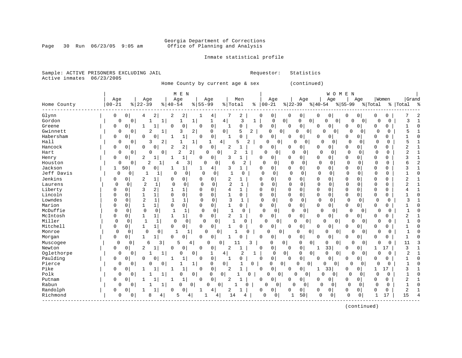### Georgia Department of Corrections<br>Page 30 Run 06/23/05 9:05 am 60ffice of Planning and Analysis Office of Planning and Analysis

Inmate statistical profile

Sample: ACTIVE PRISONERS EXCLUDING JAIL **Requestor:** Statistics Active inmates 06/23/2005

Home County by current age & sex (continued)

|             |                            |                | M E N                            |                                            |                                |          |                            |                               |                         | WOMEN                |             |              |                |           |
|-------------|----------------------------|----------------|----------------------------------|--------------------------------------------|--------------------------------|----------|----------------------------|-------------------------------|-------------------------|----------------------|-------------|--------------|----------------|-----------|
|             | Age                        | Age            | Age                              | Age                                        | Men                            |          | Age                        | Age                           | Age                     | Age                  | Women       |              | Grand          |           |
| Home County | $00 - 21$                  | $8   22 - 39$  | $8   40 - 54$                    | $8 55-99$                                  | % Total                        |          | $% 100-21$                 | $ 22-39 $                     | $ 40-54$                | $8 55-99$            | % Total     |              | %   Total      | ွာ        |
| Glynn       | 0<br>0                     | 4              | 2<br>2<br>2                      | 4                                          | 2                              | C        | 0                          | 0<br>0                        | 0<br>0                  | 0<br>0               | 0           | 0            |                |           |
| Gordon      | $\Omega$                   | $\Omega$       | 1                                | 1<br>1                                     | 4<br>3                         | 1        | $\Omega$                   | $\Omega$<br>$\mathbf{0}$<br>0 | O<br>0                  | $\Omega$             | Ω           | 0            | 3              |           |
| Greene      | 0<br>$\Omega$              |                | $\mathbf 0$<br>O                 | $\mathbf 0$<br>$\Omega$                    | 0<br>-1                        | $\Omega$ | 0                          | $\mathbf 0$<br>$\Omega$       | 0<br>0                  | $\mathbf 0$<br>0     | O           | 0            | 1              | $\bigcap$ |
| Gwinnett    | $\Omega$                   | 2<br>0         | 3<br>1                           | 2<br>0                                     | 5<br>0                         | 2        | $\mathbf 0$<br>0           | 0<br>∩                        | <sup>0</sup><br>0       | $\Omega$<br>$\Omega$ | $\Omega$    | <sup>0</sup> | 5              |           |
| Habersham   | 0<br>$\Omega$              | O              | $\Omega$<br>1                    | 0<br>$\Omega$                              |                                | $\Omega$ | 0                          | 0<br><sup>0</sup>             | 0<br>0                  | 0<br>$\Omega$        | O           | 0            |                |           |
| Hall        | $\Omega$                   | 3<br>$\Omega$  | 2<br>1                           | 1<br>1                                     | 4<br>5                         | 2        | 0<br>$\mathbf 0$           | $\Omega$<br>0                 | ∩<br>0                  | $\Omega$<br>$\Omega$ | $\Omega$    | $\Omega$     | 5              |           |
| Hancock     | $\mathbf 0$<br>0           | O              | 2<br>0<br>2                      | $\mathbf 0$<br>$\Omega$                    | 2                              | 0        | 0                          | $\Omega$<br>$\mathbf 0$       | 0<br>0                  | 0<br>0               | 0           | 0            | 2              |           |
| Hart        | $\Omega$                   | $\Omega$<br>O  | 0<br>2                           | 2<br>$\Omega$                              | $\Omega$<br>$\overline{c}$     |          | $\Omega$<br>$\Omega$       | $\Omega$<br>$\Omega$          | $\Omega$<br>0           | $\mathbf 0$<br>0     | 0           | $\Omega$     | $\overline{c}$ |           |
| Henry       | 0<br>$\Omega$              | 2              | 1                                | $\Omega$<br>0                              | 3<br>-1                        | 0        | 0                          | 0<br><sup>0</sup>             | 0<br>0                  | $\Omega$<br>0        | 0           | 0            |                |           |
| Houston     | $\Omega$                   | $\Omega$<br>2  | 1<br>4                           | 3<br>O                                     | 0<br>6                         | 2        | $\Omega$<br>$\Omega$       | $\cap$<br>$\Omega$            | $\Omega$<br>$\Omega$    | $\Omega$<br>$\Omega$ | $\Omega$    | $\Omega$     |                |           |
| Jackson     | 50<br>1                    | 0              | 0<br>1                           | 4                                          | 3<br>1                         |          | 0<br>0                     | 0<br>0                        | 0<br>0                  | $\mathbf 0$<br>0     | 0           | 0            | 3              |           |
| Jeff Davis  | $\mathbf 0$                | 0<br>1         | $\Omega$<br>1                    | $\Omega$<br>$\mathbf 0$<br>0               | 1<br>$\Omega$                  |          | $\mathbf 0$<br>$\mathbf 0$ | $\Omega$<br>$\mathbf 0$       | $\mathbf 0$<br>0        | $\Omega$<br>0        | $\Omega$    | $\Omega$     |                | C         |
| Jenkins     | 0<br>0                     | 2              | 0<br>1<br>0                      | $\mathbf 0$<br>0                           | 2<br>1                         | 0        | 0                          | 0<br>$\Omega$                 | 0<br>0                  | 0<br>0               | 0           | 0            | 2              |           |
| Laurens     | $\mathbf 0$<br>$\mathbf 0$ | 2              | $\mathbf{1}$<br>$\mathbf 0$      | 0<br>$\Omega$<br>0                         | $\overline{c}$<br>$\mathbf{1}$ |          | $\Omega$<br>$\mathbf 0$    | 0<br>$\Omega$                 | $\Omega$<br>$\mathbf 0$ | $\Omega$<br>$\Omega$ | $\mathbf 0$ | $\mathbf 0$  | 2              |           |
| Liberty     | 0<br>0                     | 3              | 2<br>1<br>-1                     | $\Omega$<br>0                              | 4<br>$\mathbf{1}$              | $\Omega$ | 0                          | 0<br>0                        | $\Omega$<br>0           | $\Omega$<br>$\Omega$ | O           | 0            |                |           |
| Lincoln     | 0<br>0                     |                | 0<br>$\Omega$                    | 0<br>0                                     | 0                              |          | $\mathbf 0$<br>0           | 0<br>0                        | 0<br>0                  | $\Omega$<br>0        | 0           | 0            |                | $\bigcap$ |
| Lowndes     | O<br>0                     | $\overline{c}$ | $\mathbf 1$<br>$\mathbf{1}$<br>1 | $\mathbf 0$<br>0                           | 3<br>1                         |          | $\mathbf 0$<br>$\mathbf 0$ | $\Omega$<br>$\mathbf 0$       | $\mathbf 0$<br>0        | $\Omega$<br>0        | $\Omega$    | $\Omega$     |                |           |
| Marion      | $\mathbf 0$<br>0           | $\mathbf{1}$   | 0<br>$\mathbf{1}$<br>$\mathbf 0$ | $\mathbf 0$<br>$\mathbf 0$                 | $\mathbf{1}$<br>0              |          | 0<br>$\mathbf 0$           | 0<br>$\Omega$                 | 0<br>0                  | 0<br>0               | $\Omega$    | 0            |                |           |
| McDuffie    | 0<br>$\Omega$              | $\mathbf 0$    | 0<br>1                           | $\mathbf 0$<br>$\mathbf 0$<br>$\mathbf{1}$ | $\mathbf{1}$                   | $\Omega$ | 0<br>0                     | $\Omega$<br>0                 | 0<br>$\Omega$           | $\Omega$<br>$\Omega$ | $\Omega$    | $\Omega$     |                |           |
| McIntosh    | 0<br>0                     | 1              | 1<br>1<br>1                      | $\mathbf 0$<br>$\mathbf 0$                 | $\overline{2}$<br>1            |          | 0<br>0                     | 0<br>0                        | 0<br>0                  | 0<br>0               | 0           | 0            | 2              |           |
| Miller      | $\mathbf 0$<br>$\mathbf 0$ | $\mathbf{1}$   | $\mathbf 0$                      | $\mathbf 0$<br>0                           | 0                              | O        | 0<br>0                     | 0<br>0                        | 0<br>0                  | $\Omega$<br>0        | 0           | $\Omega$     |                |           |
| Mitchell    | $\Omega$<br>0              | 1              | $\mathbf 0$<br>0                 | $\Omega$<br>$\mathbf 0$                    |                                | $\Omega$ | 0                          | 0<br>$\Omega$                 | 0<br>0                  | $\mathbf 0$<br>O     | O           | 0            |                |           |
| Monroe      | 0                          | 0<br>0         | 0                                | 0<br>1                                     | 0                              | O        | 0<br>0                     | 0<br>$\Omega$                 | $\Omega$<br>0           | O                    | U           | $\Omega$     |                |           |
| Morgan      | 0<br>$\Omega$              | 1              | $\Omega$<br>0                    | $\Omega$<br>0                              | N                              | $\Omega$ | 0                          | 0<br><sup>0</sup>             | 0<br>0                  | 0<br>0               | 0           | 0            |                |           |
| Muscogee    | 0                          | 0<br>6         | 3<br>5                           | 4<br>በ                                     | 0<br>11                        | ζ        | 0                          | 0<br>0 <sup>1</sup><br>0      | $\Omega$<br>0           | $\Omega$<br>0        | 0           | $\Omega$     | 11             |           |
| Newton      | 0<br>$\Omega$              | 2              | 0<br>0                           | $\Omega$<br>0                              | 2<br>1                         | $\Omega$ | 0                          | 0<br>$\Omega$                 | 33<br>1                 | 0<br>U               | 1           | 17           | 3              |           |
| Oglethorpe  | 0                          | 0              | 0<br>1                           | 0<br>1                                     | 4<br>2                         | 1        | $\mathbf 0$                | 0 <br>0<br>$\overline{0}$     | 0<br>0                  | $\Omega$<br>0        | U           | 0            | 2              |           |
| Paulding    | 0<br>0                     | $\Omega$       | $\mathbf{1}$<br>0                | 0<br>$\Omega$                              | 0                              | 0        | 0                          | $\mathsf 0$<br>$\Omega$       | 0<br>0                  | 0<br>0               | 0           | 0            |                |           |
| Pierce      | 0                          | $\Omega$<br>O  | 0<br>1                           | 1<br>0                                     | 0                              | 0        | $\Omega$<br>0              | 0<br>0                        | 0<br>0                  | 0<br>$\mathbf 0$     | $\Omega$    | 0            |                |           |
| Pike        | 0<br>0                     |                | $\mathbf{1}$<br>-1               | $\mathsf{O}\xspace$<br>$\Omega$            | $\mathbf{2}$<br>1              |          | 0<br>$\Omega$              | $\mathbf 0$<br>$\Omega$       | 33<br>1                 | 0<br>0               | -1          | 17           | 3              |           |
| Polk        | 0                          | 0              | 0<br>1                           | 0<br>0                                     | $\mathbf{0}$                   | 0        | $\mathbf 0$<br>0           | $\mathbf 0$<br>0              | O<br>0                  | 0<br>$\mathbf 0$     | $\Omega$    | 0            |                | ſ         |
| Putnam      | O<br>$\Omega$              |                | $\mathbf{1}$<br>1                | 0<br>$\Omega$                              | 2                              | 0        | 0                          | $\Omega$<br>0                 | 0<br>0                  | $\Omega$<br>0        | 0           | 0            | 2              |           |
| Rabun       | $\Omega$                   | $\Omega$       | 1<br>O                           | 0<br>U                                     | 0                              | U        | 0                          | $\Omega$<br>$\Omega$          | $\Omega$<br>$\Omega$    | $\Omega$<br>$\Omega$ | 0           | $\Omega$     | 1              |           |
| Randolph    | 0<br>0                     |                | 0<br>0                           | 4                                          | 2                              | 0        | 0                          | 0<br>0                        | 0<br>0                  | 0<br>0               | 0           | 0            | $\overline{a}$ |           |
| Richmond    | 0                          | 0<br>8         | 4<br>5                           | 4                                          | 4<br>14                        |          | 0<br>$\mathbf 0$           | 50<br>1                       | 0<br>0                  | $\mathbf 0$<br>0     |             | 17           | 15             |           |

(continued)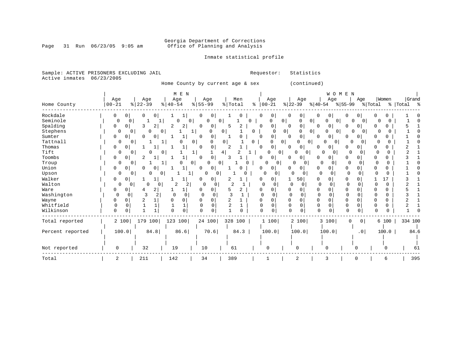# Georgia Department of Corrections<br>Page 31 Run 06/23/05 9:05 am 6ffice of Planning and Analysis Office of Planning and Analysis

Inmate statistical profile

Sample: ACTIVE PRISONERS EXCLUDING JAIL **Requestor:** Statistics Active inmates 06/23/2005

Home County by current age & sex (continued)

|                  |           |               |                            |               | M E N          |              |                |               |      |               |                          |                |                                |             | WOMEN                |              |                 |         |          |             |
|------------------|-----------|---------------|----------------------------|---------------|----------------|--------------|----------------|---------------|------|---------------|--------------------------|----------------|--------------------------------|-------------|----------------------|--------------|-----------------|---------|----------|-------------|
|                  | Age       |               | Age                        | Age           |                | Age          |                |               | Men  |               | Age                      |                | Age                            |             | Age                  |              | Age             |         | Women    | Grand       |
| Home County      | $00 - 21$ |               | $22 - 39$<br>$\frac{8}{6}$ | $8   40 - 54$ |                | $8 55-99$    |                | % Total       |      | $\frac{8}{6}$ | $00 - 21$                |                | $ 22-39 $                      | $ 40-54 $   |                      | $ 55-99 $    |                 | % Total |          | %   Total % |
| Rockdale         | 0         | 0             | 0                          |               |                |              | $\circ$        |               | 0    |               | 0<br>0                   |                | 0                              | 0           | 0                    | O            |                 |         |          |             |
| Seminole         | 0         | 0             |                            |               | 0              | O            | 0              |               |      | 0             | 0                        | $\mathbf{0}$   | $\overline{0}$<br>0            |             | 0<br>0               |              | 0               |         |          |             |
| Spalding         | 0         | 0             | 3                          | 2<br>∠        | $\overline{2}$ | 0            | 01             | 5             | 2    |               | 0<br>0                   |                | 0                              | 0           | 0                    | <sup>0</sup> | 0               |         | 0        |             |
| Stephens         |           | 0<br>$\Omega$ | 0                          | 0             | 1              | 0            | $\Omega$       |               |      | $\Omega$      |                          | 0 <sup>1</sup> | O                              | 0           | $\Omega$<br>$\Omega$ | <sup>0</sup> | $\Omega$        | U       |          |             |
| Sumter           | 0         | 0             | $\Omega$                   | 0             | 1              | $\Omega$     | 0              |               |      |               | 0<br>$\Omega$            | $\Omega$       | 0                              | 0           | 0                    | <sup>0</sup> | 0               |         |          |             |
| Tattnall         |           | 0<br>0        |                            |               | 0              | O            | 0              |               |      | $\Omega$      | 0                        | 0              | <sup>0</sup><br>$\overline{0}$ |             | 0                    | O            | $\Omega$        |         |          |             |
| Thomas           | 0         | $\Omega$      |                            |               |                | n            | 0              | $\mathcal{D}$ |      |               | 0<br><sup>0</sup>        | <sup>0</sup>   | 0                              | 0           | $\Omega$             | ∩            | <sup>0</sup>    |         | 0        |             |
| Tift             |           | 0             | O                          | 0             | 1              |              | 4              |               |      |               |                          | 0 <sup>1</sup> | 0<br>$\circ$                   |             | $\Omega$<br>0        | 0            | 0               |         | n        |             |
| Toombs           | 0         | 0             | 2                          |               | 1              |              | $\overline{0}$ |               |      |               | 0<br>Ω                   |                | 0                              | 0           | 0                    | O            | 0               |         | 0        |             |
| Troup            |           | 0<br>0        |                            |               | 0<br>U         | U            | 0              |               |      |               | O                        | $\overline{0}$ | $\Omega$<br>$\Omega$           | $\Omega$    | <sup>n</sup>         | $\Omega$     |                 | O       | 0        |             |
| Union            | 0         | 0             | $\Omega$                   |               |                | 0            | $\circ$        |               |      |               | 0<br>Ω                   |                | 0                              | 0           | 0                    | $\Omega$     | 0               |         | 0        |             |
| Upson            |           | 0<br>0        | U                          | 0             |                | 0            | 0              |               |      |               | 0<br>0                   |                | O.                             | O           | O                    | 0            |                 |         | $\Omega$ |             |
| Walker           | 0         | 0             |                            |               |                |              | 0              |               |      |               | 0                        |                | 50                             | O.          |                      | $\Omega$     |                 |         | 17       |             |
| Walton           |           | 0<br>0        | 0                          | 0             | 2              | O            |                |               |      |               | $\Omega$                 |                | $\Omega$                       | $\Omega$    | U                    |              |                 |         | $\Omega$ |             |
| Ware             | 0         | 0             | 4                          | 2             | 1              |              | $\Omega$       | 5             | 2    |               | 0<br>O                   | <sup>0</sup>   | $\Omega$                       | 0           |                      | $\Omega$     |                 |         | 0        |             |
| Washington       | 0         | 0             | 3                          | $\Omega$<br>2 | $\mathbf 0$    | <sup>0</sup> | 0              |               |      |               | O                        |                | $\Omega$<br>$\Omega$           | $\mathbf 0$ |                      | $\Omega$     |                 |         | 0        |             |
| Wayne            | 0         | 0             |                            |               | 0              |              | 0              | 2             |      |               | 0<br>Ω                   |                | $\Omega$                       | $\Omega$    | U                    | $\Omega$     |                 |         | 0        |             |
| Whitfield        | 0         | 0             |                            |               |                |              | 0              |               |      |               | $\Omega$<br><sup>0</sup> | 0              | $\Omega$                       | $\Omega$    |                      | $\Omega$     | 0               |         | 0        |             |
| Wilkinson        | $\Omega$  |               |                            | $\Omega$      | $\mathbf 0$    | $\Omega$     | U              |               |      |               | $\mathbf 0$<br>$\cap$    | U              | $\Omega$                       |             |                      | $\Omega$     | 0               |         | $\Omega$ |             |
| Total reported   |           | 2 100         | 179 100                    | 123 100       |                | 24 100       |                | 328 100       |      |               | 1 100                    |                | 2 100                          |             | 3 100                | $\mathbf 0$  | 0 <sup>1</sup>  |         | 6 100    | 334 100     |
|                  |           |               |                            |               |                |              |                |               |      |               |                          |                |                                |             |                      |              |                 |         |          |             |
| Percent reported |           | 100.0         | 84.8                       |               | 86.6           | 70.6         |                |               | 84.3 |               | 100.0                    |                | 100.0                          |             | 100.0                |              | .0 <sub>1</sub> |         | 100.0    | 84.6        |
|                  |           |               |                            |               |                |              |                |               |      |               |                          |                |                                |             |                      |              |                 |         |          |             |
|                  |           |               |                            |               |                |              |                |               |      |               |                          |                |                                |             |                      |              |                 |         |          |             |
| Not reported     | 0         |               | 32                         | 19            |                | 10           |                | 61            |      |               | $\mathbf 0$              |                | $\Omega$                       |             | $\Omega$             |              | U               |         | U        | 61          |
| Total            | 2         |               | 211                        | 142           |                | 34           |                | 389           |      |               |                          |                | 2                              |             | 3                    |              | <sup>0</sup>    |         | 6        | 395         |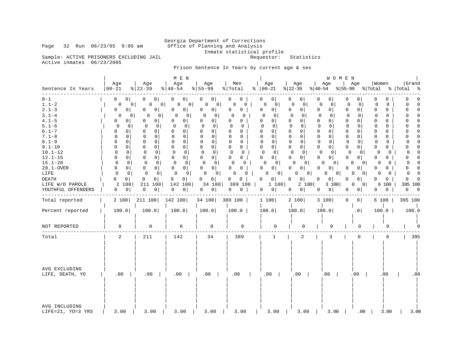# Georgia Department of Corrections<br>Page 32 Run 06/23/05 9:05 am 6ffice of Planning and Analysis Office of Planning and Analysis Inmate statistical profile<br>Requestor: Statistics

Sample: ACTIVE PRISONERS EXCLUDING JAIL Active inmates 06/23/2005

Prison Sentence In Years by current age & sex

| Sentence In Years                                                                                                                                                                                                                                            | Age<br>$ 00 - 21$                                                                                                                                                                                                                                                                                            | Age<br>$ 22-39 $                                                                                                                                                                                                                                                                                                                                              | M E N<br>Age<br>$ 40-54 $                                                                                                                                                                                                                                                                                                                                                         | Age<br>$8 55-99$                                                                                                                                                                                                                                                                                                                                                                                                                | Men<br>$\frac{1}{2}$ Total                                                                                                                                                                                                                                                                          | Age<br>$8   00 - 21$                                                                                                                                                                                                                                                                                                                                                                                                     | Age<br>$ 22-39 $                                                                                                                                                                                                                                                                                                                                       | WOMEN<br>Age<br>$ 40-54$                                                                                                                                                                                                                                                                                                                                                                           | Age<br>% 55-99                                                                                                                                                                                                                                                                                                                                                                             | Women<br>% Total                                                                                                                                                                                                                                                                                         | Grand<br>%   Total<br>ႜ                                                                                                                                                                                                                                                                                                                                                                    |
|--------------------------------------------------------------------------------------------------------------------------------------------------------------------------------------------------------------------------------------------------------------|--------------------------------------------------------------------------------------------------------------------------------------------------------------------------------------------------------------------------------------------------------------------------------------------------------------|---------------------------------------------------------------------------------------------------------------------------------------------------------------------------------------------------------------------------------------------------------------------------------------------------------------------------------------------------------------|-----------------------------------------------------------------------------------------------------------------------------------------------------------------------------------------------------------------------------------------------------------------------------------------------------------------------------------------------------------------------------------|---------------------------------------------------------------------------------------------------------------------------------------------------------------------------------------------------------------------------------------------------------------------------------------------------------------------------------------------------------------------------------------------------------------------------------|-----------------------------------------------------------------------------------------------------------------------------------------------------------------------------------------------------------------------------------------------------------------------------------------------------|--------------------------------------------------------------------------------------------------------------------------------------------------------------------------------------------------------------------------------------------------------------------------------------------------------------------------------------------------------------------------------------------------------------------------|--------------------------------------------------------------------------------------------------------------------------------------------------------------------------------------------------------------------------------------------------------------------------------------------------------------------------------------------------------|----------------------------------------------------------------------------------------------------------------------------------------------------------------------------------------------------------------------------------------------------------------------------------------------------------------------------------------------------------------------------------------------------|--------------------------------------------------------------------------------------------------------------------------------------------------------------------------------------------------------------------------------------------------------------------------------------------------------------------------------------------------------------------------------------------|----------------------------------------------------------------------------------------------------------------------------------------------------------------------------------------------------------------------------------------------------------------------------------------------------------|--------------------------------------------------------------------------------------------------------------------------------------------------------------------------------------------------------------------------------------------------------------------------------------------------------------------------------------------------------------------------------------------|
| $0 - 1$<br>$1.1 - 2$<br>$2.1 - 3$<br>$3.1 - 4$<br>$4.1 - 5$<br>$5.1 - 6$<br>$6.1 - 7$<br>$7.1 - 8$<br>$8.1 - 9$<br>$9.1 - 10$<br>$10.1 - 12$<br>$12.1 - 15$<br>$15.1 - 20$<br>$20.1 - OVER$<br>LIFE<br><b>DEATH</b><br>LIFE W/O PAROLE<br>YOUTHFUL OFFENDERS | $\circ$  <br>0<br>0<br>0<br>0 <sup>1</sup><br>0<br>0<br>01<br>$\Omega$<br>$\Omega$<br>$\Omega$<br>0<br>$\Omega$<br>$\mathbf 0$<br>$\mathbf 0$<br>0<br>0<br>$\Omega$<br>$\mathbf 0$<br>$\mathbf 0$<br>$\Omega$<br>$\Omega$<br>$\Omega$<br>$\overline{0}$<br>0<br>0<br>$\overline{0}$<br>0<br>2 100<br>0<br> 0 | 0 <sup>1</sup><br>0<br>0 <sup>1</sup><br>0 I<br>0<br>0<br>0<br>0<br>0<br>0<br>0<br>0<br>0<br>0<br>0<br>$\Omega$<br>0<br>$\mathbf 0$<br>0<br>$\mathbf 0$<br>$\mathbf 0$<br>$\mathbf 0$<br>0<br>0<br>$\mathbf 0$<br>0<br>$\overline{0}$<br>$\Omega$<br>$\Omega$<br>0<br>$\circ$<br>$\mathbf 0$<br>$\mathbf 0$<br>0<br>0<br>$\overline{0}$<br>211 100<br>0<br> 0 | 0 <sup>1</sup><br>0<br>0<br>0 I<br>0<br>0 <sup>1</sup><br>0<br>$\mathbf{0}$<br>0<br>$\circ$<br>$\mathbf 0$<br>$\mathbf{0}$<br>$\Omega$<br>$\Omega$<br>$\Omega$<br>$\Omega$<br>$\mathbf 0$<br>$\mathbf 0$<br>$\mathsf{O}$<br>0<br>$\mathbf 0$<br>0 <sup>1</sup><br>$\Omega$<br>0<br>0<br>$\Omega$<br>$\mathbf 0$<br>$\circ$<br>0<br>$\overline{0}$<br>0<br>0<br>142 100<br>0<br> 0 | 0 <sup>1</sup><br>0<br>0<br>0 <sup>1</sup><br>0<br>0 <sup>1</sup><br>$\mathbf 0$<br>$\circ$<br>0<br>0 <sup>1</sup><br>0<br>$\mathbf 0$<br>$\Omega$<br>$\overline{0}$<br>$\mathbf 0$<br>0<br>$\mathbf 0$<br>$\mathbf 0$<br>$\mathbf 0$<br>$\overline{0}$<br>$\mathbf{0}$<br>0<br>0<br>0 <sup>1</sup><br>$\Omega$<br>$\Omega$<br>0<br>0 <sup>1</sup><br>$\mathbf 0$<br>0 <sup>1</sup><br>0 <sup>1</sup><br>0<br>34 100<br>0<br> 0 | 0<br>0<br>0<br>0<br>0<br>0<br>0<br>$\Omega$<br>0<br>0<br>$\Omega$<br>0<br>$\Omega$<br>0<br>$\Omega$<br>$\Omega$<br>$\mathbf 0$<br>$\Omega$<br>$\mathbf 0$<br>0<br>$\mathbf 0$<br>$\mathbf 0$<br>$\Omega$<br>$\mathbf{0}$<br>$\Omega$<br>$\Omega$<br>0<br>0<br>0<br>0<br>0<br>0<br>389 100<br>0<br>0 | 0<br>0 <sup>1</sup><br>0<br>$\mathbf 0$<br>0<br>0 <sup>1</sup><br>$\Omega$<br>0<br>0<br>0 <sup>1</sup><br>$\mathbf 0$<br>$\Omega$<br>$\Omega$<br>0 <sup>1</sup><br>$\Omega$<br>0<br>$\mathbf 0$<br>$\mathbf 0$<br>0 <sup>1</sup><br>$\mathbf 0$<br>$\mathbf 0$<br>$\circ$<br>$\Omega$<br>0 <sup>1</sup><br>$\Omega$<br>$\Omega$<br>0<br>0 <sup>1</sup><br>0<br>0 <sup>1</sup><br>0<br>0 <sup>1</sup><br>1 100<br>0<br> 0 | 0  <br>0<br>$\Omega$<br>$\circ$<br>0<br>0<br>$\Omega$<br>0<br>0<br>0<br>$\mathbf 0$<br>$\mathbf 0$<br>$\Omega$<br>0<br>$\Omega$<br>$\Omega$<br>$\mathbf 0$<br>$\mathbf 0$<br>0<br>0<br>$\mathbf 0$<br>$\overline{0}$<br>0<br>$\overline{0}$<br>$\Omega$<br>0<br>0<br>0 <sup>1</sup><br>0<br>0 <sup>1</sup><br>0<br>0 <sup>1</sup><br>2 100<br> 0 <br>0 | 0<br>0<br>$\mathbf 0$<br>0<br>0<br>0 <sup>1</sup><br>$\Omega$<br>$\mathbf 0$<br>0<br>$\mathbf 0$<br>0<br>$\mathbf 0$<br>$\Omega$<br>0<br>$\mathbf 0$<br>$\mathbf 0$<br>$\mathbf 0$<br>0<br>0 <sup>1</sup><br>0<br>$\mathbf 0$<br>$\circ$<br>$\Omega$<br>0 <sup>1</sup><br>$\Omega$<br>$\Omega$<br>$\mathbf 0$<br>0 <sup>1</sup><br>0 <sup>1</sup><br>0<br>0<br>$\overline{0}$<br>3 100<br> 0 <br>0 | 0<br>0 <sup>1</sup><br>0<br>$\mathbf 0$<br>0<br>0 <sup>1</sup><br>0 <sup>1</sup><br>$\Omega$<br>0<br>$\Omega$<br>$\mathbf 0$<br>0<br>0<br>$\Omega$<br>$\Omega$<br>0<br>$\overline{0}$<br>$\mathbf 0$<br>$\circ$<br>0<br>0<br>$\mathbf{0}$<br>0<br>$\overline{0}$<br>$\Omega$<br>$\Omega$<br>0<br>0 <sup>1</sup><br>0<br>0 <sup>1</sup><br>$\Omega$<br>0<br>0<br>0 I<br>0 <sub>1</sub><br>0 | 0<br>0<br>$\Omega$<br>$\Omega$<br>O<br>$\Omega$<br>$\Omega$<br>$\Omega$<br>$\Omega$<br>$\Omega$<br>0<br>$\Omega$<br>$\Omega$<br>$\Omega$<br>0<br>$\Omega$<br>$\mathbf 0$<br>$\Omega$<br>0<br>0<br>0<br>0<br>$\Omega$<br>0<br>$\Omega$<br>O<br>0<br>0<br>0<br>0<br>0<br>0<br>6 100<br>0<br>$\overline{0}$ | 0<br>0<br>$\Omega$<br>$\Omega$<br>$\Omega$<br>$\Omega$<br>$\Omega$<br>$\Omega$<br>$\Omega$<br>$\mathbf 0$<br>$\Omega$<br>$\Omega$<br><sup>0</sup><br>$\Omega$<br>$\Omega$<br>$\Omega$<br>$\Omega$<br>$\Omega$<br>0<br>$\mathbf 0$<br>$\Omega$<br>$\Omega$<br>0<br>$\Omega$<br>$\cap$<br>0<br>$\Omega$<br>$\Omega$<br>$\Omega$<br>$\Omega$<br>0<br>395 100<br>0<br>$\overline{\phantom{0}}$ |
| Total reported                                                                                                                                                                                                                                               | 2 100                                                                                                                                                                                                                                                                                                        | 211 100                                                                                                                                                                                                                                                                                                                                                       | 142 100                                                                                                                                                                                                                                                                                                                                                                           | 34 100                                                                                                                                                                                                                                                                                                                                                                                                                          | 389 100                                                                                                                                                                                                                                                                                             | 1 100                                                                                                                                                                                                                                                                                                                                                                                                                    | 2 100                                                                                                                                                                                                                                                                                                                                                  | 3 100                                                                                                                                                                                                                                                                                                                                                                                              | 0<br>0 <sup>1</sup>                                                                                                                                                                                                                                                                                                                                                                        | 6 100                                                                                                                                                                                                                                                                                                    | 395 100                                                                                                                                                                                                                                                                                                                                                                                    |
| Percent reported                                                                                                                                                                                                                                             | 100.0                                                                                                                                                                                                                                                                                                        | 100.0                                                                                                                                                                                                                                                                                                                                                         | 100.0                                                                                                                                                                                                                                                                                                                                                                             | 100.0                                                                                                                                                                                                                                                                                                                                                                                                                           | 100.0                                                                                                                                                                                                                                                                                               | 100.0                                                                                                                                                                                                                                                                                                                                                                                                                    | 100.0                                                                                                                                                                                                                                                                                                                                                  | 100.0                                                                                                                                                                                                                                                                                                                                                                                              | .0 <sub>1</sub>                                                                                                                                                                                                                                                                                                                                                                            | 100.0                                                                                                                                                                                                                                                                                                    | 100.0                                                                                                                                                                                                                                                                                                                                                                                      |
| NOT REPORTED                                                                                                                                                                                                                                                 | 0                                                                                                                                                                                                                                                                                                            | 0                                                                                                                                                                                                                                                                                                                                                             | 0                                                                                                                                                                                                                                                                                                                                                                                 | 0                                                                                                                                                                                                                                                                                                                                                                                                                               | $\mathbf 0$                                                                                                                                                                                                                                                                                         | 0                                                                                                                                                                                                                                                                                                                                                                                                                        | 0                                                                                                                                                                                                                                                                                                                                                      | 0                                                                                                                                                                                                                                                                                                                                                                                                  | 0                                                                                                                                                                                                                                                                                                                                                                                          | 0                                                                                                                                                                                                                                                                                                        |                                                                                                                                                                                                                                                                                                                                                                                            |
| Total                                                                                                                                                                                                                                                        | 2                                                                                                                                                                                                                                                                                                            | 211                                                                                                                                                                                                                                                                                                                                                           | 142                                                                                                                                                                                                                                                                                                                                                                               | 34                                                                                                                                                                                                                                                                                                                                                                                                                              | 389                                                                                                                                                                                                                                                                                                 | $\mathbf{1}$                                                                                                                                                                                                                                                                                                                                                                                                             | 2                                                                                                                                                                                                                                                                                                                                                      | 3                                                                                                                                                                                                                                                                                                                                                                                                  | 0                                                                                                                                                                                                                                                                                                                                                                                          | 6                                                                                                                                                                                                                                                                                                        | 395                                                                                                                                                                                                                                                                                                                                                                                        |
| AVG EXCLUDING<br>LIFE, DEATH, YO                                                                                                                                                                                                                             | .00                                                                                                                                                                                                                                                                                                          | .00                                                                                                                                                                                                                                                                                                                                                           | .00                                                                                                                                                                                                                                                                                                                                                                               | .00                                                                                                                                                                                                                                                                                                                                                                                                                             | .00                                                                                                                                                                                                                                                                                                 | $.00$                                                                                                                                                                                                                                                                                                                                                                                                                    | $.00$                                                                                                                                                                                                                                                                                                                                                  | $.00$                                                                                                                                                                                                                                                                                                                                                                                              | $.00$                                                                                                                                                                                                                                                                                                                                                                                      | .00                                                                                                                                                                                                                                                                                                      | .00                                                                                                                                                                                                                                                                                                                                                                                        |
| AVG INCLUDING<br>LIFE=21, YO=3 YRS                                                                                                                                                                                                                           | 3.00                                                                                                                                                                                                                                                                                                         | 3.00                                                                                                                                                                                                                                                                                                                                                          | 3.00                                                                                                                                                                                                                                                                                                                                                                              | 3.00                                                                                                                                                                                                                                                                                                                                                                                                                            | 3.00                                                                                                                                                                                                                                                                                                | 3.00                                                                                                                                                                                                                                                                                                                                                                                                                     | 3.00                                                                                                                                                                                                                                                                                                                                                   | 3.00                                                                                                                                                                                                                                                                                                                                                                                               | $.00 \,$                                                                                                                                                                                                                                                                                                                                                                                   | 3.00                                                                                                                                                                                                                                                                                                     | 3.00                                                                                                                                                                                                                                                                                                                                                                                       |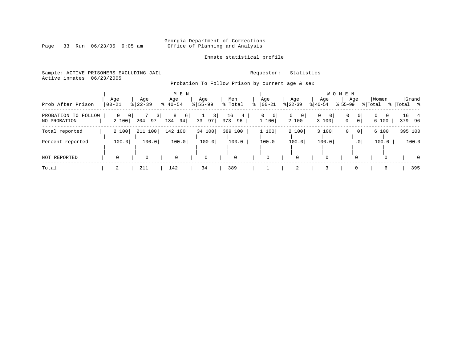#### Georgia Department of Corrections Page 33 Run 06/23/05 9:05 am Office of Planning and Analysis

Inmate statistical profile

|  |                           | Sample: ACTIVE PRISONERS EXCLUDING JAIL |  |  |  |  |  |
|--|---------------------------|-----------------------------------------|--|--|--|--|--|
|  | Active inmates 06/23/2005 |                                         |  |  |  |  |  |
|  |                           |                                         |  |  |  |  |  |

Requestor: Statistics

Probation To Follow Prison by current age & sex

|                                     |                   |                  | M E N               |                    |                 |                              |                        | W O                        | M E N                                    |                   |                     |
|-------------------------------------|-------------------|------------------|---------------------|--------------------|-----------------|------------------------------|------------------------|----------------------------|------------------------------------------|-------------------|---------------------|
| Prob After Prison                   | Age<br>$ 00 - 21$ | Age<br>$8 22-39$ | Age<br>$8140 - 54$  | Age<br>$8155 - 99$ | Men<br>% Total  | Age<br>$8   00 - 21$         | Age<br>$ 22-39 $       | Age<br>$ 40-54 $           | Age<br>$8155 - 99$                       | Women<br>% Total  | Grand<br>% Total %  |
| PROBATION TO FOLLOW<br>NO PROBATION | 0 <br>0<br>2 100  | 204<br>97        | 8<br>6<br>134<br>94 | 3<br>33<br>97      | 16<br>373<br>96 | 0<br>$\overline{0}$<br>1 100 | $\Omega$<br>0<br>2 100 | $\mathbf{0}$<br>0<br>3 100 | $\mathbf{0}$<br>0<br>0<br>0 <sup>1</sup> | $\Omega$<br>6 100 | 16 —<br>4<br>379 96 |
| Total reported                      | 2 100             | 211 100          | 142 100             | 34 100             | 389<br>100      | 1 100                        | 2 100                  | 3 100                      | 0<br>0                                   | 6 100             | 395 100             |
| Percent reported                    | 100.0             | 100.0            | 100.0               | 100.0              | 100.0           | 100.0                        | 100.0                  | 100.0                      | .0 <sup>1</sup>                          | 100.0             | 100.0               |
| NOT REPORTED                        |                   | $\Omega$         | 0                   | $\Omega$           | $\mathbf 0$     | 0                            | $\Omega$               | $\mathbf 0$                |                                          | $\Omega$          | $\Omega$            |
| Total                               |                   | 211              | 142                 | 34                 | 389             |                              | 2                      |                            |                                          | 6                 | 395                 |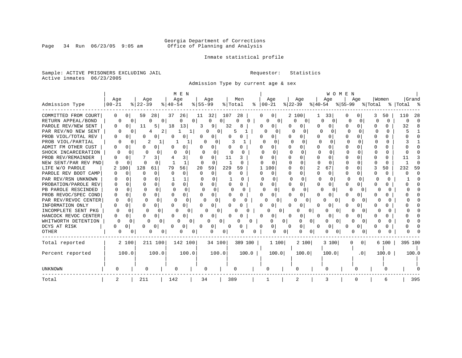# Georgia Department of Corrections<br>Page 34 Run 06/23/05 9:05 am 6ffice of Planning and Analysis Office of Planning and Analysis

### Inmate statistical profile

Sample: ACTIVE PRISONERS EXCLUDING JAIL **Requestor:** Statistics Active inmates 06/23/2005

Admission Type by current age & sex

|                      |                    |                              | M E N             |                          |               |                       |                   | WOMEN         |                          |                   |            |
|----------------------|--------------------|------------------------------|-------------------|--------------------------|---------------|-----------------------|-------------------|---------------|--------------------------|-------------------|------------|
|                      | Age                | Age                          | Age               | Aqe                      | Men           | Age                   | Aqe               | Age           | Age                      | Women             | Grand      |
| Admission Type       | $00 - 21$          | $ 22-39$                     | $8140 - 54$       | $8 55-99$                | % Total<br>ႜ  | $00 - 21$             | $ 22-39 $         | $ 40-54 $     | $ 55-99$                 | % Total           | % Total %  |
| COMMITTED FROM COURT | 0<br>01            | 59<br>28                     | 37<br>26          | 32<br>11                 | 107<br>28     | 01                    | 2 100             | 33            | $\left($                 | 50                | 110<br>-28 |
| RETURN APPEAL/BOND   |                    | $\mathbf{0}$<br><sup>o</sup> | 0                 | 0<br>0                   | $\Omega$<br>O | $\Omega$<br>0         | 0                 | $\Omega$      | $\Omega$                 | <sup>0</sup><br>∩ | U          |
| PAROLE REV/NEW SENT  | 0<br>O             | 11<br>5                      | 18<br>13          | 91<br>3                  | 32            | 0<br>$\left( \right)$ | <sup>0</sup>      | U             | ∩                        | O.                | 32         |
| PAR REV/NO NEW SENT  |                    | O                            | 1 I               | ∩                        | 5             | 0<br>O                | U                 | U             | U                        | ∩                 |            |
| PROB VIOL/TOTAL REV  | O<br>O             |                              | 0                 |                          |               | Ω                     | 0                 | U<br>Ω        | $\Omega$                 |                   |            |
| PROB VIOL/PARTIAL    |                    | 2<br>O                       |                   |                          |               |                       | 0                 | $\Omega$<br>U | n                        |                   |            |
| ADMIT FM OTHER CUST  | 0<br>$\Omega$      |                              | 0                 | 0                        |               | 0<br>O                | 0                 | O<br>Ω        | $\Omega$                 |                   |            |
| SHOCK INCARCERATION  | $\Omega$           |                              | 0                 | $\Omega$<br>$\Omega$     |               | U<br>∩                | $\Omega$          | $\Omega$      | U<br>U                   | 0                 |            |
| PROB REV/REMAINDER   | U<br>$\Omega$      | 3                            | 3                 | $\Omega$                 | 11            | 0                     | $\Omega$<br>U     | O<br>n        | <sup>n</sup><br>∩        | 0                 |            |
| NEW SENT/PAR REV PND | O<br>O             | <sup>0</sup>                 | $\mathbf{1}$      | <sup>0</sup><br>$\Omega$ | ∩             | $\Omega$              | $\Omega$          | U<br>n        | $\Omega$<br><sup>0</sup> | <sup>0</sup>      |            |
| LIFE W/O PAROLE      | 100                | 128<br>61                    | 56<br>79          | 20<br>59                 | 229<br>59     | 1 100                 | $\Omega$          | 2<br>67       | n                        | 50                | 232<br>59  |
| PAROLE REV BOOT CAMP | O<br>$\Omega$      | $\Omega$                     | 0<br>C            | $\Omega$<br>$\Omega$     | 0<br>$\Omega$ | $\Omega$<br>0         | 0                 | 0<br>0        | 0                        | 0                 |            |
| PAR REV/RSN UNKNOWN  |                    | U                            |                   | <sup>0</sup>             | U             | $\Omega$<br>0         | U                 | n<br>U        | O<br>n                   |                   |            |
| PROBATION/PAROLE REV | 0<br>0             | U                            | 0<br>$\Omega$     | $\Omega$<br>U            | 0<br>U        | 0<br>O                | $\Omega$          | U<br>U        | 0<br>$\Omega$            | U                 |            |
| PB PAROLE RESCINDED  | $\Omega$<br>∩      | n                            | U<br><sup>n</sup> | $\Omega$<br>$\Omega$     | U             | $\Omega$<br>$\Omega$  | <sup>n</sup><br>U | U             | n                        | 0                 |            |
| PROB REVOC/SPEC COND | O<br>0             | $\Omega$<br>0                | $\Omega$          | 0                        |               | 0<br>U                | 0                 | n             |                          |                   |            |
| PAR REV/REVOC CENTER | $\Omega$<br>$\cap$ | $\Omega$                     | U                 | U                        |               | 0                     | $\Omega$          | 0             |                          |                   |            |
| INFORMATION ONLY     | U<br>0             | 0<br>U                       | 0                 | 0                        |               |                       |                   |               |                          |                   |            |
| INCOMPLETE SENT PKG  | n                  | O<br>$\Omega$                | U                 | 0                        |               | 0                     | O                 | $\Omega$      |                          |                   |            |
| HANCOCK REVOC CENTER | U<br>O             |                              | 0                 |                          |               | 0                     | 0                 | O             |                          |                   |            |
| WHITWORTH DETENTION  | O                  | 0<br>O                       |                   | 0                        | <sup>0</sup>  | 01                    | 0<br>U            | $\Omega$      |                          |                   |            |
| DCYS AT RISK         | U<br>0             | 0                            | 0                 | 0                        | <sup>0</sup>  |                       | 0<br>0            | 0             |                          | O                 |            |
| OTHER                | 0                  | $\Omega$                     |                   | N                        | 0             |                       | U<br>O            | O<br>$\Omega$ |                          |                   |            |
| Total reported       | 2 100              | 211 100                      | 142 100           | 34 100                   | 389 100       | 1100                  | 2 100             | 3 100         | 0 <sup>1</sup>           | 6 100             | 395 100    |
|                      |                    |                              |                   |                          |               |                       |                   |               |                          |                   |            |
| Percent reported     | 100.0              | 100.0                        | 100.0             | 100.0                    | 100.0         | 100.0                 | 100.0             | 100.0         | .0 <sub>1</sub>          | 100.0             | 100.0      |
|                      |                    |                              |                   |                          |               |                       |                   |               |                          |                   |            |
| <b>UNKNOWN</b>       |                    | 0                            | U                 |                          |               | O                     |                   |               |                          |                   |            |
| Total                | 2                  | 211                          | 142               | 34                       | 389           |                       | 2                 | 3             |                          | 6                 | 395        |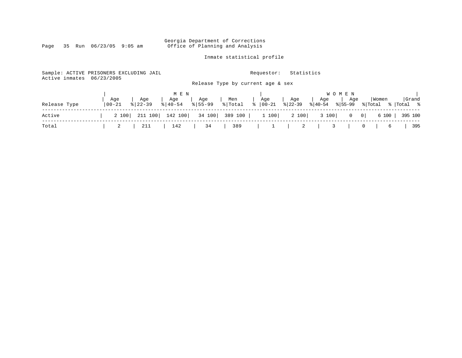Georgia Department of Corrections Page 35 Run 06/23/05 9:05 am Office of Planning and Analysis

Inmate statistical profile

Sample: ACTIVE PRISONERS EXCLUDING JAIL **Requestor:** Statistics Active inmates 06/23/2005 Release Type by current age & sex | M E N | W O M E N | | Age | Age | Age | Age | Men | Age | Age | Age | Age |Women |Grand Release Type |00-21 %|22-39 %|40-54 %|55-99 %|Total % |00-21 %|22-39 %|40-54 %|55-99 %|Total % |Total % ------------------------------------------------------------------------------------------------------------------------------------ Active | 2 100| 211 100| 142 100| 34 100| 389 100 | 1 100| 2 100| 3 100| 0 0| 6 100 | 395 100 ------------------------------------------------------------------------------------------------------------------------------------ Total | 2 | 211 | 142 | 34 | 389 | 1 | 2 | 3 | 0 | 6 | 395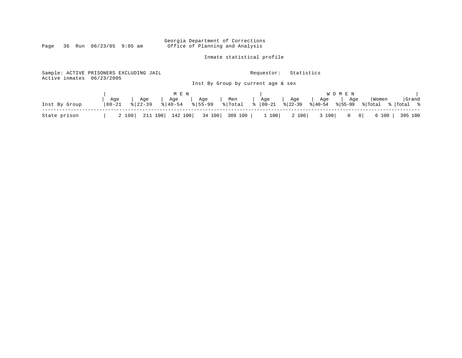Georgia Department of Corrections<br>Page 36 Run 06/23/05 9:05 am Office of Planning and Analysis Office of Planning and Analysis

Inmate statistical profile

| Sample: ACTIVE PRISONERS EXCLUDING JAIL<br>Active inmates | 06/23/2005         |                    |                                       |                   |                | Requestor:<br>Inst By Group by current age & sex | Statistics        |                             |                                                                     |                  |                     |
|-----------------------------------------------------------|--------------------|--------------------|---------------------------------------|-------------------|----------------|--------------------------------------------------|-------------------|-----------------------------|---------------------------------------------------------------------|------------------|---------------------|
| Inst By Group                                             | Age<br>$ 00 - 21 $ | Age<br>$8122 - 39$ | M E N<br>Age<br>$\frac{1}{6}$   40-54 | Age<br>$ 8 55-99$ | Men<br>% Total | Age<br>$\frac{1}{8}$   00-21                     | Age<br>$ 8 22-39$ | Age<br>$\frac{2}{6}$  40-54 | W O M E N<br>Age<br>855-99                                          | Women<br>% Total | Grand<br>%  Total % |
| State prison                                              |                    | 211 100<br>2 100   | 142 100                               | 34 100            | 389 100        | 1 100                                            | 2 100             | 3 100                       | $\overline{\phantom{0}}$ 0 $\overline{\phantom{0}}$<br>$\mathbf{0}$ | 6 100            | 395 100             |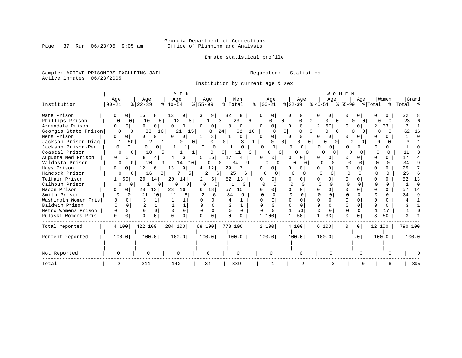# Georgia Department of Corrections<br>Page 37 Run 06/23/05 9:05 am 60ffice of Planning and Analysis Office of Planning and Analysis

Inmate statistical profile

Sample: ACTIVE PRISONERS EXCLUDING JAIL **Requestor:** Statistics Active inmates 06/23/2005

Institution by current age & sex

|                      |                      |                      | M E N                        |                              |                      |                          | WOMEN                    |                                      |                      |          |                |  |  |  |  |  |  |  |
|----------------------|----------------------|----------------------|------------------------------|------------------------------|----------------------|--------------------------|--------------------------|--------------------------------------|----------------------|----------|----------------|--|--|--|--|--|--|--|
|                      | Age                  | Age                  | Age                          | Age                          | Men                  | Age                      | Age                      | Age                                  | Age                  | Women    | Grand          |  |  |  |  |  |  |  |
| Institution          | $00 - 21$            | $8   22 - 39$        | $8   40 - 54$                | $8 55-99$                    | % Total              | $ 00-21$<br>ႜ            | $ 22-39 $                | $ 40-54 \t  55-99$                   |                      | % Total  | %  Total %     |  |  |  |  |  |  |  |
| Ware Prison          | 0 <sup>1</sup>       | 16<br>8              | 13<br>9                      | 9<br>3                       | 32<br>8              | $\circ$<br>0             | 0                        | 0                                    | $\cup$               |          | 32             |  |  |  |  |  |  |  |
| Phillips Prison      | 0                    | 10<br>$\mathbf{0}$   | 12<br>5<br>8 <sup>1</sup>    |                              | 3<br>23              | 6<br>O                   | 0<br>U                   | 0<br><sup>0</sup><br>$\circ$         |                      |          | 23             |  |  |  |  |  |  |  |
| Arrendale Prison     | 0<br>0 <sup>1</sup>  | 0<br>0               | 0<br>0                       | $\Omega$<br>0                | 0<br>0               | 0 <sup>1</sup><br>0      | 0<br>$\Omega$            | 67 <br>2                             | 0                    | 33       | $\overline{2}$ |  |  |  |  |  |  |  |
| Georgia State Prison | 0                    | 33<br>$\Omega$       | 21<br>15<br>16               | 8                            | 62<br>24             | 16<br><sup>0</sup>       | 0 <sub>1</sub><br>0      | 01<br><sup>0</sup><br>0 <sup>1</sup> | 0<br>0               |          | 62<br>16       |  |  |  |  |  |  |  |
| Mens Prison          | $\Omega$<br>$\Omega$ | U<br>0               | 0<br>$\Omega$                | 3                            | $\Omega$             | $\overline{0}$<br>n      | 0<br>$\Omega$            | $\mathbf{0}$<br>0                    | U                    |          |                |  |  |  |  |  |  |  |
| Jackson Prison-Diag  |                      | 2<br>50              |                              | $\overline{0}$<br>0          | 0 <sup>1</sup>       |                          | 0 <sup>1</sup><br>0      | $\Omega$<br>0 <sup>1</sup>           | U                    |          |                |  |  |  |  |  |  |  |
| Jackson Prison-Perm  | 0                    | 0<br>0 <sup>1</sup>  | 0<br>1                       | 0<br>$\Omega$                |                      | <sup>0</sup>             | 0 <sup>1</sup><br>0<br>0 | <sup>0</sup>                         | 0                    | 0        |                |  |  |  |  |  |  |  |
| Coastal Prison       | O                    | 10<br>$\Omega$       | 5 I                          | $\mathbf{1}$<br>0            | 11<br>0 <sup>1</sup> | 0                        | $\Omega$<br>0            | $\overline{0}$<br>0                  | $\Omega$             |          | 11             |  |  |  |  |  |  |  |
| Augusta Med Prison   | 0<br>$\Omega$        | 4 <sup>1</sup><br>8  | 3                            | 15<br>5                      | 17<br>4              | 0<br>U                   | $\Omega$                 |                                      | $\cap$               | n.       | 17             |  |  |  |  |  |  |  |
| Valdosta Prison      | 0                    | 20<br>$\Omega$       | 9  <br>10 <sup>1</sup><br>14 |                              | 34<br>9<br>$\Omega$  |                          | $\Omega$<br>$\Omega$     | n                                    | U                    | $\Omega$ | 34             |  |  |  |  |  |  |  |
| Hays Prison          | U<br>0               | 12<br>6              | 13<br>9 <sub>1</sub>         | 12<br>4                      | 29                   | 01                       | 0                        | 0                                    |                      | U        | 29             |  |  |  |  |  |  |  |
| Hancock Prison       | 0                    | 16<br>$^{\circ}$     | 5<br>81                      | 2<br>6                       | 25<br>6              | 0                        | O<br>$\Omega$            | $\Omega$<br><sup>0</sup>             | $\Omega$             |          | 25             |  |  |  |  |  |  |  |
| Telfair Prison       | 50                   | 29<br>14             | 20<br>14                     | 6                            | 52<br>13             | O                        | 0                        | O                                    | 0                    |          | 52<br>13       |  |  |  |  |  |  |  |
| Calhoun Prison       | 0                    | 01                   | 0<br>U<br>0                  | 0<br>$\Omega$                |                      | $\cap$                   | $\Omega$                 | $\Omega$<br>O                        | $\cap$               | 0        | $\cap$         |  |  |  |  |  |  |  |
| Macon Prison         | 0 <sup>1</sup>       | 13<br>28             | 23<br>16                     | 18<br>6                      | 57<br>15             | 0<br>0                   | 0                        | $\Omega$                             | 0                    | U        | 57<br>14       |  |  |  |  |  |  |  |
| Smith Prison         | $\Omega$             | 21<br>10<br>$\Omega$ | 11<br>8                      | 6                            | 34<br>q              |                          | $\cap$                   | ∩                                    | n                    | U        | 34<br>Q        |  |  |  |  |  |  |  |
| Washingtn Women Pris | 0<br>0               | κ                    |                              | <sup>0</sup>                 |                      | $\Omega$<br><sup>n</sup> | $\Omega$                 | $\cap$<br>U                          | $\Omega$             | U        |                |  |  |  |  |  |  |  |
| Baldwin Prison       | $\Omega$<br>$\Omega$ |                      | 1                            | 0                            |                      | $\Omega$<br>U            | $\Omega$                 | O                                    | <sup>0</sup>         | 0        |                |  |  |  |  |  |  |  |
| Metro Womens Prison  | $\Omega$<br>O        | $\Omega$<br>$\Omega$ | $\Omega$                     | <sup>0</sup><br>$\mathbf{0}$ | $\Omega$<br>$\Omega$ | $\Omega$                 | 50                       | $\Omega$<br>$\Omega$                 | $\Omega$<br>$\Omega$ | 17       |                |  |  |  |  |  |  |  |
| Pulaski Womens Pris  | $\Omega$             | 0<br>$\Omega$        | $\Omega$<br>0                | $\Omega$<br>U                | 0<br>$\Omega$        | 1 100                    | 50                       | 33                                   | 0<br>$\Omega$        | 50       |                |  |  |  |  |  |  |  |
| Total reported       | 4 100                | 422 100              | 284 100                      | 68 100                       | 778 100              | 2 100                    | 4 100                    | 6 100                                | $\circ$<br>0         | 12 100   | 790 100        |  |  |  |  |  |  |  |
| Percent reported     | 100.0                | 100.0                | 100.0                        | 100.0                        | 100.0                | 100.0                    | 100.0                    | 100.0                                | .0 <sub>1</sub>      | 100.0    | 100.0          |  |  |  |  |  |  |  |
|                      |                      |                      |                              |                              |                      |                          |                          |                                      |                      |          |                |  |  |  |  |  |  |  |
| Not Reported         |                      |                      |                              | $\Omega$                     | $\Omega$             |                          |                          |                                      |                      |          |                |  |  |  |  |  |  |  |
| Total                | 2                    | 211                  | 142                          | 34                           | 389                  |                          | 2                        |                                      |                      | 6        | 395            |  |  |  |  |  |  |  |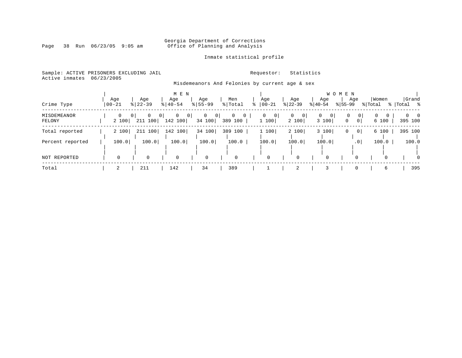# Georgia Department of Corrections<br>Page 38 Run 06/23/05 9:05 am 6ffice of Planning and Analysis Office of Planning and Analysis

Inmate statistical profile

Sample: ACTIVE PRISONERS EXCLUDING JAIL **Requestor:** Statistics Active inmates 06/23/2005

Misdemeanors And Felonies by current age & sex

|                       |                   |                                |                                          | M E N<br>W O |                    |                |                                           |                            |                                       |           |                                    |               |                 |                  |              |                             |          |
|-----------------------|-------------------|--------------------------------|------------------------------------------|--------------|--------------------|----------------|-------------------------------------------|----------------------------|---------------------------------------|-----------|------------------------------------|---------------|-----------------|------------------|--------------|-----------------------------|----------|
| Crime Type            | Age<br>$00 - 21$  | Age<br>$8 22-39$               | Age<br>$8   40 - 54$                     |              | Age<br>$8155 - 99$ |                | Men<br>% Total                            | Age<br>$8   00 - 21$       | Age<br>$ 22-39 $                      | $ 40-54 $ | Age                                | $ 55-99 $     | Age             | Women<br>% Total |              | Grand<br>း - ေ<br>%   Total |          |
| MISDEMEANOR<br>FELONY | $\Omega$<br>2 100 | 0<br>0 <sup>1</sup><br>211 100 | $\mathbf 0$<br>0 <sup>1</sup><br>142 100 | 0            | 0<br>34 100        | $\overline{0}$ | $\mathbf{0}$<br>$\overline{0}$<br>389 100 | 0<br>$\mathbf{0}$<br>1 100 | $\mathbf{0}$<br>$\mathbf{0}$<br>2 100 |           | $\overline{0}$<br>$\circ$<br>3 100 | 0<br>$\Omega$ | 0 <sup>1</sup>  | 0<br>6 100       | $\mathbf{0}$ | $0 \quad 0$<br>395 100      |          |
| Total reported        | 2 100             | 211 100                        | 142 100                                  |              | 34 100             |                | 389 100                                   | 1 100                      | 2 100                                 |           | 3 100                              | 0             | 0 <sup>1</sup>  | 6 100            |              | 395 100                     |          |
| Percent reported      | 100.0             | 100.0                          | 100.0                                    |              | 100.0              |                | 100.0                                     | 100.0                      | 100.0                                 |           | 100.0                              |               | .0 <sub>1</sub> | 100.0            |              | 100.0                       |          |
| NOT REPORTED          |                   | $\Omega$                       | $\Omega$                                 |              | 0                  |                | $\mathbf 0$                               | $\mathbf 0$                | 0                                     |           | $\mathbf 0$                        |               | $\Omega$        |                  |              |                             | $\Omega$ |
| Total                 |                   | 211                            | 142                                      |              | 34                 |                | 389                                       |                            | 2                                     |           |                                    |               | 0               |                  | 6            | 395                         |          |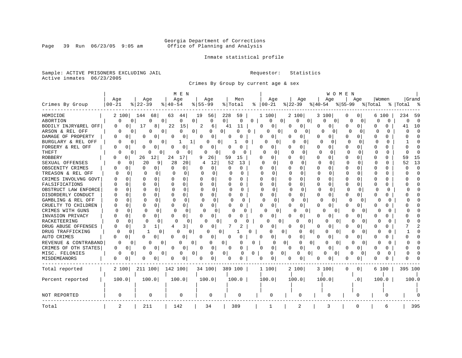# Georgia Department of Corrections<br>Page 39 Run 06/23/05 9:05 am 6ffice of Planning and Analysis Office of Planning and Analysis

Inmate statistical profile

Sample: ACTIVE PRISONERS EXCLUDING JAIL **Requestor:** Statistics Active inmates 06/23/2005

Crimes By Group by current age & sex

|                      |                   |                               | M E N             |                              |                          |                          |                           | W O M E N                     |                          |                      |                  |
|----------------------|-------------------|-------------------------------|-------------------|------------------------------|--------------------------|--------------------------|---------------------------|-------------------------------|--------------------------|----------------------|------------------|
|                      | Age               | Age                           | Age               | Age                          | Men                      | Age                      | Age                       | Age                           | Aqe                      | Women                | Grand            |
| Crimes By Group      | $00 - 21$         | $ 22-39$                      | % 40-54           | $8155 - 99$                  | % Total                  | $ 00 - 21$               | $ 22-39 $                 | $ 40-54 $                     | % 55-99                  | % Total              | %   Total<br>- 2 |
| HOMICIDE             | 2 100             | 144<br>68                     | 63<br>441         | 19<br>56                     | 228<br>59                | 1 100                    | 2 100                     | 3 100                         | 0<br>0                   | 6 100                | 234<br>59        |
| ABORTION             | 0                 | $\mathbf{0}$<br>$\Omega$<br>0 | 0<br>0            | 0                            | 0<br>0 <sup>1</sup><br>0 | 0                        | 0 <sup>1</sup><br>0<br> 0 | $\mathbf 0$<br>$\overline{0}$ | 0<br>0                   | 0<br>0               | 0<br>$\Omega$    |
| BODILY INJRY&REL OFF | 0<br>0            | 17<br>8                       | 22<br>15          | 2<br>6                       | 41<br>11                 | 0<br>0                   | 0<br>0                    | 0<br>$\mathbf{0}$             | 0<br>0                   | O<br>0               | 10<br>41         |
| ARSON & REL OFF      | $\Omega$          | N<br>0<br>O                   | 0<br>0            | 0<br>O                       | 0<br>0                   | 0<br>$\overline{0}$      | U<br>0                    | 0                             | 0<br>O                   | $\Omega$<br>0        | $\cap$<br>O      |
| DAMAGE OF PROPERTY   | 0<br>0            | O<br>O                        | 0<br>0            | 0<br>$\Omega$                | 0<br>C                   | 0<br>0                   | 0<br>O                    | O<br><sup>0</sup>             | O                        | 0                    |                  |
| BURGLARY & REL OFF   | 0                 | 0<br>0<br>0                   | $\mathbf{1}$      | 0<br>0                       | 0                        | $\Omega$<br>0            | O<br>0                    | $\Omega$<br>0                 | $\Omega$<br>$\Omega$     | $\Omega$<br>$\Omega$ |                  |
| FORGERY & REL OFF    | 0<br>0            | 0<br>0                        | 0<br>0            | 0<br>0                       | 0<br>O                   | 0<br>0                   | 0                         | 0<br>0                        | 0<br>0                   | 0<br>U               |                  |
| THEFT                | $\Omega$          | 0<br>0<br>0                   | 0<br>$\circ$      | 0<br>0                       | O<br>O                   | $\Omega$<br>0            | 0<br>∩                    | $\Omega$<br>0                 | $\cap$<br>$\Omega$       | $\Omega$<br>$\Omega$ | $\cap$           |
| <b>ROBBERY</b>       | $\Omega$<br>0     | 26<br>12                      | 24<br>17          | 9<br>26                      | 59<br>15                 | $\Omega$<br>0            | U<br>0                    | O<br>O                        | U<br>0                   | n<br>O               | 15<br>59         |
| SEXUAL OFFENSES      | $\Omega$<br>0     | 20<br>9                       | 28<br>20          | 12                           | 52<br>13                 | $\cap$<br>$\Omega$       | 0                         | $\Omega$                      | O                        | $\Omega$<br>U        | 13<br>52         |
| OBSCENITY CRIMES     | 0<br>0            | 0<br>0                        | 0<br>U            | 0<br>O                       | O<br>0                   | <sup>0</sup><br>0        | O<br>0                    | 0<br>$\Omega$                 | O<br>0                   | <sup>0</sup><br>0    | $\Omega$         |
| TREASON & REL OFF    | $\Omega$          | O<br>$\Omega$                 | $\Omega$<br>0     | 0<br>$\Omega$                | $\Omega$<br>$\Omega$     | $\Omega$                 | $\Omega$<br>$\Omega$      | 0<br>0                        | $\Omega$<br><sup>0</sup> | 0<br>U               | $\Omega$         |
| CRIMES INVOLVNG GOVT | O                 | $\Omega$<br>n                 | $\Omega$          | U                            | U<br>O                   | 0<br>O                   | 0<br>O                    | $\Omega$<br>O                 | O<br>0                   | $\Omega$<br>O        |                  |
| FALSIFICATIONS       | U                 | n<br><sup>0</sup>             | 0                 | $\Omega$                     | O<br>U                   | $\Omega$<br>0            | $\Omega$<br>O             | 0<br>$\Omega$                 | O<br>U                   | <sup>0</sup><br>0    |                  |
| OBSTRUCT LAW ENFORCE | n<br>n            | 0                             | $\Omega$          | <sup>0</sup><br><sup>0</sup> | $\Omega$<br>$\Omega$     | $\Omega$                 | U<br><sup>0</sup>         | $\Omega$<br>0                 | U<br>$\Omega$            | O<br>0               |                  |
| DISORDERLY CONDUCT   |                   |                               | 0                 | $\Omega$                     | O<br>0                   | ∩<br>0                   | 0<br>O                    | 0<br>0                        | O<br>O                   | U                    |                  |
| GAMBLING & REL OFF   | U                 | ∩<br>n                        | U<br><sup>0</sup> | $\cap$<br>$\Omega$           | ∩<br>$\Omega$            | 0<br>$\Omega$            | $\Omega$                  | $\Omega$<br><sup>o</sup>      | U<br>0                   | U<br>O               |                  |
| CRUELTY TO CHILDREN  | 0<br>Ω            | 0<br>O                        | 0<br>O            | $\Omega$<br>O                | 0<br>0                   | $\Omega$<br>0            | 0<br>0                    | 0<br>0                        | 0<br>0                   | 0<br>0               |                  |
| CRIMES WITH GUNS     | $\Omega$          | $\Omega$<br><sup>0</sup>      | $\Omega$<br>C     | $\Omega$<br>0                | U<br>O                   | O<br>0                   | O<br>0                    | O<br>0                        | 0<br>$\Omega$            | O<br>O               |                  |
| INVASION PRIVACY     | U<br>0            | 0<br>0                        | 0<br>U            | 0<br><sup>o</sup>            | U<br>O                   | ∩<br>0                   | 0                         | O<br>0                        | O<br>0                   | n<br>0               |                  |
| RACKETEERING         | ∩                 | $\Omega$<br>0                 | O<br>O            | 0                            |                          | O<br>0                   | $\Omega$                  | U<br>$\Omega$                 | O<br>$\Omega$            | O                    |                  |
| DRUG ABUSE OFFENSES  | 0<br>0            | 3                             | 3<br>4            | U<br>O                       |                          | $\Omega$<br>0            | $\Omega$<br>0             | 0<br>O                        | O<br>O                   | <sup>0</sup><br>0    |                  |
| DRUG TRAFFICKING     | 0<br>0            | $\Omega$<br>-1                | 0<br>0            | O<br>0                       | O                        | 0                        | 0<br>0<br>0               | 0<br>0                        | 0<br>$\Omega$            | O<br>O               |                  |
| AUTO CRIMES          | 0<br>0            | 0<br>0                        | 0<br>0            | 0<br>0                       | 0<br>0                   | 0<br>0                   | 0<br>0                    | 0                             | 0<br>0                   | 0                    |                  |
| REVENUE & CONTRABAND | 0                 | 0<br>$\Omega$<br>0            | 0<br>$\mathbf 0$  | 0                            | 0<br>0                   | 0                        | 0 <sup>1</sup><br>0<br>0  | $\Omega$<br>0                 | 0<br>$\Omega$            | O<br>O               |                  |
| CRIMES OF OTH STATES | 0<br>$\mathbf{0}$ | $\overline{0}$<br>O           | 0<br>O            | 0<br>$\Omega$                | 0<br>0                   | $\mathbf{0}$<br>$\Omega$ | 0<br>0                    | 0<br>0                        | O<br>0                   | 0<br>0               |                  |
| MISC. FELONIES       | 0                 | O<br>0<br>0                   | 0<br>0            | 0                            | 0 <sup>1</sup><br>0<br>0 | 0                        | $\overline{0}$<br>0<br>0  | 0<br>0                        | O<br>0                   | $\Omega$             |                  |
| MISDEMEANORS         | 0<br>0            | 0<br>0                        | 0<br>0            | 0<br>0                       | 0<br>0                   | 0<br>0 <sup>1</sup>      | 0<br>0                    |                               | 0                        |                      |                  |
| Total reported       | 2 100             | 211 100                       | 142 100           | 34 100                       | 389 100                  | 1 100                    | 2 100                     | 3 100                         | $\overline{0}$<br>0      | 6 100                | 395 100          |
|                      |                   |                               |                   |                              |                          |                          |                           |                               |                          |                      |                  |
| Percent reported     | 100.0             | 100.0                         | 100.0             | 100.0                        | 100.0                    | 100.0                    | 100.0                     | 100.0                         | . 0 I                    | 100.0                | 100.0            |
|                      |                   |                               |                   |                              |                          |                          |                           |                               |                          |                      |                  |
|                      |                   |                               |                   |                              |                          |                          |                           |                               |                          |                      |                  |
| <b>NOT REPORTED</b>  | 0                 | 0                             | 0                 | 0                            | 0                        | 0                        | 0                         | 0                             | 0                        | $\Omega$             |                  |
| Total                | 2                 | 211                           | 142               | 34                           | 389                      | 1                        | 2                         | 3                             | $\Omega$                 | 6                    | 395              |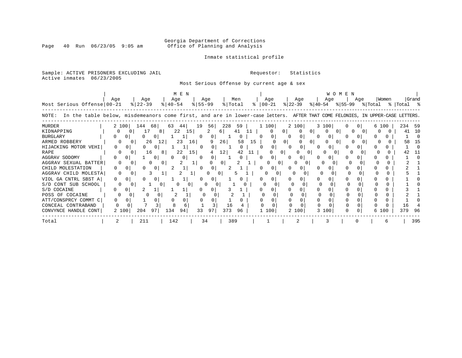# Georgia Department of Corrections<br>Page 40 Run 06/23/05 9:05 am 6ffice of Planning and Analysis Office of Planning and Analysis

### Inmate statistical profile

Sample: ACTIVE PRISONERS EXCLUDING JAIL **Requestor:** Statistics Active inmates 06/23/2005

Most Serious Offense by current age & sex

|                                                                                                                                      | Aqe          |              | Age      | M E N<br>Age  |           | Age |         | Men      |    | Age           |                | Age          |              | Age   | <b>WOMEN</b> | Age |                 | Women |            | Grand |
|--------------------------------------------------------------------------------------------------------------------------------------|--------------|--------------|----------|---------------|-----------|-----|---------|----------|----|---------------|----------------|--------------|--------------|-------|--------------|-----|-----------------|-------|------------|-------|
| Most Serious Offense 00-21                                                                                                           |              | $ 22-39 $    |          | $8   40 - 54$ | $8 55-99$ |     | % Total |          |    | $8   00 - 21$ |                | $ 22-39 $    | ୫∣40-54      |       |              |     | % 55-99 % Total |       | %  Total % |       |
| In the table below, misdemeanors come first, and are in lower-case letters. AFTER THAT COME FELONIES, IN UPPER-CASE LETTERS<br>NOTE: |              |              |          |               |           |     |         |          |    |               |                |              |              |       |              |     |                 |       |            |       |
| <b>MURDER</b>                                                                                                                        | 2 100        | 144          | 68       | 63<br>44      | 19        | 56  | 228     | 59       |    | 1 100         |                | 2 100        |              | 3 100 |              |     | 6 100           |       | 234 59     |       |
| KIDNAPPING                                                                                                                           | $\Omega$     | Ü            | 17<br>81 | 22            | 15        |     | - 6 I   | 41       | 11 | $\Omega$      | 0              |              | 0            |       |              |     |                 |       | 41         | -10   |
| <b>BURGLARY</b>                                                                                                                      |              | 0            | 0        |               | $\Omega$  | 0   |         | Ü        |    | 0<br>0        |                | $\Omega$     | 0            |       |              |     |                 |       |            |       |
| ARMED ROBBERY                                                                                                                        |              |              | 26<br>12 | 23            | 16        | 9   | 26      | 58       | 15 |               | 0 <sup>1</sup> |              |              |       |              |     |                 |       | 58         | 15    |
| HIJACKING MOTOR VEHI                                                                                                                 | <sup>n</sup> | 0            | 0        | 1             | 0         | 0   |         | $\Omega$ |    | 0             |                | $\circ$      | <sup>0</sup> |       |              |     |                 |       |            |       |
| RAPE                                                                                                                                 |              |              | 16<br>81 | 22            | 15        |     | 12      | 42       | 11 |               |                |              | 01           |       |              |     |                 |       |            |       |
| AGGRAV SODOMY                                                                                                                        |              | $\mathbf{0}$ | $\circ$  | 0             |           |     |         |          |    | 0             |                | $\mathbf{0}$ |              |       |              |     |                 |       |            |       |
| AGGRAV SEXUAL BATTER                                                                                                                 | $\Omega$     |              |          |               |           |     | 01      |          |    |               |                |              |              |       |              |     |                 |       |            |       |
| CHILD MOLESTATION                                                                                                                    | 0            |              | 0        |               |           | 0   |         |          |    |               |                |              |              |       |              |     |                 |       |            |       |
| AGGRAV CHILD MOLESTA                                                                                                                 | $\Omega$     |              |          |               |           |     | 0       | 5        |    |               |                |              |              |       |              |     |                 |       |            |       |
| VIOL GA CNTRL SBST A                                                                                                                 | 0            |              | 0        |               |           |     |         |          |    |               |                |              |              |       |              |     |                 |       |            |       |
| S/D CONT SUB SCHOOL                                                                                                                  |              |              |          |               |           |     |         |          |    |               |                |              |              |       |              |     |                 |       |            |       |
| S/D COCAINE                                                                                                                          | 0            | 0            |          |               |           |     |         |          |    |               |                |              |              |       |              |     |                 |       |            |       |
| POSS OF COCAINE                                                                                                                      |              |              |          |               |           |     |         |          |    |               |                |              |              |       |              |     |                 |       |            |       |
| ATT/CONSPRCY COMMT C                                                                                                                 |              |              | U        |               |           |     |         |          |    |               |                |              |              |       |              |     |                 |       |            |       |
| CONCEAL CONTRABAND                                                                                                                   |              |              |          | 8             |           |     | 16      | 4        |    |               |                |              |              |       |              |     |                 |       | -6         |       |
| CONVYNCE HANDLE CONT                                                                                                                 | 2 100        | 204          | 97       | 134<br>94     | 33        | 97  | 373     | 96       |    | 100           |                | 2 100        |              | 3 100 |              |     | 6 100           |       | 379        | 96    |
| Total                                                                                                                                |              |              | 211      | 142           | 34        |     | 389     |          |    |               |                |              |              |       |              |     |                 |       |            | 395   |